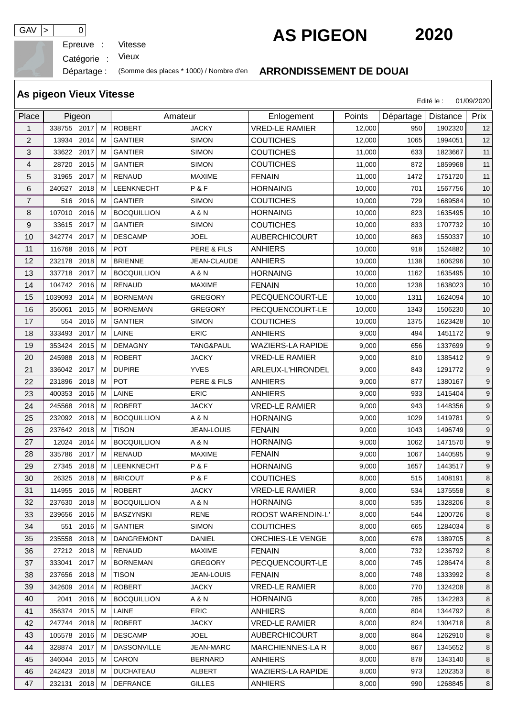Epreuve :

## GAV  $\vert$  >  $\vert$  0 **AS PIGEON** 2020

Edité le : 01/09/2020

**As pigeon Vieux Vitesse**

Catégorie : Vieux

## Départage : (Somme des places \* 1000) / Nombre d'en **ARRONDISSEMENT DE DOUAI**

| Place          |             | Pigeon |   | Amateur            |                | Enlogement               | Points | Départage | Distance | Prix    |
|----------------|-------------|--------|---|--------------------|----------------|--------------------------|--------|-----------|----------|---------|
| 1              | 338755      | 2017   | м | <b>ROBERT</b>      | <b>JACKY</b>   | <b>VRED-LE RAMIER</b>    | 12.000 | 950       | 1902320  | 12      |
| $\overline{c}$ | 13934       | 2014   | M | <b>GANTIER</b>     | <b>SIMON</b>   | <b>COUTICHES</b>         | 12,000 | 1065      | 1994051  | 12      |
| 3              | 33622       | 2017   | м | <b>GANTIER</b>     | <b>SIMON</b>   | <b>COUTICHES</b>         | 11.000 | 633       | 1823667  | 11      |
| 4              | 28720       | 2015   | M | <b>GANTIER</b>     | <b>SIMON</b>   | <b>COUTICHES</b>         | 11,000 | 872       | 1859968  | 11      |
| 5              | 31965       | 2017   | м | <b>RENAUD</b>      | <b>MAXIME</b>  | <b>FENAIN</b>            | 11,000 | 1472      | 1751720  | 11      |
| 6              | 240527      | 2018   | м | LEENKNECHT         | P&F            | <b>HORNAING</b>          | 10,000 | 701       | 1567756  | 10      |
| $\overline{7}$ | 516         | 2016   | м | <b>GANTIER</b>     | <b>SIMON</b>   | <b>COUTICHES</b>         | 10.000 | 729       | 1689584  | 10      |
| 8              | 107010      | 2016   | м | <b>BOCQUILLION</b> | A & N          | <b>HORNAING</b>          | 10,000 | 823       | 1635495  | 10      |
| 9              | 33615       | 2017   | М | <b>GANTIER</b>     | <b>SIMON</b>   | <b>COUTICHES</b>         | 10,000 | 833       | 1707732  | 10      |
| 10             | 342774      | 2017   | M | <b>DESCAMP</b>     | <b>JOEL</b>    | <b>AUBERCHICOURT</b>     | 10,000 | 863       | 1550337  | 10      |
| 11             | 116768      | 2016   | м | POT                | PERE & FILS    | <b>ANHIERS</b>           | 10,000 | 918       | 1524882  | 10      |
| 12             | 232178      | 2018   | м | <b>BRIENNE</b>     | JEAN-CLAUDE    | <b>ANHIERS</b>           | 10,000 | 1138      | 1606296  | 10      |
| 13             | 337718      | 2017   | M | <b>BOCQUILLION</b> | A & N          | <b>HORNAING</b>          | 10,000 | 1162      | 1635495  | 10      |
| 14             | 104742      | 2016   | м | <b>RENAUD</b>      | <b>MAXIME</b>  | <b>FENAIN</b>            | 10,000 | 1238      | 1638023  | 10      |
| 15             | 1039093     | 2014   | M | <b>BORNEMAN</b>    | <b>GREGORY</b> | PECQUENCOURT-LE          | 10,000 | 1311      | 1624094  | 10      |
| 16             | 356061      | 2015   | м | <b>BORNEMAN</b>    | <b>GREGORY</b> | PECQUENCOURT-LE          | 10,000 | 1343      | 1506230  | 10      |
| 17             | 554         | 2016   | м | <b>GANTIER</b>     | <b>SIMON</b>   | <b>COUTICHES</b>         | 10,000 | 1375      | 1623428  | 10      |
| 18             | 333493      | 2017   | M | LAINE              | ERIC           | <b>ANHIERS</b>           | 9,000  | 494       | 1451172  | 9       |
| 19             | 353424      | 2015   | м | <b>DEMAGNY</b>     | TANG&PAUL      | <b>WAZIERS-LA RAPIDE</b> | 9,000  | 656       | 1337699  | 9       |
| 20             | 245988      | 2018   | М | <b>ROBERT</b>      | <b>JACKY</b>   | <b>VRED-LE RAMIER</b>    | 9,000  | 810       | 1385412  | $9\,$   |
| 21             | 336042      | 2017   | M | <b>DUPIRE</b>      | <b>YVES</b>    | ARLEUX-L'HIRONDEL        | 9,000  | 843       | 1291772  | 9       |
| 22             | 231896      | 2018   | М | POT                | PERE & FILS    | <b>ANHIERS</b>           | 9,000  | 877       | 1380167  | 9       |
| 23             | 400353      | 2016   | м | LAINE              | ERIC           | <b>ANHIERS</b>           | 9,000  | 933       | 1415404  | 9       |
| 24             | 245568      | 2018   | M | <b>ROBERT</b>      | <b>JACKY</b>   | <b>VRED-LE RAMIER</b>    | 9,000  | 943       | 1448356  | $9\,$   |
| 25             | 232092      | 2018   | м | <b>BOCQUILLION</b> | A & N          | <b>HORNAING</b>          | 9,000  | 1029      | 1419781  | 9       |
| 26             | 237642      | 2018   | M | <b>TISON</b>       | JEAN-LOUIS     | <b>FENAIN</b>            | 9,000  | 1043      | 1496749  | 9       |
| 27             | 12024       | 2014   | м | <b>BOCQUILLION</b> | A & N          | <b>HORNAING</b>          | 9,000  | 1062      | 1471570  | $9\,$   |
| 28             | 335786      | 2017   | м | <b>RENAUD</b>      | <b>MAXIME</b>  | <b>FENAIN</b>            | 9,000  | 1067      | 1440595  | $9\,$   |
| 29             | 27345       | 2018   | м | LEENKNECHT         | P&F            | <b>HORNAING</b>          | 9,000  | 1657      | 1443517  | 9       |
| 30             | 26325 2018  |        | м | <b>BRICOUT</b>     | P&F            | <b>COUTICHES</b>         | 8,000  | 515       | 1408191  | $\bf 8$ |
| 31             | 114955 2016 |        | M | <b>ROBERT</b>      | <b>JACKY</b>   | <b>VRED-LE RAMIER</b>    | 8,000  | 534       | 1375558  | 8       |
| 32             | 237630      | 2018   | м | <b>BOCQUILLION</b> | A & N          | <b>HORNAING</b>          | 8,000  | 535       | 1328206  | 8       |
| 33             | 239656      | 2016   | м | <b>BASZYNSKI</b>   | <b>RENE</b>    | <b>ROOST WARENDIN-L'</b> | 8,000  | 544       | 1200726  | 8       |
| 34             | 551         | 2016   | м | <b>GANTIER</b>     | <b>SIMON</b>   | <b>COUTICHES</b>         | 8,000  | 665       | 1284034  | 8       |
| 35             | 235558      | 2018   | м | <b>DANGREMONT</b>  | DANIEL         | <b>ORCHIES-LE VENGE</b>  | 8,000  | 678       | 1389705  | 8       |
| 36             | 27212 2018  |        | м | RENAUD             | <b>MAXIME</b>  | <b>FENAIN</b>            | 8,000  | 732       | 1236792  | 8       |
| 37             | 333041      | 2017   | м | <b>BORNEMAN</b>    | <b>GREGORY</b> | PECQUENCOURT-LE          | 8,000  | 745       | 1286474  | 8       |
| 38             | 237656 2018 |        | м | <b>TISON</b>       | JEAN-LOUIS     | <b>FENAIN</b>            | 8,000  | 748       | 1333992  | 8       |
| 39             | 342609      | 2014   | м | <b>ROBERT</b>      | <b>JACKY</b>   | <b>VRED-LE RAMIER</b>    | 8,000  | 770       | 1324208  | 8       |
| 40             | 2041        | 2016   | м | <b>BOCQUILLION</b> | A & N          | <b>HORNAING</b>          | 8,000  | 785       | 1342283  | 8       |
| 41             | 356374 2015 |        | м | LAINE              | <b>ERIC</b>    | <b>ANHIERS</b>           | 8,000  | 804       | 1344792  | 8       |
| 42             | 247744      | 2018   | м | <b>ROBERT</b>      | JACKY          | <b>VRED-LE RAMIER</b>    | 8,000  | 824       | 1304718  | 8       |
| 43             | 105578      | 2016   | м | <b>DESCAMP</b>     | <b>JOEL</b>    | <b>AUBERCHICOURT</b>     | 8,000  | 864       | 1262910  | 8       |
| 44             | 328874 2017 |        | м | <b>DASSONVILLE</b> | JEAN-MARC      | MARCHIENNES-LA R         | 8,000  | 867       | 1345652  | 8       |
| 45             | 346044 2015 |        | M | CARON              | <b>BERNARD</b> | <b>ANHIERS</b>           | 8,000  | 878       | 1343140  | 8       |
| 46             | 242423 2018 |        | м | <b>DUCHATEAU</b>   | ALBERT         | <b>WAZIERS-LA RAPIDE</b> | 8,000  | 973       | 1202353  | 8       |
| 47             | 232131 2018 |        | м | <b>DEFRANCE</b>    | <b>GILLES</b>  | <b>ANHIERS</b>           | 8,000  | 990       | 1268845  | 8       |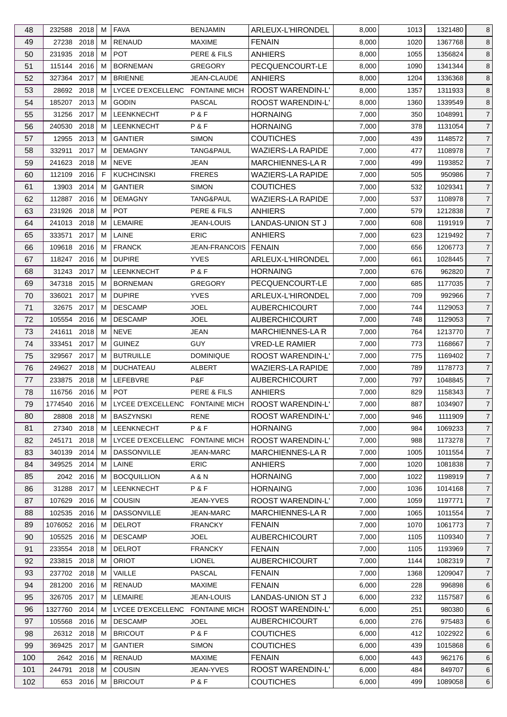| 48       | 232588 2018           |           | м      | <b>FAVA</b>                                           | <b>BENJAMIN</b>      | ARLEUX-L'HIRONDEL                      | 8,000          | 1013       | 1321480            | 8                                |
|----------|-----------------------|-----------|--------|-------------------------------------------------------|----------------------|----------------------------------------|----------------|------------|--------------------|----------------------------------|
| 49       | 27238                 | 2018      | м      | <b>RENAUD</b>                                         | <b>MAXIME</b>        | <b>FENAIN</b>                          | 8,000          | 1020       | 1367768            | 8                                |
| 50       | 231935 2018           |           | м      | <b>POT</b>                                            | PERE & FILS          | <b>ANHIERS</b>                         | 8,000          | 1055       | 1356824            | 8                                |
| 51       | 115144 2016           |           | м      | <b>BORNEMAN</b>                                       | <b>GREGORY</b>       | PECQUENCOURT-LE                        | 8,000          | 1090       | 1341344            | 8                                |
| 52       | 327364                | 2017      | м      | <b>BRIENNE</b>                                        | JEAN-CLAUDE          | ANHIERS                                | 8,000          | 1204       | 1336368            | $\bf 8$                          |
| 53       | 28692 2018            |           | м      | LYCEE D'EXCELLENC FONTAINE MICH                       |                      | <b>ROOST WARENDIN-L'</b>               | 8,000          | 1357       | 1311933            | 8                                |
| 54       | 185207 2013           |           | м      | <b>GODIN</b>                                          | <b>PASCAL</b>        | <b>ROOST WARENDIN-L'</b>               | 8,000          | 1360       | 1339549            | 8                                |
| 55       | 31256 2017            |           | м      | LEENKNECHT                                            | P&F                  | <b>HORNAING</b>                        | 7,000          | 350        | 1048991            | $\overline{7}$                   |
| 56       | 240530                | 2018      | м      | <b>LEENKNECHT</b>                                     | P&F                  | <b>HORNAING</b>                        | 7,000          | 378        | 1131054            | $\overline{7}$                   |
| 57       | 12955                 | 2013      | м      | <b>GANTIER</b>                                        | <b>SIMON</b>         | <b>COUTICHES</b>                       | 7,000          | 439        | 1148572            | $\overline{7}$                   |
| 58       | 332911                | 2017      | м      | <b>DEMAGNY</b>                                        | TANG&PAUL            | <b>WAZIERS-LA RAPIDE</b>               | 7,000          | 477        | 1108978            | $\overline{7}$                   |
| 59       | 241623                | 2018      | м      | <b>NEVE</b>                                           | JEAN                 | <b>MARCHIENNES-LA R</b>                | 7,000          | 499        | 1193852            | $\overline{7}$                   |
| 60       | 112109 2016           |           | F.     | <b>KUCHCINSKI</b>                                     | <b>FRERES</b>        | <b>WAZIERS-LA RAPIDE</b>               | 7,000          | 505        | 950986             | $\overline{7}$                   |
| 61       | 13903                 | 2014      | м      | <b>GANTIER</b>                                        | <b>SIMON</b>         | <b>COUTICHES</b>                       | 7,000          | 532        | 1029341            | $\overline{7}$                   |
| 62       | 112887                | 2016      | м      | <b>DEMAGNY</b>                                        | <b>TANG&amp;PAUL</b> | <b>WAZIERS-LA RAPIDE</b>               | 7,000          | 537        | 1108978            | $\overline{7}$                   |
| 63       | 231926 2018           |           | м      | <b>POT</b>                                            | PERE & FILS          | <b>ANHIERS</b>                         | 7,000          | 579        | 1212838            | $\overline{7}$                   |
| 64       | 241013 2018           |           | М      | <b>LEMAIRE</b>                                        | JEAN-LOUIS           | <b>LANDAS-UNION ST J</b>               | 7,000          | 608        | 1191919            | $\overline{7}$                   |
| 65       | 333571                | 2017      | м      | LAINE                                                 | <b>ERIC</b>          | <b>ANHIERS</b>                         | 7,000          | 623        | 1219492            | $\overline{7}$                   |
| 66       | 109618 2016           |           | м      | <b>FRANCK</b>                                         | <b>JEAN-FRANCOIS</b> | <b>FENAIN</b>                          | 7,000          | 656        | 1206773            | $\overline{7}$                   |
| 67       | 118247                | 2016      | М      | <b>DUPIRE</b>                                         | <b>YVES</b>          | ARLEUX-L'HIRONDEL                      | 7,000          | 661        | 1028445            | $\overline{7}$                   |
| 68       | 31243                 | 2017      | м      | <b>LEENKNECHT</b>                                     | P & F                | <b>HORNAING</b>                        | 7,000          | 676        | 962820             | $\overline{7}$                   |
| 69       | 347318                | 2015      | м      | <b>BORNEMAN</b>                                       | <b>GREGORY</b>       | PECQUENCOURT-LE                        | 7,000          | 685        | 1177035            | $\overline{7}$                   |
| 70       | 336021                | 2017      | м      | <b>DUPIRE</b>                                         | <b>YVES</b>          | ARLEUX-L'HIRONDEL                      | 7,000          | 709        | 992966             | $\overline{7}$                   |
| 71       | 32675 2017            |           | M      | <b>DESCAMP</b>                                        | JOEL                 | <b>AUBERCHICOURT</b>                   | 7,000          | 744        | 1129053            | $\overline{7}$                   |
| 72       | 105554                | 2016      | М      | <b>DESCAMP</b>                                        | <b>JOEL</b>          | <b>AUBERCHICOURT</b>                   | 7,000          | 748        | 1129053            | $\overline{7}$                   |
| 73       | 241611                | 2018      | м      | <b>NEVE</b>                                           | JEAN                 | <b>MARCHIENNES-LA R</b>                | 7,000          | 764        | 1213770            | $\overline{7}$                   |
| 74       | 333451                | 2017      | м      | <b>GUINEZ</b>                                         | <b>GUY</b>           | <b>VRED-LE RAMIER</b>                  | 7,000          | 773        | 1168667            | $\overline{7}$                   |
| 75       | 329567                | 2017      | м      | <b>BUTRUILLE</b>                                      | <b>DOMINIQUE</b>     | <b>ROOST WARENDIN-L'</b>               | 7,000          | 775        | 1169402            | $\overline{7}$                   |
| 76       | 249627                | 2018      | м      | <b>DUCHATEAU</b>                                      | ALBERT               | <b>WAZIERS-LA RAPIDE</b>               | 7,000          | 789        | 1178773            | $\overline{7}$                   |
| 77       | 233875                | 2018      | м      | LEFEBVRE                                              | P&F                  | <b>AUBERCHICOURT</b>                   | 7,000          | 797        | 1048845            | $\overline{7}$                   |
| 78       | 116756 2016           |           | M      | POT                                                   | PERE & FILS          | <b>ANHIERS</b>                         | 7,000          | 829        | 1158343            | $\overline{7}$                   |
|          | 1774540 2016 M        |           |        | LYCEE D'EXCELLENC FONTAINE MICH                       |                      |                                        | 7,000          | 887        | 1034907            | $\overline{7}$                   |
| 79       | 28808 2018            |           |        | <b>BASZYNSKI</b>                                      | <b>RENE</b>          | ROOST WARENDIN-L'<br>ROOST WARENDIN-L' |                |            |                    |                                  |
| 80<br>81 | 27340 2018            |           | M<br>М | LEENKNECHT                                            | P&F                  | <b>HORNAING</b>                        | 7,000<br>7,000 | 946<br>984 | 1111909<br>1069233 | $\overline{7}$<br>$\overline{7}$ |
|          |                       |           |        |                                                       |                      |                                        |                |            | 1173278            |                                  |
| 82       | 245171<br>340139 2014 | 2018      | м      | LYCEE D'EXCELLENC FONTAINE MICH<br><b>DASSONVILLE</b> |                      | <b>ROOST WARENDIN-L'</b>               | 7,000<br>7,000 | 988        |                    | $\overline{7}$                   |
| 83       |                       |           | м      |                                                       | JEAN-MARC            | <b>MARCHIENNES-LAR</b>                 |                | 1005       | 1011554            | $\overline{7}$<br>$\overline{7}$ |
| 84       | 349525 2014           |           | M      | LAINE                                                 | <b>ERIC</b>          | <b>ANHIERS</b>                         | 7,000          | 1020       | 1081838            |                                  |
| 85       |                       | 2042 2016 | м      | <b>BOCQUILLION</b>                                    | A & N                | <b>HORNAING</b>                        | 7,000          | 1022       | 1198919            | $\overline{7}$                   |
| 86       | 31288                 | 2017      | M      | LEENKNECHT                                            | P&F                  | <b>HORNAING</b>                        | 7,000          | 1036       | 1014168            | $\overline{7}$                   |
| 87       | 107629 2016           |           | м      | <b>COUSIN</b>                                         | JEAN-YVES            | ROOST WARENDIN-L'                      | 7,000          | 1059       | 1197771            | $\overline{7}$                   |
| 88       | 102535 2016           |           | м      | <b>DASSONVILLE</b>                                    | <b>JEAN-MARC</b>     | MARCHIENNES-LA R                       | 7,000          | 1065       | 1011554            | $\overline{7}$                   |
| 89       | 1076052 2016          |           | М      | <b>DELROT</b>                                         | <b>FRANCKY</b>       | <b>FENAIN</b>                          | 7,000          | 1070       | 1061773            | $\overline{7}$                   |
| 90       | 105525 2016           |           | м      | <b>DESCAMP</b>                                        | JOEL                 | <b>AUBERCHICOURT</b>                   | 7,000          | 1105       | 1109340            | $\overline{7}$                   |
| 91       | 233554 2018           |           | м      | <b>DELROT</b>                                         | <b>FRANCKY</b>       | <b>FENAIN</b>                          | 7,000          | 1105       | 1193969            | $\overline{7}$                   |
| 92       | 233815 2018           |           | м      | <b>ORIOT</b>                                          | <b>LIONEL</b>        | <b>AUBERCHICOURT</b>                   | 7,000          | 1144       | 1082319            | $\overline{7}$                   |
| 93       | 237702 2018           |           | м      | VAILLE                                                | <b>PASCAL</b>        | <b>FENAIN</b>                          | 7,000          | 1368       | 1209047            | $\overline{7}$                   |
| 94       | 281200 2016           |           | м      | <b>RENAUD</b>                                         | <b>MAXIME</b>        | <b>FENAIN</b>                          | 6,000          | 228        | 996898             | 6                                |
| 95       | 326705 2017           |           | M      | LEMAIRE                                               | JEAN-LOUIS           | <b>LANDAS-UNION ST J</b>               | 6,000          | 232        | 1157587            | 6                                |
| 96       | 1327760 2014          |           | м      | LYCEE D'EXCELLENC FONTAINE MICH                       |                      | ROOST WARENDIN-L'                      | 6,000          | 251        | 980380             | 6                                |
| 97       | 105568                | 2016      | M      | <b>DESCAMP</b>                                        | <b>JOEL</b>          | <b>AUBERCHICOURT</b>                   | 6,000          | 276        | 975483             | 6                                |
| 98       | 26312 2018            |           | м      | <b>BRICOUT</b>                                        | P&F                  | <b>COUTICHES</b>                       | 6,000          | 412        | 1022922            | 6                                |
| 99       | 369425 2017           |           | м      | <b>GANTIER</b>                                        | <b>SIMON</b>         | <b>COUTICHES</b>                       | 6,000          | 439        | 1015868            | 6                                |
| 100      |                       | 2642 2016 | м      | <b>RENAUD</b>                                         | <b>MAXIME</b>        | <b>FENAIN</b>                          | 6,000          | 443        | 962176             | 6                                |
| 101      | 244791                | 2018      | м      | <b>COUSIN</b>                                         | JEAN-YVES            | ROOST WARENDIN-L'                      | 6,000          | 484        | 849707             | 6                                |
| 102      |                       | 653 2016  | М      | <b>BRICOUT</b>                                        | P&F                  | <b>COUTICHES</b>                       | 6,000          | 499        | 1089058            | $6\phantom{.}6$                  |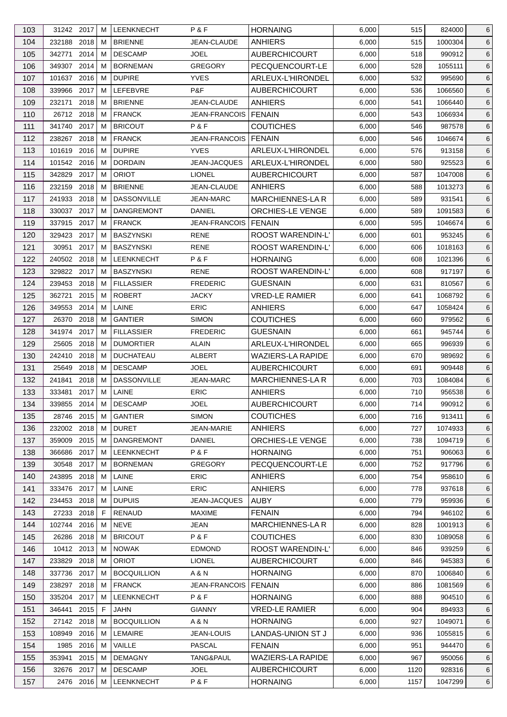| 103 | 31242 2017    |      | м | LEENKNECHT         | P & F                | <b>HORNAING</b>          | 6,000 | 515  | 824000  | 6 |
|-----|---------------|------|---|--------------------|----------------------|--------------------------|-------|------|---------|---|
| 104 | 232188 2018   |      | м | <b>BRIENNE</b>     | JEAN-CLAUDE          | <b>ANHIERS</b>           | 6,000 | 515  | 1000304 | 6 |
| 105 | 342771        | 2014 | м | <b>DESCAMP</b>     | <b>JOEL</b>          | <b>AUBERCHICOURT</b>     | 6,000 | 518  | 990912  | 6 |
| 106 | 349307 2014   |      | м | <b>BORNEMAN</b>    | <b>GREGORY</b>       | PECQUENCOURT-LE          | 6,000 | 528  | 1055111 | 6 |
| 107 | 101637 2016   |      | м | <b>DUPIRE</b>      | <b>YVES</b>          | ARLEUX-L'HIRONDEL        | 6,000 | 532  | 995690  | 6 |
| 108 | 339966        | 2017 | м | LEFEBVRE           | P&F                  | <b>AUBERCHICOURT</b>     | 6,000 | 536  | 1066560 | 6 |
| 109 | 232171        | 2018 | м | <b>BRIENNE</b>     | JEAN-CLAUDE          | ANHIERS                  | 6,000 | 541  | 1066440 | 6 |
| 110 | 26712 2018    |      | м | <b>FRANCK</b>      | <b>JEAN-FRANCOIS</b> | <b>FENAIN</b>            | 6,000 | 543  | 1066934 | 6 |
| 111 | 341740 2017   |      | м | <b>BRICOUT</b>     | P&F                  | <b>COUTICHES</b>         | 6,000 | 546  | 987578  | 6 |
| 112 | 238267        | 2018 | м | <b>FRANCK</b>      | <b>JEAN-FRANCOIS</b> | I FENAIN                 | 6,000 | 546  | 1046674 | 6 |
| 113 | 101619        | 2016 | м | <b>DUPIRE</b>      | <b>YVES</b>          | ARLEUX-L'HIRONDEL        | 6,000 | 576  | 913158  | 6 |
| 114 | 101542 2016   |      | м | <b>DORDAIN</b>     | JEAN-JACQUES         | ARLEUX-L'HIRONDEL        | 6,000 | 580  | 925523  | 6 |
| 115 | 342829 2017   |      | м | <b>ORIOT</b>       | <b>LIONEL</b>        | <b>AUBERCHICOURT</b>     | 6,000 | 587  | 1047008 | 6 |
| 116 | 232159        | 2018 | м | <b>BRIENNE</b>     | JEAN-CLAUDE          | <b>ANHIERS</b>           | 6,000 | 588  | 1013273 | 6 |
| 117 | 241933 2018   |      | м | <b>DASSONVILLE</b> | JEAN-MARC            | MARCHIENNES-LA R         | 6,000 | 589  | 931541  | 6 |
| 118 | 330037 2017   |      | м | <b>DANGREMONT</b>  | DANIEL               | ORCHIES-LE VENGE         | 6,000 | 589  | 1091583 | 6 |
| 119 | 337915 2017   |      | М | <b>FRANCK</b>      | <b>JEAN-FRANCOIS</b> | <b>FENAIN</b>            | 6,000 | 595  | 1046674 | 6 |
| 120 | 329423 2017   |      | м | <b>BASZYNSKI</b>   | <b>RENE</b>          | ROOST WARENDIN-L'        | 6,000 | 601  | 953245  | 6 |
| 121 | 30951         | 2017 | м | <b>BASZYNSKI</b>   | <b>RENE</b>          | ROOST WARENDIN-L'        | 6,000 | 606  | 1018163 | 6 |
| 122 | 240502 2018   |      | M | <b>LEENKNECHT</b>  | P&F                  | <b>HORNAING</b>          | 6,000 | 608  | 1021396 | 6 |
| 123 | 329822 2017   |      | м | <b>BASZYNSKI</b>   | RENE                 | ROOST WARENDIN-L'        | 6,000 | 608  | 917197  | 6 |
|     | 239453        | 2018 | М | <b>FILLASSIER</b>  | <b>FREDERIC</b>      | <b>GUESNAIN</b>          |       |      | 810567  |   |
| 124 |               |      |   |                    |                      |                          | 6,000 | 631  |         | 6 |
| 125 | 362721        | 2015 | м | <b>ROBERT</b>      | <b>JACKY</b>         | <b>VRED-LE RAMIER</b>    | 6,000 | 641  | 1068792 | 6 |
| 126 | 349553        | 2014 | м | LAINE              | <b>ERIC</b>          | <b>ANHIERS</b>           | 6,000 | 647  | 1058424 | 6 |
| 127 | 26370         | 2018 | м | <b>GANTIER</b>     | <b>SIMON</b>         | <b>COUTICHES</b>         | 6,000 | 660  | 979562  | 6 |
| 128 | 341974 2017   |      | м | <b>FILLASSIER</b>  | <b>FREDERIC</b>      | <b>GUESNAIN</b>          | 6,000 | 661  | 945744  | 6 |
| 129 | 25605 2018    |      | м | <b>DUMORTIER</b>   | <b>ALAIN</b>         | ARLEUX-L'HIRONDEL        | 6,000 | 665  | 996939  | 6 |
| 130 | 242410        | 2018 | м | <b>DUCHATEAU</b>   | ALBERT               | <b>WAZIERS-LA RAPIDE</b> | 6,000 | 670  | 989692  | 6 |
| 131 | 25649         | 2018 | м | <b>DESCAMP</b>     | JOEL                 | <b>AUBERCHICOURT</b>     | 6,000 | 691  | 909448  | 6 |
| 132 | 241841        | 2018 | м | <b>DASSONVILLE</b> | <b>JEAN-MARC</b>     | MARCHIENNES-LA R         | 6,000 | 703  | 1084084 | 6 |
| 133 | 333481        | 2017 | M | LAINE              | <b>ERIC</b>          | <b>ANHIERS</b>           | 6,000 | 710  | 956538  | 6 |
| 134 | 339855 2014 M |      |   | <b>DESCAMP</b>     | <b>JOEL</b>          | <b>AUBERCHICOURT</b>     | 6,000 | 714  | 990912  | 6 |
| 135 | 28746 2015    |      | М | <b>GANTIER</b>     | <b>SIMON</b>         | <b>COUTICHES</b>         | 6,000 | 716  | 913411  | 6 |
| 136 | 232002 2018   |      | м | <b>DURET</b>       | <b>JEAN-MARIE</b>    | <b>ANHIERS</b>           | 6,000 | 727  | 1074933 | 6 |
| 137 | 359009        | 2015 | м | <b>DANGREMONT</b>  | DANIEL               | ORCHIES-LE VENGE         | 6,000 | 738  | 1094719 | 6 |
| 138 | 366686        | 2017 | м | <b>LEENKNECHT</b>  | P&F                  | <b>HORNAING</b>          | 6,000 | 751  | 906063  | 6 |
| 139 | 30548 2017    |      | м | <b>BORNEMAN</b>    | <b>GREGORY</b>       | PECQUENCOURT-LE          | 6,000 | 752  | 917796  | 6 |
| 140 | 243895 2018   |      | м | LAINE              | <b>ERIC</b>          | <b>ANHIERS</b>           | 6,000 | 754  | 958610  | 6 |
| 141 | 333476 2017   |      | м | LAINE              | <b>ERIC</b>          | <b>ANHIERS</b>           | 6,000 | 778  | 937618  | 6 |
| 142 | 234453 2018   |      | м | <b>DUPUIS</b>      | JEAN-JACQUES         | <b>AUBY</b>              | 6,000 | 779  | 959936  | 6 |
| 143 | 27233 2018    |      | F | <b>RENAUD</b>      | <b>MAXIME</b>        | <b>FENAIN</b>            | 6,000 | 794  | 946102  | 6 |
| 144 | 102744        | 2016 | M | <b>NEVE</b>        | <b>JEAN</b>          | <b>MARCHIENNES-LA R</b>  | 6,000 | 828  | 1001913 | 6 |
| 145 | 26286 2018    |      | м | <b>BRICOUT</b>     | P&F                  | <b>COUTICHES</b>         | 6,000 | 830  | 1089058 | 6 |
| 146 | 10412 2013    |      | м | <b>NOWAK</b>       | <b>EDMOND</b>        | ROOST WARENDIN-L'        | 6,000 | 846  | 939259  | 6 |
| 147 | 233829        | 2018 | м | <b>ORIOT</b>       | <b>LIONEL</b>        | <b>AUBERCHICOURT</b>     | 6,000 | 846  | 945383  | 6 |
| 148 | 337736        | 2017 | м | <b>BOCQUILLION</b> | A & N                | <b>HORNAING</b>          | 6,000 | 870  | 1006840 | 6 |
| 149 | 238297        | 2018 | м | <b>FRANCK</b>      | JEAN-FRANCOIS        | <b>FENAIN</b>            | 6,000 | 886  | 1081569 | 6 |
| 150 | 335204 2017   |      | м | <b>LEENKNECHT</b>  | P&F                  | <b>HORNAING</b>          | 6,000 | 888  | 904510  | 6 |
| 151 | 346441        | 2015 | F | JAHN               | <b>GIANNY</b>        | <b>VRED-LE RAMIER</b>    | 6,000 | 904  | 894933  | 6 |
| 152 | 27142 2018    |      | м | <b>BOCQUILLION</b> | A & N                | <b>HORNAING</b>          | 6,000 | 927  | 1049071 | 6 |
| 153 | 108949        | 2016 | м | <b>LEMAIRE</b>     | JEAN-LOUIS           | LANDAS-UNION ST J        | 6,000 | 936  | 1055815 | 6 |
| 154 | 1985 2016     |      | м | VAILLE             | <b>PASCAL</b>        | <b>FENAIN</b>            | 6,000 | 951  | 944470  | 6 |
| 155 | 353941        | 2015 | M | <b>DEMAGNY</b>     | TANG&PAUL            | <b>WAZIERS-LA RAPIDE</b> | 6,000 | 967  | 950056  | 6 |
| 156 | 32676 2017    |      | м | <b>DESCAMP</b>     | JOEL                 | <b>AUBERCHICOURT</b>     | 6,000 | 1120 | 928316  | 6 |
| 157 | 2476 2016     |      | М | LEENKNECHT         | P & F                | <b>HORNAING</b>          | 6,000 | 1157 | 1047299 | 6 |
|     |               |      |   |                    |                      |                          |       |      |         |   |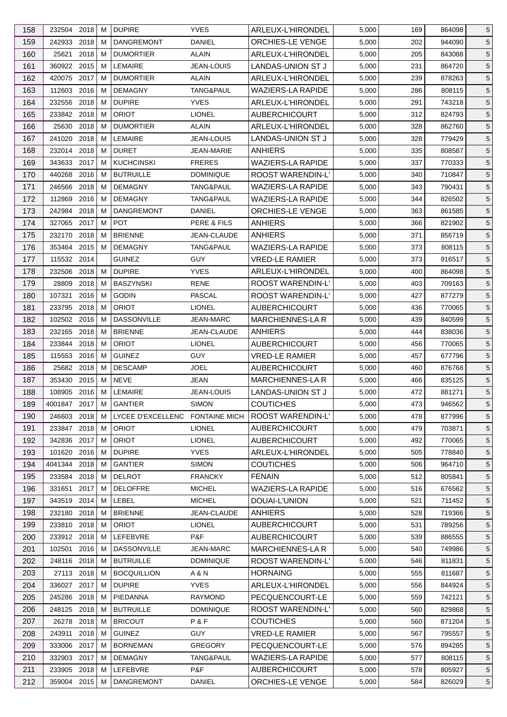| 158 | 232504 2018                |      | м      | <b>DUPIRE</b>                   | <b>YVES</b>                    | ARLEUX-L'HIRONDEL        | 5,000 | 169        | 864098           | 5               |
|-----|----------------------------|------|--------|---------------------------------|--------------------------------|--------------------------|-------|------------|------------------|-----------------|
| 159 | 242933 2018                |      | м      | <b>DANGREMONT</b>               | <b>DANIEL</b>                  | <b>ORCHIES-LE VENGE</b>  | 5,000 | 202        | 944090           | 5               |
| 160 | 25621                      | 2018 | м      | <b>DUMORTIER</b>                | ALAIN                          | ARLEUX-L'HIRONDEL        | 5,000 | 205        | 843088           | 5               |
| 161 | 360922 2015                |      | м      | <b>LEMAIRE</b>                  | <b>JEAN-LOUIS</b>              | LANDAS-UNION ST J        | 5,000 | 231        | 864720           | 5               |
| 162 | 420075 2017                |      | M      | <b>DUMORTIER</b>                | <b>ALAIN</b>                   | ARLEUX-L'HIRONDEL        | 5,000 | 239        | 878263           | 5               |
| 163 | 112603                     | 2016 | м      | <b>DEMAGNY</b>                  | TANG&PAUL                      | <b>WAZIERS-LA RAPIDE</b> | 5,000 | 286        | 808115           | 5               |
| 164 | 232556 2018                |      | м      | <b>DUPIRE</b>                   | <b>YVES</b>                    | ARLEUX-L'HIRONDEL        | 5,000 | 291        | 743218           | 5               |
| 165 | 233842 2018                |      | M      | <b>ORIOT</b>                    | <b>LIONEL</b>                  | <b>AUBERCHICOURT</b>     | 5,000 | 312        | 824793           | 5               |
| 166 | 25630                      | 2018 | м      | <b>DUMORTIER</b>                | ALAIN                          | ARLEUX-L'HIRONDEL        | 5,000 | 328        | 862760           | 5               |
| 167 | 241020                     | 2018 | м      | <b>LEMAIRE</b>                  | <b>JEAN-LOUIS</b>              | LANDAS-UNION ST J        | 5,000 | 328        | 779429           | 5               |
| 168 | 232014                     | 2018 | м      | <b>DURET</b>                    | <b>JEAN-MARIE</b>              | <b>ANHIERS</b>           | 5,000 | 335        | 808587           | 5               |
| 169 | 343633 2017                |      | м      | <b>KUCHCINSKI</b>               | <b>FRERES</b>                  | <b>WAZIERS-LA RAPIDE</b> | 5,000 | 337        | 770333           | 5               |
| 170 | 440268                     | 2016 | м      | <b>BUTRUILLE</b>                | <b>DOMINIQUE</b>               | ROOST WARENDIN-L'        | 5,000 | 340        | 710847           | 5               |
| 171 | 246566                     | 2018 | м      | <b>DEMAGNY</b>                  | TANG&PAUL                      | <b>WAZIERS-LA RAPIDE</b> | 5,000 | 343        | 790431           | 5               |
| 172 | 112869                     | 2016 | м      | <b>DEMAGNY</b>                  | TANG&PAUL                      | <b>WAZIERS-LA RAPIDE</b> | 5,000 | 344        | 826502           | 5               |
| 173 | 242984 2018                |      | м      | <b>DANGREMONT</b>               | DANIEL                         | ORCHIES-LE VENGE         | 5,000 | 363        | 861585           | 5               |
| 174 | 327065                     | 2017 | M      | <b>POT</b>                      | PERE & FILS                    | <b>ANHIERS</b>           | 5,000 | 366        | 821902           | 5               |
| 175 | 232170                     | 2018 | м      | <b>BRIENNE</b>                  | JEAN-CLAUDE                    | ANHIERS                  | 5,000 | 371        | 856719           | 5               |
| 176 | 353464 2015                |      | М      | <b>DEMAGNY</b>                  | TANG&PAUL                      | <b>WAZIERS-LA RAPIDE</b> | 5,000 | 373        | 808115           | 5               |
| 177 | 115532 2014                |      |        | <b>GUINEZ</b>                   | <b>GUY</b>                     | <b>VRED-LE RAMIER</b>    | 5,000 | 373        | 916517           | 5               |
| 178 | 232506                     | 2018 | М      | <b>DUPIRE</b>                   | <b>YVES</b>                    | ARLEUX-L'HIRONDEL        | 5,000 | 400        | 864098           | 5               |
| 179 | 28809                      | 2018 | м      | <b>BASZYNSKI</b>                | <b>RENE</b>                    | <b>ROOST WARENDIN-L'</b> | 5,000 | 403        | 709163           | 5               |
| 180 | 107321                     | 2016 | м      | <b>GODIN</b>                    | PASCAL                         | <b>ROOST WARENDIN-L'</b> | 5,000 | 427        | 877279           | 5               |
| 181 | 233795 2018                |      | м      | <b>ORIOT</b>                    | <b>LIONEL</b>                  | <b>AUBERCHICOURT</b>     | 5,000 | 436        | 770065           | 5               |
| 182 | 102502 2016                |      | M      | <b>DASSONVILLE</b>              | <b>JEAN-MARC</b>               | <b>MARCHIENNES-LAR</b>   | 5,000 | 439        | 840599           | 5               |
| 183 | 232165                     | 2018 | м      | <b>BRIENNE</b>                  | JEAN-CLAUDE                    | <b>ANHIERS</b>           | 5,000 | 444        | 838036           | 5               |
| 184 | 233844 2018                |      | М      | <b>ORIOT</b>                    | <b>LIONEL</b>                  | <b>AUBERCHICOURT</b>     | 5,000 | 456        | 770065           | 5               |
| 185 | 115553 2016                |      | M      | <b>GUINEZ</b>                   | <b>GUY</b>                     | <b>VRED-LE RAMIER</b>    | 5,000 | 457        | 677796           | 5               |
| 186 | 25682 2018                 |      | м      | <b>DESCAMP</b>                  | JOEL                           | <b>AUBERCHICOURT</b>     | 5,000 | 460        | 876768           | 5               |
| 187 | 353430                     | 2015 | М      | <b>NEVE</b>                     | <b>JEAN</b>                    | <b>MARCHIENNES-LAR</b>   | 5,000 | 466        | 835125           | 5               |
| 188 | 108905 2016                |      | M      | <b>LEMAIRE</b>                  | <b>JEAN-LOUIS</b>              | <b>LANDAS-UNION ST J</b> | 5,000 | 472        | 881271           | 5               |
| 189 | 4001847 2017   M           |      |        | <b>GANTIER</b>                  | <b>SIMON</b>                   | <b>COUTICHES</b>         | 5,000 | 473        | 946562           | 5               |
|     | 246603 2018                |      |        |                                 |                                |                          |       |            |                  |                 |
| 190 |                            |      | М<br>м | LYCEE D'EXCELLENC FONTAINE MICH |                                | ROOST WARENDIN-L'        | 5,000 | 478        | 877996           | 5               |
| 191 | 233847 2018<br>342836 2017 |      |        | <b>ORIOT</b><br><b>ORIOT</b>    | <b>LIONEL</b><br><b>LIONEL</b> | <b>AUBERCHICOURT</b>     | 5,000 | 479<br>492 | 703871<br>770065 | 5               |
| 192 |                            |      | м      |                                 |                                | <b>AUBERCHICOURT</b>     | 5,000 |            |                  | 5               |
| 193 | 101620                     | 2016 | M      | <b>DUPIRE</b>                   | <b>YVES</b>                    | <b>ARLEUX-L'HIRONDEL</b> | 5,000 | 505        | 778840           | 5               |
| 194 | 4041344 2018               |      | м      | <b>GANTIER</b>                  | <b>SIMON</b>                   | <b>COUTICHES</b>         | 5,000 | 506        | 964710           | $5\phantom{.0}$ |
| 195 | 233584 2018                |      | м      | <b>DELROT</b>                   | <b>FRANCKY</b>                 | <b>FENAIN</b>            | 5,000 | 512        | 805841           | $5\phantom{.0}$ |
| 196 | 331651                     | 2017 | м      | <b>DELOFFRE</b>                 | <b>MICHEL</b>                  | <b>WAZIERS-LA RAPIDE</b> | 5,000 | 516        | 676562           | 5               |
| 197 | 343519                     | 2014 | M      | LEBEL                           | <b>MICHEL</b>                  | DOUAI-L'UNION            | 5,000 | 521        | 711452           | 5               |
| 198 | 232180 2018                |      | м      | <b>BRIENNE</b>                  | JEAN-CLAUDE                    | <b>ANHIERS</b>           | 5,000 | 528        | 719366           | 5               |
| 199 | 233810 2018                |      | м      | <b>ORIOT</b>                    | <b>LIONEL</b>                  | <b>AUBERCHICOURT</b>     | 5,000 | 531        | 789256           | 5               |
| 200 | 233912 2018                |      | м      | LEFEBVRE                        | P&F                            | <b>AUBERCHICOURT</b>     | 5,000 | 539        | 886555           | 5               |
| 201 | 102501                     | 2016 | м      | <b>DASSONVILLE</b>              | <b>JEAN-MARC</b>               | <b>MARCHIENNES-LAR</b>   | 5,000 | 540        | 749986           | 5               |
| 202 | 248116 2018                |      | м      | <b>BUTRUILLE</b>                | <b>DOMINIQUE</b>               | ROOST WARENDIN-L'        | 5,000 | 546        | 811831           | 5               |
| 203 | 27113 2018                 |      | м      | <b>BOCQUILLION</b>              | A & N                          | <b>HORNAING</b>          | 5,000 | 555        | 811687           | 5               |
| 204 | 336027                     | 2017 | м      | <b>DUPIRE</b>                   | <b>YVES</b>                    | ARLEUX-L'HIRONDEL        | 5,000 | 556        | 844924           | 5               |
| 205 | 245286 2018                |      | м      | PIEDANNA                        | <b>RAYMOND</b>                 | PECQUENCOURT-LE          | 5,000 | 559        | 742121           | $5\phantom{.0}$ |
| 206 | 248125 2018                |      | м      | <b>BUTRUILLE</b>                | <b>DOMINIQUE</b>               | ROOST WARENDIN-L'        | 5,000 | 560        | 829868           | 5               |
| 207 | 26278                      | 2018 | м      | <b>BRICOUT</b>                  | P&F                            | <b>COUTICHES</b>         | 5,000 | 560        | 871204           | 5               |
| 208 | 243911                     | 2018 | м      | <b>GUINEZ</b>                   | GUY.                           | <b>VRED-LE RAMIER</b>    | 5,000 | 567        | 795557           | 5               |
| 209 | 333006 2017                |      | м      | <b>BORNEMAN</b>                 | <b>GREGORY</b>                 | PECQUENCOURT-LE          | 5,000 | 576        | 894285           | 5               |
| 210 | 332903 2017                |      | м      | <b>DEMAGNY</b>                  | TANG&PAUL                      | <b>WAZIERS-LA RAPIDE</b> | 5,000 | 577        | 808115           | 5               |
| 211 | 233905 2018                |      | M      | LEFEBVRE                        | P&F                            | <b>AUBERCHICOURT</b>     | 5,000 | 578        | 805927           | $5\phantom{.0}$ |
| 212 | 359004 2015                |      | М      | DANGREMONT                      | DANIEL                         | ORCHIES-LE VENGE         | 5,000 | 584        | 826029           | $\sqrt{5}$      |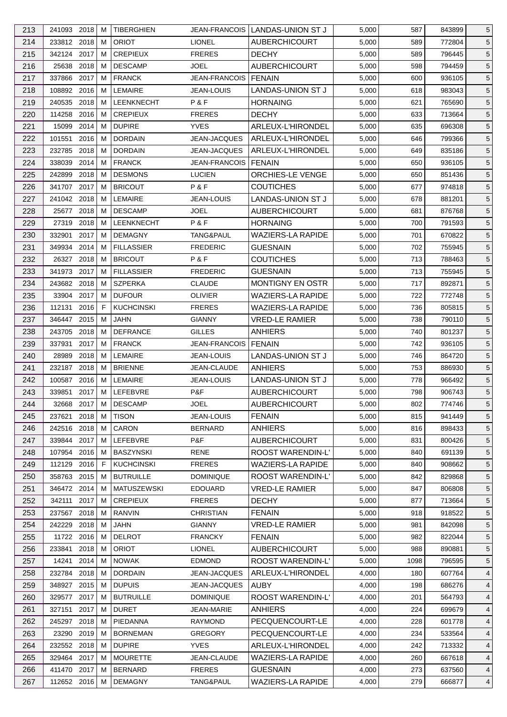| 213        | 241093 2018                |              | м | <b>TIBERGHIEN</b>                |                                       | JEAN-FRANCOIS   LANDAS-UNION ST J | 5,000          | 587        | 843899           | 5               |
|------------|----------------------------|--------------|---|----------------------------------|---------------------------------------|-----------------------------------|----------------|------------|------------------|-----------------|
| 214        | 233812 2018                |              | м | <b>ORIOT</b>                     | <b>LIONEL</b>                         | <b>AUBERCHICOURT</b>              | 5,000          | 589        | 772804           | 5               |
| 215        | 342124 2017                |              | м | <b>CREPIEUX</b>                  | <b>FRERES</b>                         | <b>DECHY</b>                      | 5,000          | 589        | 796445           | 5               |
| 216        | 25638 2018                 |              | м | <b>DESCAMP</b>                   | JOEL                                  | <b>AUBERCHICOURT</b>              | 5,000          | 598        | 794459           | 5               |
| 217        | 337866 2017                |              | м | <b>FRANCK</b>                    | <b>JEAN-FRANCOIS</b>                  | <b>FENAIN</b>                     | 5,000          | 600        | 936105           | $\overline{5}$  |
| 218        | 108892 2016                |              | м | <b>LEMAIRE</b>                   | JEAN-LOUIS                            | <b>LANDAS-UNION ST J</b>          | 5,000          | 618        | 983043           | 5               |
| 219        | 240535 2018                |              | м | <b>LEENKNECHT</b>                | P&F                                   | <b>HORNAING</b>                   | 5,000          | 621        | 765690           | 5               |
| 220        | 114258 2016                |              | м | <b>CREPIEUX</b>                  | <b>FRERES</b>                         | <b>DECHY</b>                      | 5,000          | 633        | 713664           | $\sqrt{5}$      |
| 221        | 15099                      | 2014         | M | <b>DUPIRE</b>                    | <b>YVES</b>                           | ARLEUX-L'HIRONDEL                 | 5,000          | 635        | 696308           | 5               |
|            |                            |              | м |                                  |                                       |                                   |                |            |                  |                 |
| 222        | 101551<br>232785           | 2016<br>2018 | M | <b>DORDAIN</b><br><b>DORDAIN</b> | <b>JEAN-JACQUES</b><br>JEAN-JACQUES   | ARLEUX-L'HIRONDEL                 | 5,000          | 646        | 799366<br>835186 | 5               |
| 223        |                            |              | М | <b>FRANCK</b>                    |                                       | ARLEUX-L'HIRONDEL                 | 5,000          | 649        |                  | 5               |
| 224<br>225 | 338039 2014<br>242899 2018 |              | м | <b>DESMONS</b>                   | <b>JEAN-FRANCOIS</b><br><b>LUCIEN</b> | I FENAIN<br>ORCHIES-LE VENGE      | 5,000<br>5,000 | 650<br>650 | 936105<br>851436 | $\sqrt{5}$<br>5 |
| 226        | 341707 2017                |              | м | <b>BRICOUT</b>                   | P&F                                   | <b>COUTICHES</b>                  | 5,000          | 677        | 974818           | 5               |
|            |                            |              |   |                                  |                                       |                                   |                |            |                  |                 |
| 227        | 241042 2018                |              | м | LEMAIRE                          | JEAN-LOUIS                            | LANDAS-UNION ST J                 | 5,000          | 678        | 881201           | 5               |
| 228        | 25677 2018                 |              | м | <b>DESCAMP</b>                   | <b>JOEL</b>                           | <b>AUBERCHICOURT</b>              | 5,000          | 681        | 876768           | $\overline{5}$  |
| 229        | 27319 2018                 |              | м | <b>LEENKNECHT</b>                | P&F                                   | <b>HORNAING</b>                   | 5,000          | 700        | 791593           | $5\phantom{.0}$ |
| 230        | 332901                     | 2017         | м | <b>DEMAGNY</b>                   | TANG&PAUL                             | <b>WAZIERS-LA RAPIDE</b>          | 5,000          | 701        | 670822           | 5               |
| 231        | 349934 2014                |              | м | <b>FILLASSIER</b>                | <b>FREDERIC</b>                       | <b>GUESNAIN</b>                   | 5,000          | 702        | 755945           | $\sqrt{5}$      |
| 232        | 26327 2018                 |              | м | <b>BRICOUT</b>                   | P&F                                   | <b>COUTICHES</b>                  | 5,000          | 713        | 788463           | 5               |
| 233        | 341973 2017                |              | м | <b>FILLASSIER</b>                | <b>FREDERIC</b>                       | <b>GUESNAIN</b>                   | 5,000          | 713        | 755945           | 5               |
| 234        | 243682 2018                |              | М | <b>SZPERKA</b>                   | <b>CLAUDE</b>                         | MONTIGNY EN OSTR                  | 5,000          | 717        | 892871           | 5               |
| 235        | 33904 2017                 |              | м | <b>DUFOUR</b>                    | <b>OLIVIER</b>                        | <b>WAZIERS-LA RAPIDE</b>          | 5,000          | 722        | 772748           | 5               |
| 236        | 112131 2016                |              | F | <b>KUCHCINSKI</b>                | <b>FRERES</b>                         | WAZIERS-LA RAPIDE                 | 5,000          | 736        | 805815           | 5               |
| 237        | 346447 2015                |              | м | JAHN                             | <b>GIANNY</b>                         | <b>VRED-LE RAMIER</b>             | 5,000          | 738        | 790110           | 5               |
| 238        | 243705 2018                |              | м | <b>DEFRANCE</b>                  | <b>GILLES</b>                         | <b>ANHIERS</b>                    | 5,000          | 740        | 801237           | 5               |
| 239        | 337931                     | 2017         | м | <b>FRANCK</b>                    | <b>JEAN-FRANCOIS</b>                  | <b>FENAIN</b>                     | 5,000          | 742        | 936105           | $\overline{5}$  |
| 240        | 28989                      | 2018         | М | <b>LEMAIRE</b>                   | JEAN-LOUIS                            | LANDAS-UNION ST J                 | 5,000          | 746        | 864720           | 5               |
| 241        | 232187 2018                |              | м | <b>BRIENNE</b>                   | JEAN-CLAUDE                           | ANHIERS                           | 5,000          | 753        | 886930           | 5               |
| 242        | 100587 2016                |              | М | LEMAIRE                          | JEAN-LOUIS                            | LANDAS-UNION ST J                 | 5,000          | 778        | 966492           | $5\phantom{.0}$ |
| 243        | 339851 2017                |              | M | LEFEBVRE                         | P&F                                   | <b>AUBERCHICOURT</b>              | 5,000          | 798        | 906743           | 5               |
| 244        | 32668 2017   M             |              |   | <b>DESCAMP</b>                   | <b>JOEL</b>                           | <b>AUBERCHICOURT</b>              | 5,000          | 802        | 774746           | $\,$ 5 $\,$     |
| 245        | 237621 2018                |              | М | <b>TISON</b>                     | <b>JEAN-LOUIS</b>                     | <b>FENAIN</b>                     | 5,000          | 815        | 941449           | 5               |
| 246        | 242516 2018                |              | м | CARON                            | <b>BERNARD</b>                        | <b>ANHIERS</b>                    | 5,000          | 816        | 898433           | 5               |
| 247        | 339844                     | 2017         | м | LEFEBVRE                         | P&F                                   | <b>AUBERCHICOURT</b>              | 5,000          | 831        | 800426           | 5               |
| 248        | 107954                     | 2016         | м | <b>BASZYNSKI</b>                 | <b>RENE</b>                           | ROOST WARENDIN-L'                 | 5,000          | 840        | 691139           | 5               |
| 249        | 112129 2016                |              | F | <b>KUCHCINSKI</b>                | <b>FRERES</b>                         | <b>WAZIERS-LA RAPIDE</b>          | 5,000          | 840        | 908662           | 5               |
| 250        | 358763 2015                |              | м | <b>BUTRUILLE</b>                 | <b>DOMINIQUE</b>                      | ROOST WARENDIN-L'                 | 5,000          | 842        | 829868           | 5               |
| 251        | 346472 2014                |              | м | <b>MATUSZEWSKI</b>               | <b>EDOUARD</b>                        | <b>VRED-LE RAMIER</b>             | 5,000          | 847        | 806808           | 5               |
| 252        | 342111                     | 2017         | м | <b>CREPIEUX</b>                  | <b>FRERES</b>                         | <b>DECHY</b>                      | 5,000          | 877        | 713664           | 5               |
|            |                            |              |   |                                  | <b>CHRISTIAN</b>                      |                                   |                |            |                  |                 |
| 253        | 237567<br>242229 2018      | 2018         | м | RANVIN<br><b>JAHN</b>            |                                       | <b>FENAIN</b>                     | 5,000          | 918        | 918522           | 5               |
| 254        |                            |              | M |                                  | <b>GIANNY</b>                         | <b>VRED-LE RAMIER</b>             | 5,000          | 981        | 842098           | 5               |
| 255        | 11722 2016                 |              | м | <b>DELROT</b>                    | <b>FRANCKY</b>                        | <b>FENAIN</b>                     | 5,000          | 982        | 822044           | 5               |
| 256        | 233841                     | 2018         | м | <b>ORIOT</b>                     | <b>LIONEL</b>                         | <b>AUBERCHICOURT</b>              | 5,000          | 988        | 890881           | 5               |
| 257        | 14241                      | 2014         | м | <b>NOWAK</b>                     | <b>EDMOND</b>                         | <b>ROOST WARENDIN-L'</b>          | 5,000          | 1098       | 796595           | 5               |
| 258        | 232784                     | 2018         | м | <b>DORDAIN</b>                   | JEAN-JACQUES                          | ARLEUX-L'HIRONDEL                 | 4,000          | 180        | 607764           | 4               |
| 259        | 348927                     | 2015         | м | <b>DUPUIS</b>                    | <b>JEAN-JACQUES</b>                   | <b>AUBY</b>                       | 4,000          | 198        | 686276           | 4               |
| 260        | 329577 2017                |              | м | <b>BUTRUILLE</b>                 | <b>DOMINIQUE</b>                      | ROOST WARENDIN-L'                 | 4,000          | 201        | 564793           | 4               |
| 261        | 327151                     | 2017         | м | <b>DURET</b>                     | <b>JEAN-MARIE</b>                     | <b>ANHIERS</b>                    | 4,000          | 224        | 699679           | 4               |
| 262        | 245297                     | 2018         | м | PIEDANNA                         | <b>RAYMOND</b>                        | PECQUENCOURT-LE                   | 4,000          | 228        | 601778           | 4               |
| 263        | 23290 2019                 |              | м | <b>BORNEMAN</b>                  | <b>GREGORY</b>                        | PECQUENCOURT-LE                   | 4,000          | 234        | 533564           | 4               |
| 264        | 232552 2018                |              | м | <b>DUPIRE</b>                    | <b>YVES</b>                           | ARLEUX-L'HIRONDEL                 | 4,000          | 242        | 713332           | 4               |
| 265        | 329464 2017                |              | м | <b>MOURETTE</b>                  | JEAN-CLAUDE                           | <b>WAZIERS-LA RAPIDE</b>          | 4,000          | 260        | 667618           | 4               |
| 266        | 411470 2017                |              | м | <b>BERNARD</b>                   | <b>FRERES</b>                         | <b>GUESNAIN</b>                   | 4,000          | 273        | 637560           | 4               |
| 267        | 112652 2016                |              | М | <b>DEMAGNY</b>                   | TANG&PAUL                             | WAZIERS-LA RAPIDE                 | 4,000          | 279        | 666877           | $\overline{4}$  |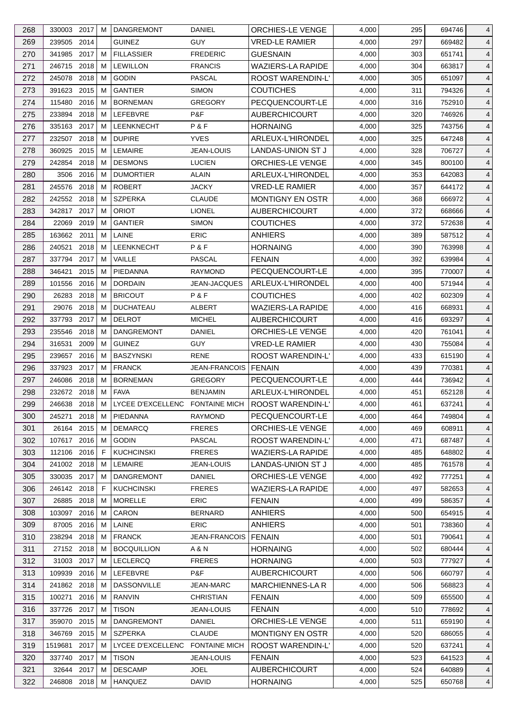| 268 | 330003 2017   |              | м      | <b>DANGREMONT</b>                 | DANIEL                    | <b>ORCHIES-LE VENGE</b>     | 4,000 | 295 | 694746           | 4              |
|-----|---------------|--------------|--------|-----------------------------------|---------------------------|-----------------------------|-------|-----|------------------|----------------|
| 269 | 239505 2014   |              |        | <b>GUINEZ</b>                     | <b>GUY</b>                | <b>VRED-LE RAMIER</b>       | 4,000 | 297 | 669482           | 4              |
| 270 | 341985        | 2017         | м      | <b>FILLASSIER</b>                 | <b>FREDERIC</b>           | <b>GUESNAIN</b>             | 4,000 | 303 | 651741           | 4              |
| 271 | 246715 2018   |              | м      | <b>LEWILLON</b>                   | <b>FRANCIS</b>            | <b>WAZIERS-LA RAPIDE</b>    | 4,000 | 304 | 663817           | 4              |
| 272 | 245078 2018   |              | м      | <b>GODIN</b>                      | <b>PASCAL</b>             | <b>ROOST WARENDIN-L'</b>    | 4,000 | 305 | 651097           | 4              |
| 273 | 391623        | 2015         | м      | <b>GANTIER</b>                    | <b>SIMON</b>              | <b>COUTICHES</b>            | 4,000 | 311 | 794326           | 4              |
| 274 | 115480        | 2016         | м      | <b>BORNEMAN</b>                   | <b>GREGORY</b>            | PECQUENCOURT-LE             | 4,000 | 316 | 752910           | 4              |
| 275 | 233894 2018   |              | м      | LEFEBVRE                          | P&F                       | <b>AUBERCHICOURT</b>        | 4,000 | 320 | 746926           | 4              |
| 276 | 335163 2017   |              | м      | <b>LEENKNECHT</b>                 | P&F                       | <b>HORNAING</b>             | 4,000 | 325 | 743756           | $\overline{4}$ |
| 277 | 232507        | 2018         | м      | <b>DUPIRE</b>                     | <b>YVES</b>               | ARLEUX-L'HIRONDEL           | 4,000 | 325 | 647248           | 4              |
| 278 | 360925        | 2015         | М      | <b>LEMAIRE</b>                    | <b>JEAN-LOUIS</b>         | LANDAS-UNION ST J           | 4,000 | 328 | 706727           | 4              |
| 279 | 242854 2018   |              | м      | <b>DESMONS</b>                    | <b>LUCIEN</b>             | <b>ORCHIES-LE VENGE</b>     | 4,000 | 345 | 800100           | 4              |
| 280 |               | 3506 2016    | м      | <b>DUMORTIER</b>                  | ALAIN                     | ARLEUX-L'HIRONDEL           | 4,000 | 353 | 642083           | 4              |
| 281 | 245576        | 2018         | м      | <b>ROBERT</b>                     | <b>JACKY</b>              | <b>VRED-LE RAMIER</b>       | 4,000 | 357 | 644172           | 4              |
| 282 | 242552 2018   |              | м      | <b>SZPERKA</b>                    | <b>CLAUDE</b>             | <b>MONTIGNY EN OSTR</b>     | 4,000 | 368 | 666972           | 4              |
| 283 | 342817 2017   |              | м      | <b>ORIOT</b>                      | <b>LIONEL</b>             | <b>AUBERCHICOURT</b>        | 4,000 | 372 | 668666           | 4              |
| 284 | 22069         | 2019         | м      | <b>GANTIER</b>                    | <b>SIMON</b>              | <b>COUTICHES</b>            | 4,000 | 372 | 572638           | 4              |
| 285 | 163662        | 2011         | м      | LAINE                             | <b>ERIC</b>               | <b>ANHIERS</b>              | 4,000 | 389 | 587512           | 4              |
| 286 | 240521        | 2018         | м      | LEENKNECHT                        | P&F                       | <b>HORNAING</b>             | 4,000 | 390 | 763998           | 4              |
| 287 | 337794        | 2017         | M      | VAILLE                            | PASCAL                    | <b>FENAIN</b>               | 4,000 | 392 | 639984           | 4              |
| 288 | 346421        | 2015         | м      | PIEDANNA                          | <b>RAYMOND</b>            | PECQUENCOURT-LE             | 4,000 | 395 | 770007           | 4              |
| 289 | 101556        | 2016         | м      | <b>DORDAIN</b>                    | JEAN-JACQUES              | ARLEUX-L'HIRONDEL           | 4,000 | 400 | 571944           | 4              |
| 290 | 26283 2018    |              | м      | <b>BRICOUT</b>                    | P&F                       | <b>COUTICHES</b>            | 4,000 | 402 | 602309           | 4              |
| 291 | 29076 2018    |              | м      | <b>DUCHATEAU</b>                  | <b>ALBERT</b>             | <b>WAZIERS-LA RAPIDE</b>    | 4,000 | 416 | 668931           | 4              |
| 292 | 337793        | 2017         | м      | <b>DELROT</b>                     | <b>MICHEL</b>             | <b>AUBERCHICOURT</b>        | 4,000 | 416 | 693297           | 4              |
|     |               | 2018         | м      |                                   |                           |                             |       |     |                  |                |
| 293 | 235546        |              |        | <b>DANGREMONT</b>                 | DANIEL                    | ORCHIES-LE VENGE            | 4,000 | 420 | 761041           | $\overline{4}$ |
| 294 | 316531        | 2009         | м      | <b>GUINEZ</b><br><b>BASZYNSKI</b> | <b>GUY</b><br><b>RENE</b> | <b>VRED-LE RAMIER</b>       | 4,000 | 430 | 755084           | 4              |
| 295 | 239657        | 2016<br>2017 | м      | <b>FRANCK</b>                     | <b>JEAN-FRANCOIS</b>      | ROOST WARENDIN-L'           | 4,000 | 433 | 615190<br>770381 | 4              |
| 296 | 337923        | 2018         | м<br>м | <b>BORNEMAN</b>                   |                           | I FENAIN<br>PECQUENCOURT-LE | 4,000 | 439 |                  | 4              |
| 297 | 246086        |              |        |                                   | <b>GREGORY</b>            |                             | 4,000 | 444 | 736942           | 4              |
| 298 | 232672 2018   |              | M      | <b>FAVA</b>                       | <b>BENJAMIN</b>           | ARLEUX-L'HIRONDEL           | 4,000 | 451 | 652128           | $\overline{4}$ |
| 299 | 246638 2018 M |              |        | LYCEE D'EXCELLENC FONTAINE MICH   |                           | ROOST WARENDIN-L'           | 4,000 | 461 | 637241           | $\overline{4}$ |
| 300 | 245271 2018   |              | М      | PIEDANNA                          | <b>RAYMOND</b>            | PECQUENCOURT-LE             | 4,000 | 464 | 749804           | $\overline{4}$ |
| 301 | 26164 2015    |              | м      | <b>DEMARCQ</b>                    | <b>FRERES</b>             | <b>ORCHIES-LE VENGE</b>     | 4,000 | 469 | 608911           | 4              |
| 302 | 107617 2016   |              | м      | <b>GODIN</b>                      | <b>PASCAL</b>             | ROOST WARENDIN-L'           | 4,000 | 471 | 687487           | 4              |
| 303 | 112106        | 2016         | F      | <b>KUCHCINSKI</b>                 | <b>FRERES</b>             | <b>WAZIERS-LA RAPIDE</b>    | 4,000 | 485 | 648802           | 4              |
| 304 | 241002 2018   |              | м      | LEMAIRE                           | JEAN-LOUIS                | LANDAS-UNION ST J           | 4,000 | 485 | 761578           | 4              |
| 305 | 330035 2017   |              | м      | <b>DANGREMONT</b>                 | <b>DANIEL</b>             | ORCHIES-LE VENGE            | 4,000 | 492 | 777251           | 4              |
| 306 | 246142 2018   |              | F      | <b>KUCHCINSKI</b>                 | <b>FRERES</b>             | <b>WAZIERS-LA RAPIDE</b>    | 4,000 | 497 | 582653           | 4              |
| 307 | 26885 2018    |              | м      | <b>MORELLE</b>                    | ERIC                      | <b>FENAIN</b>               | 4,000 | 499 | 586357           | 4              |
| 308 | 103097        | 2016         | м      | CARON                             | <b>BERNARD</b>            | <b>ANHIERS</b>              | 4,000 | 500 | 654915           | 4              |
| 309 | 87005 2016    |              | м      | LAINE                             | <b>ERIC</b>               | <b>ANHIERS</b>              | 4,000 | 501 | 738360           | 4              |
| 310 | 238294 2018   |              | м      | <b>FRANCK</b>                     | <b>JEAN-FRANCOIS</b>      | <b>FENAIN</b>               | 4,000 | 501 | 790641           | 4              |
| 311 | 27152 2018    |              | м      | <b>BOCQUILLION</b>                | A & N                     | <b>HORNAING</b>             | 4,000 | 502 | 680444           | 4              |
| 312 | 31003 2017    |              | м      | <b>LECLERCQ</b>                   | <b>FRERES</b>             | <b>HORNAING</b>             | 4,000 | 503 | 777927           | 4              |
| 313 | 109939        | 2016         | м      | LEFEBVRE                          | P&F                       | <b>AUBERCHICOURT</b>        | 4,000 | 506 | 660797           | 4              |
| 314 | 241862        | 2018         | м      | <b>DASSONVILLE</b>                | <b>JEAN-MARC</b>          | MARCHIENNES-LA R            | 4,000 | 506 | 568823           | 4              |
| 315 | 100271        | 2016         | м      | RANVIN                            | <b>CHRISTIAN</b>          | <b>FENAIN</b>               | 4,000 | 509 | 655500           | 4              |
| 316 | 337726 2017   |              | м      | <b>TISON</b>                      | <b>JEAN-LOUIS</b>         | <b>FENAIN</b>               | 4,000 | 510 | 778692           | 4              |
| 317 | 359070        | 2015         | M      | <b>DANGREMONT</b>                 | DANIEL                    | ORCHIES-LE VENGE            | 4,000 | 511 | 659190           | 4              |
| 318 | 346769        | 2015         | м      | <b>SZPERKA</b>                    | <b>CLAUDE</b>             | <b>MONTIGNY EN OSTR</b>     | 4,000 | 520 | 686055           | 4              |
| 319 | 1519681       | 2017         | м      | LYCEE D'EXCELLENC FONTAINE MICH   |                           | ROOST WARENDIN-L'           | 4,000 | 520 | 637241           | 4              |
| 320 | 337740 2017   |              | м      | <b>TISON</b>                      | JEAN-LOUIS                | <b>FENAIN</b>               | 4,000 | 523 | 641523           | 4              |
| 321 | 32644 2017    |              | м      | <b>DESCAMP</b>                    | <b>JOEL</b>               | <b>AUBERCHICOURT</b>        | 4,000 | 524 | 640889           | 4              |
| 322 | 246808 2018   |              | м      | HANQUEZ                           | <b>DAVID</b>              | <b>HORNAING</b>             | 4,000 | 525 | 650768           | $\overline{4}$ |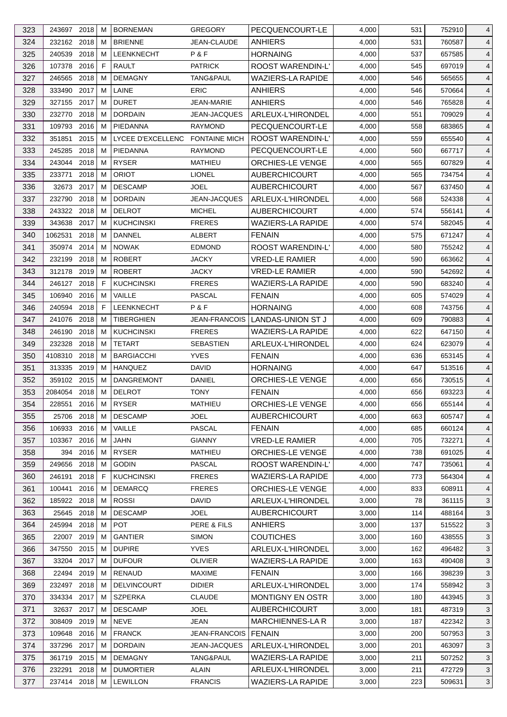| 323 | 243697 2018   |      | м | <b>BORNEMAN</b>                 | <b>GREGORY</b>       | PECQUENCOURT-LE          | 4,000 | 531 | 752910 | 4              |
|-----|---------------|------|---|---------------------------------|----------------------|--------------------------|-------|-----|--------|----------------|
| 324 | 232162 2018   |      | м | <b>BRIENNE</b>                  | JEAN-CLAUDE          | ANHIERS                  | 4,000 | 531 | 760587 | 4              |
| 325 | 240539        | 2018 | м | LEENKNECHT                      | P&F                  | <b>HORNAING</b>          | 4,000 | 537 | 657585 | 4              |
| 326 | 107378 2016   |      | F | <b>RAULT</b>                    | <b>PATRICK</b>       | ROOST WARENDIN-L'        | 4,000 | 545 | 697019 | 4              |
| 327 | 246565        | 2018 | м | <b>DEMAGNY</b>                  | TANG&PAUL            | <b>WAZIERS-LA RAPIDE</b> | 4,000 | 546 | 565655 | 4              |
| 328 | 333490        | 2017 | м | LAINE                           | <b>ERIC</b>          | <b>ANHIERS</b>           | 4,000 | 546 | 570664 | 4              |
| 329 | 327155 2017   |      | м | <b>DURET</b>                    | JEAN-MARIE           | <b>ANHIERS</b>           | 4,000 | 546 | 765828 | 4              |
| 330 | 232770        | 2018 | м | <b>DORDAIN</b>                  | <b>JEAN-JACQUES</b>  | ARLEUX-L'HIRONDEL        | 4,000 | 551 | 709029 | 4              |
| 331 | 109793        | 2016 | M | PIEDANNA                        | <b>RAYMOND</b>       | PECQUENCOURT-LE          | 4,000 | 558 | 683865 | $\overline{4}$ |
| 332 | 351851        | 2015 | м | LYCEE D'EXCELLENC FONTAINE MICH |                      | <b>ROOST WARENDIN-L'</b> | 4,000 | 559 | 655540 | 4              |
| 333 | 245285        | 2018 | М | PIEDANNA                        | <b>RAYMOND</b>       | PECQUENCOURT-LE          | 4,000 | 560 | 667717 | 4              |
| 334 | 243044 2018   |      | м | <b>RYSER</b>                    | MATHIEU              | ORCHIES-LE VENGE         | 4,000 | 565 | 607829 | 4              |
| 335 | 233771        | 2018 | м | <b>ORIOT</b>                    | <b>LIONEL</b>        | <b>AUBERCHICOURT</b>     | 4,000 | 565 | 734754 | 4              |
| 336 | 32673         | 2017 | м | <b>DESCAMP</b>                  | <b>JOEL</b>          | <b>AUBERCHICOURT</b>     | 4,000 | 567 | 637450 | 4              |
| 337 | 232790        | 2018 | м | <b>DORDAIN</b>                  | JEAN-JACQUES         | ARLEUX-L'HIRONDEL        | 4,000 | 568 | 524338 | 4              |
| 338 | 243322 2018   |      | м | <b>DELROT</b>                   | <b>MICHEL</b>        | <b>AUBERCHICOURT</b>     | 4,000 | 574 | 556141 | $\overline{4}$ |
| 339 | 343638        | 2017 | м | <b>KUCHCINSKI</b>               | <b>FRERES</b>        | <b>WAZIERS-LA RAPIDE</b> | 4,000 | 574 | 582045 | 4              |
|     |               |      |   |                                 |                      |                          |       |     |        |                |
| 340 | 1062531       | 2018 | м | DANNEL                          | <b>ALBERT</b>        | <b>FENAIN</b>            | 4,000 | 575 | 671247 | 4              |
| 341 | 350974 2014   |      | м | <b>NOWAK</b>                    | <b>EDMOND</b>        | ROOST WARENDIN-L'        | 4,000 | 580 | 755242 | 4              |
| 342 | 232199        | 2018 | M | <b>ROBERT</b>                   | <b>JACKY</b>         | <b>VRED-LE RAMIER</b>    | 4,000 | 590 | 663662 | $\overline{4}$ |
| 343 | 312178 2019   |      | м | <b>ROBERT</b>                   | <b>JACKY</b>         | <b>VRED-LE RAMIER</b>    | 4,000 | 590 | 542692 | 4              |
| 344 | 246127 2018   |      | E | <b>KUCHCINSKI</b>               | <b>FRERES</b>        | <b>WAZIERS-LA RAPIDE</b> | 4,000 | 590 | 683240 | 4              |
| 345 | 106940 2016   |      | м | VAILLE                          | PASCAL               | <b>FENAIN</b>            | 4,000 | 605 | 574029 | $\overline{4}$ |
| 346 | 240594 2018   |      | F | LEENKNECHT                      | P&F                  | <b>HORNAING</b>          | 4,000 | 608 | 743756 | 4              |
| 347 | 241076        | 2018 | м | <b>TIBERGHIEN</b>               | <b>JEAN-FRANCOIS</b> | LANDAS-UNION ST J        | 4,000 | 609 | 790883 | 4              |
| 348 | 246190        | 2018 | м | <b>KUCHCINSKI</b>               | <b>FRERES</b>        | <b>WAZIERS-LA RAPIDE</b> | 4,000 | 622 | 647150 | 4              |
| 349 | 232328 2018   |      | м | <b>TETART</b>                   | <b>SEBASTIEN</b>     | ARLEUX-L'HIRONDEL        | 4,000 | 624 | 623079 | $\overline{4}$ |
| 350 | 4108310       | 2018 | м | <b>BARGIACCHI</b>               | <b>YVES</b>          | <b>FENAIN</b>            | 4,000 | 636 | 653145 | 4              |
| 351 | 313335 2019   |      | м | <b>HANQUEZ</b>                  | DAVID                | <b>HORNAING</b>          | 4,000 | 647 | 513516 | 4              |
| 352 | 359102 2015   |      | м | <b>DANGREMONT</b>               | DANIEL               | ORCHIES-LE VENGE         | 4,000 | 656 | 730515 | 4              |
| 353 | 2084054 2018  |      | M | <b>DELROT</b>                   | <b>TONY</b>          | <b>FENAIN</b>            | 4,000 | 656 | 693223 | $\overline{4}$ |
| 354 | 228551 2016 M |      |   | <b>RYSER</b>                    | MATHIEU              | ORCHIES-LE VENGE         | 4,000 | 656 | 655144 | $\overline{4}$ |
| 355 | 25706 2018    |      | М | <b>DESCAMP</b>                  | <b>JOEL</b>          | <b>AUBERCHICOURT</b>     | 4,000 | 663 | 605747 | $\overline{4}$ |
| 356 | 106933 2016   |      | м | VAILLE                          | <b>PASCAL</b>        | <b>FENAIN</b>            | 4,000 | 685 |        | 4              |
|     |               |      |   |                                 |                      |                          |       |     | 660124 |                |
| 357 | 103367        | 2016 | м | JAHN                            | <b>GIANNY</b>        | <b>VRED-LE RAMIER</b>    | 4,000 | 705 | 732271 | 4              |
| 358 | 394           | 2016 | м | <b>RYSER</b>                    | MATHIEU              | ORCHIES-LE VENGE         | 4,000 | 738 | 691025 | 4              |
| 359 | 249656        | 2018 | м | <b>GODIN</b>                    | <b>PASCAL</b>        | <b>ROOST WARENDIN-L'</b> | 4,000 | 747 | 735061 | 4              |
| 360 | 246191        | 2018 | F | <b>KUCHCINSKI</b>               | <b>FRERES</b>        | <b>WAZIERS-LA RAPIDE</b> | 4,000 | 773 | 564304 | 4              |
| 361 | 100441        | 2016 | м | <b>DEMARCQ</b>                  | <b>FRERES</b>        | ORCHIES-LE VENGE         | 4,000 | 833 | 608911 | 4              |
| 362 | 185922 2018   |      | М | <b>ROSSI</b>                    | <b>DAVID</b>         | ARLEUX-L'HIRONDEL        | 3,000 | 78  | 361115 | 3              |
| 363 | 25645         | 2018 | м | <b>DESCAMP</b>                  | <b>JOEL</b>          | <b>AUBERCHICOURT</b>     | 3,000 | 114 | 488164 | 3              |
| 364 | 245994        | 2018 | м | <b>POT</b>                      | PERE & FILS          | <b>ANHIERS</b>           | 3,000 | 137 | 515522 | $\mathbf{3}$   |
| 365 | 22007 2019    |      | м | <b>GANTIER</b>                  | <b>SIMON</b>         | <b>COUTICHES</b>         | 3,000 | 160 | 438555 | 3              |
| 366 | 347550        | 2015 | м | <b>DUPIRE</b>                   | <b>YVES</b>          | ARLEUX-L'HIRONDEL        | 3,000 | 162 | 496482 | 3              |
| 367 | 33204 2017    |      | м | <b>DUFOUR</b>                   | <b>OLIVIER</b>       | <b>WAZIERS-LA RAPIDE</b> | 3,000 | 163 | 490408 | 3              |
| 368 | 22494         | 2019 | M | RENAUD                          | <b>MAXIME</b>        | <b>FENAIN</b>            | 3,000 | 166 | 398239 | 3              |
| 369 | 232497        | 2018 | м | <b>DELVINCOURT</b>              | <b>DIDIER</b>        | <b>ARLEUX-L'HIRONDEL</b> | 3,000 | 174 | 558942 | 3              |
| 370 | 334334 2017   |      | м | <b>SZPERKA</b>                  | <b>CLAUDE</b>        | MONTIGNY EN OSTR         | 3,000 | 180 | 443945 | 3              |
| 371 | 32637 2017    |      | м | <b>DESCAMP</b>                  | JOEL                 | <b>AUBERCHICOURT</b>     | 3,000 | 181 | 487319 | 3              |
| 372 | 308409        | 2019 | м | <b>NEVE</b>                     | JEAN                 | <b>MARCHIENNES-LA R</b>  | 3,000 | 187 | 422342 | 3              |
| 373 | 109648        | 2016 | м | <b>FRANCK</b>                   | <b>JEAN-FRANCOIS</b> | <b>FENAIN</b>            | 3,000 | 200 | 507953 | 3              |
| 374 | 337296        | 2017 | м | <b>DORDAIN</b>                  | <b>JEAN-JACQUES</b>  | ARLEUX-L'HIRONDEL        | 3,000 | 201 | 463097 | 3              |
| 375 | 361719 2015   |      | м | <b>DEMAGNY</b>                  | TANG&PAUL            | <b>WAZIERS-LA RAPIDE</b> | 3,000 | 211 | 507252 | 3              |
| 376 | 232291        | 2018 | M | <b>DUMORTIER</b>                | ALAIN                | ARLEUX-L'HIRONDEL        | 3,000 | 211 | 472729 | 3              |
| 377 | 237414 2018   |      | М | <b>LEWILLON</b>                 | <b>FRANCIS</b>       | WAZIERS-LA RAPIDE        | 3,000 | 223 | 509631 | 3              |
|     |               |      |   |                                 |                      |                          |       |     |        |                |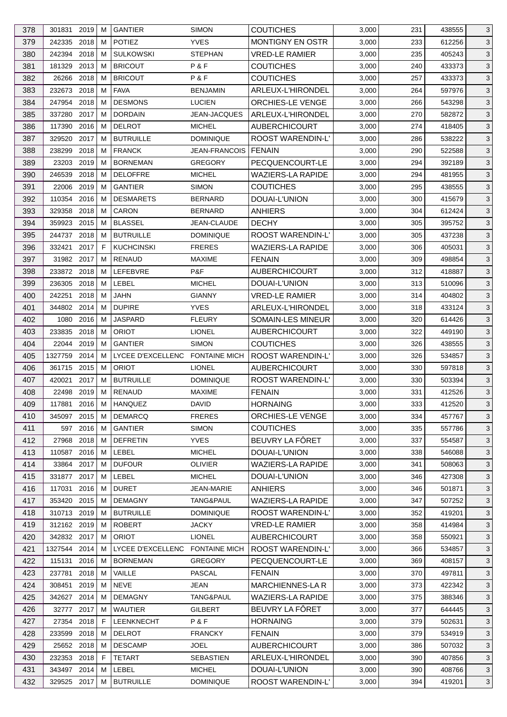| 378 | 301831       | 2019     | м | <b>GANTIER</b>                  | <b>SIMON</b>         | <b>COUTICHES</b>         | 3,000 | 231 | 438555 | 3                 |
|-----|--------------|----------|---|---------------------------------|----------------------|--------------------------|-------|-----|--------|-------------------|
| 379 | 242335       | 2018     | м | <b>POTIEZ</b>                   | <b>YVES</b>          | MONTIGNY EN OSTR         | 3,000 | 233 | 612256 | 3                 |
| 380 | 242394       | 2018     | M | <b>SULKOWSKI</b>                | <b>STEPHAN</b>       | <b>VRED-LE RAMIER</b>    | 3,000 | 235 | 405243 | 3                 |
| 381 | 181329       | 2013     | м | <b>BRICOUT</b>                  | P&F                  | <b>COUTICHES</b>         | 3,000 | 240 | 433373 | 3                 |
| 382 | 26266        | 2018     | м | <b>BRICOUT</b>                  | P&F                  | <b>COUTICHES</b>         | 3,000 | 257 | 433373 | 3                 |
| 383 | 232673       | 2018     | M | <b>FAVA</b>                     | <b>BENJAMIN</b>      | ARLEUX-L'HIRONDEL        | 3,000 | 264 | 597976 | $\mathbf{3}$      |
| 384 | 247954       | 2018     | м | <b>DESMONS</b>                  | <b>LUCIEN</b>        | <b>ORCHIES-LE VENGE</b>  | 3,000 | 266 | 543298 | 3                 |
| 385 | 337280       | 2017     | M | <b>DORDAIN</b>                  | JEAN-JACQUES         | ARLEUX-L'HIRONDEL        | 3,000 | 270 | 582872 | $\mathbf{3}$      |
| 386 | 117390       | 2016     | м | <b>DELROT</b>                   | <b>MICHEL</b>        | <b>AUBERCHICOURT</b>     | 3,000 | 274 | 418405 | 3                 |
| 387 | 329520       | 2017     | м | <b>BUTRUILLE</b>                | <b>DOMINIQUE</b>     | <b>ROOST WARENDIN-L'</b> | 3,000 | 286 | 538222 | 3                 |
| 388 | 238299       | 2018     | м | <b>FRANCK</b>                   | <b>JEAN-FRANCOIS</b> | <b>FENAIN</b>            | 3,000 | 290 | 522588 | 3                 |
| 389 | 23203        | 2019     | м | <b>BORNEMAN</b>                 | <b>GREGORY</b>       | PECQUENCOURT-LE          | 3,000 | 294 | 392189 | 3                 |
| 390 | 246539       | 2018     | M | <b>DELOFFRE</b>                 | <b>MICHEL</b>        | <b>WAZIERS-LA RAPIDE</b> | 3,000 | 294 | 481955 | $\mathbf{3}$      |
| 391 | 22006        | 2019     | м | <b>GANTIER</b>                  | <b>SIMON</b>         | <b>COUTICHES</b>         | 3,000 | 295 | 438555 | 3                 |
| 392 | 110354       | 2016     | M | <b>DESMARETS</b>                | <b>BERNARD</b>       | DOUAI-L'UNION            | 3,000 | 300 | 415679 | 3                 |
| 393 | 329358       | 2018     | м | <b>CARON</b>                    | <b>BERNARD</b>       | <b>ANHIERS</b>           | 3,000 | 304 | 612424 | 3                 |
|     |              | 2015     | м | <b>BLASSEL</b>                  | JEAN-CLAUDE          | <b>DECHY</b>             |       | 305 |        |                   |
| 394 | 359923       |          |   |                                 |                      | <b>ROOST WARENDIN-L'</b> | 3,000 |     | 395752 | $\mathbf{3}$<br>3 |
| 395 | 244737 2018  |          | м | <b>BUTRUILLE</b>                | <b>DOMINIQUE</b>     |                          | 3,000 | 305 | 437238 |                   |
| 396 | 332421       | 2017     | F | <b>KUCHCINSKI</b>               | <b>FRERES</b>        | <b>WAZIERS-LA RAPIDE</b> | 3,000 | 306 | 405031 | 3                 |
| 397 | 31982 2017   |          | м | <b>RENAUD</b>                   | <b>MAXIME</b>        | <b>FENAIN</b>            | 3,000 | 309 | 498854 | 3                 |
| 398 | 233872       | 2018     | м | LEFEBVRE                        | P&F                  | <b>AUBERCHICOURT</b>     | 3,000 | 312 | 418887 | 3                 |
| 399 | 236305       | 2018     | м | LEBEL                           | <b>MICHEL</b>        | DOUAI-L'UNION            | 3,000 | 313 | 510096 | 3                 |
| 400 | 242251       | 2018     | м | <b>JAHN</b>                     | <b>GIANNY</b>        | <b>VRED-LE RAMIER</b>    | 3,000 | 314 | 404802 | 3                 |
| 401 | 344802 2014  |          | м | <b>DUPIRE</b>                   | <b>YVES</b>          | ARLEUX-L'HIRONDEL        | 3,000 | 318 | 433124 | $\mathbf{3}$      |
| 402 | 1080         | 2016     | M | <b>JASPARD</b>                  | <b>FLEURY</b>        | SOMAIN-LES MINEUR        | 3,000 | 320 | 614426 | 3                 |
| 403 | 233835       | 2018     | м | <b>ORIOT</b>                    | <b>LIONEL</b>        | <b>AUBERCHICOURT</b>     | 3,000 | 322 | 449190 | 3                 |
| 404 | 22044 2019   |          | м | <b>GANTIER</b>                  | <b>SIMON</b>         | <b>COUTICHES</b>         | 3,000 | 326 | 438555 | 3                 |
| 405 | 1327759      | 2014     | м | LYCEE D'EXCELLENC FONTAINE MICH |                      | ROOST WARENDIN-L'        | 3,000 | 326 | 534857 | 3                 |
| 406 | 361715       | 2015     | м | <b>ORIOT</b>                    | <b>LIONEL</b>        | <b>AUBERCHICOURT</b>     | 3,000 | 330 | 597818 | 3                 |
| 407 | 420021       | 2017     | м | <b>BUTRUILLE</b>                | <b>DOMINIQUE</b>     | ROOST WARENDIN-L'        | 3,000 | 330 | 503394 | 3                 |
| 408 | 22498        | 2019     | M | <b>RENAUD</b>                   | <b>MAXIME</b>        | <b>FENAIN</b>            | 3,000 | 331 | 412526 | 3                 |
| 409 | 117881       | $2016$ M |   | <b>HANQUEZ</b>                  | <b>DAVID</b>         | <b>HORNAING</b>          | 3,000 | 333 | 412520 | $\mathbf{3}$      |
| 410 | 345097 2015  |          | М | <b>DEMARCQ</b>                  | <b>FRERES</b>        | ORCHIES-LE VENGE         | 3,000 | 334 | 457767 | 3                 |
| 411 |              | 597 2016 | м | <b>GANTIER</b>                  | <b>SIMON</b>         | <b>COUTICHES</b>         | 3,000 | 335 | 557786 | 3                 |
| 412 | 27968        | 2018     | м | <b>DEFRETIN</b>                 | <b>YVES</b>          | BEUVRY LA FÔRET          | 3,000 | 337 | 554587 | 3                 |
| 413 | 110587       | 2016     | м | <b>LEBEL</b>                    | <b>MICHEL</b>        | DOUAI-L'UNION            | 3,000 | 338 | 546088 | 3                 |
| 414 | 33864 2017   |          | м | <b>DUFOUR</b>                   | <b>OLIVIER</b>       | <b>WAZIERS-LA RAPIDE</b> | 3,000 | 341 | 508063 | 3                 |
| 415 | 331877 2017  |          | м | LEBEL                           | <b>MICHEL</b>        | DOUAI-L'UNION            | 3,000 | 346 | 427308 | 3                 |
| 416 | 117031       | 2016     | м | <b>DURET</b>                    | JEAN-MARIE           | <b>ANHIERS</b>           | 3,000 | 346 | 501871 | 3                 |
| 417 | 353420 2015  |          | м | <b>DEMAGNY</b>                  | TANG&PAUL            | <b>WAZIERS-LA RAPIDE</b> | 3,000 | 347 | 507252 | 3                 |
| 418 | 310713 2019  |          | м | <b>BUTRUILLE</b>                | <b>DOMINIQUE</b>     | ROOST WARENDIN-L'        | 3,000 | 352 | 419201 | 3                 |
| 419 | 312162 2019  |          | м | <b>ROBERT</b>                   | <b>JACKY</b>         | VRED-LE RAMIER           | 3,000 | 358 | 414984 | 3                 |
| 420 | 342832 2017  |          | м | <b>ORIOT</b>                    | <b>LIONEL</b>        | <b>AUBERCHICOURT</b>     | 3,000 | 358 | 550921 | 3                 |
| 421 | 1327544 2014 |          | м | LYCEE D'EXCELLENC FONTAINE MICH |                      | ROOST WARENDIN-L'        | 3,000 | 366 | 534857 | 3                 |
| 422 | 115131       | 2016     | м | <b>BORNEMAN</b>                 | <b>GREGORY</b>       | PECQUENCOURT-LE          | 3,000 | 369 | 408157 | 3                 |
| 423 | 237781       | 2018     | м | VAILLE                          | <b>PASCAL</b>        | <b>FENAIN</b>            | 3,000 | 370 | 497811 | 3                 |
| 424 | 308451       | 2019     | M | <b>NEVE</b>                     | <b>JEAN</b>          | <b>MARCHIENNES-LAR</b>   | 3,000 | 373 | 422342 | 3                 |
| 425 | 342627 2014  |          | м | <b>DEMAGNY</b>                  | TANG&PAUL            | <b>WAZIERS-LA RAPIDE</b> | 3,000 | 375 | 388346 | 3                 |
| 426 | 32777 2017   |          | м | <b>WAUTIER</b>                  | <b>GILBERT</b>       | BEUVRY LA FÔRET          | 3,000 | 377 | 644445 | 3                 |
| 427 | 27354        | 2018     | F | LEENKNECHT                      | P&F                  | <b>HORNAING</b>          | 3,000 | 379 | 502631 | 3                 |
| 428 | 233599       | 2018     | м | <b>DELROT</b>                   | <b>FRANCKY</b>       | <b>FENAIN</b>            | 3,000 | 379 | 534919 | 3                 |
| 429 | 25652 2018   |          | м | <b>DESCAMP</b>                  | <b>JOEL</b>          | <b>AUBERCHICOURT</b>     | 3,000 | 386 | 507032 | 3                 |
| 430 | 232353 2018  |          | F | TETART                          | SEBASTIEN            | ARLEUX-L'HIRONDEL        | 3,000 | 390 | 407856 | 3                 |
| 431 | 343497 2014  |          | M | LEBEL                           | <b>MICHEL</b>        | DOUAI-L'UNION            | 3,000 | 390 | 408766 | 3                 |
| 432 | 329525 2017  |          | м | <b>BUTRUILLE</b>                | <b>DOMINIQUE</b>     | ROOST WARENDIN-L'        | 3,000 | 394 | 419201 | 3                 |
|     |              |          |   |                                 |                      |                          |       |     |        |                   |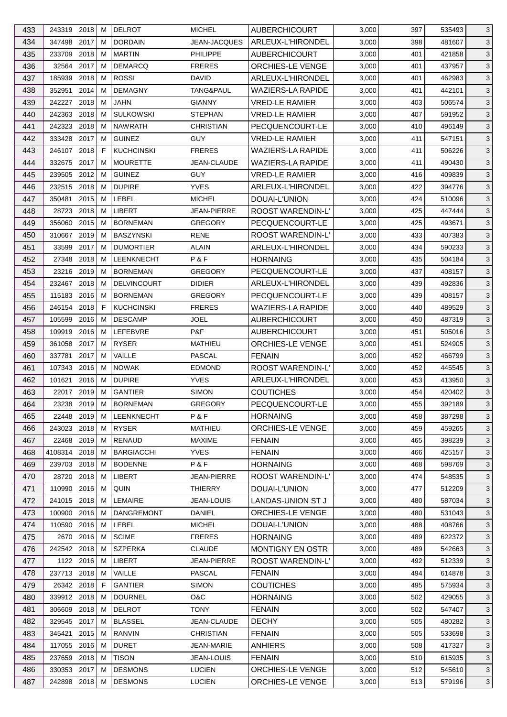| 433 | 243319 2018    | м | <b>DELROT</b>      | <b>MICHEL</b>       | <b>AUBERCHICOURT</b>     | 3,000 | 397 | 535493 | 3            |
|-----|----------------|---|--------------------|---------------------|--------------------------|-------|-----|--------|--------------|
| 434 | 347498 2017    | м | <b>DORDAIN</b>     | <b>JEAN-JACQUES</b> | ARLEUX-L'HIRONDEL        | 3,000 | 398 | 481607 | $\mathbf{3}$ |
| 435 | 233709<br>2018 | м | <b>MARTIN</b>      | <b>PHILIPPE</b>     | <b>AUBERCHICOURT</b>     | 3,000 | 401 | 421858 | 3            |
| 436 | 32564<br>2017  | м | <b>DEMARCQ</b>     | <b>FRERES</b>       | ORCHIES-LE VENGE         | 3,000 | 401 | 437957 | 3            |
| 437 | 185939<br>2018 | м | <b>ROSSI</b>       | <b>DAVID</b>        | ARLEUX-L'HIRONDEL        | 3,000 | 401 | 462983 | $\mathbf{3}$ |
| 438 | 2014<br>352951 | M | <b>DEMAGNY</b>     | TANG&PAUL           | <b>WAZIERS-LA RAPIDE</b> | 3,000 | 401 | 442101 | $\mathbf{3}$ |
| 439 | 2018<br>242227 | м | <b>JAHN</b>        | <b>GIANNY</b>       | <b>VRED-LE RAMIER</b>    | 3,000 | 403 | 506574 | 3            |
| 440 | 242363<br>2018 | M | <b>SULKOWSKI</b>   | <b>STEPHAN</b>      | <b>VRED-LE RAMIER</b>    | 3,000 | 407 | 591952 | 3            |
| 441 | 242323<br>2018 | м | <b>NAWRATH</b>     | <b>CHRISTIAN</b>    | PECQUENCOURT-LE          | 3,000 | 410 | 496149 | 3            |
| 442 | 333428 2017    | м | <b>GUINEZ</b>      | <b>GUY</b>          | <b>VRED-LE RAMIER</b>    | 3,000 | 411 | 547151 | $\mathbf{3}$ |
| 443 | 2018<br>246107 | F | <b>KUCHCINSKI</b>  | <b>FRERES</b>       | <b>WAZIERS-LA RAPIDE</b> | 3,000 | 411 | 506226 | 3            |
| 444 | 332675 2017    | м | <b>MOURETTE</b>    | JEAN-CLAUDE         | <b>WAZIERS-LA RAPIDE</b> | 3,000 | 411 | 490430 | $\mathbf{3}$ |
| 445 | 239505 2012    | м | <b>GUINEZ</b>      | <b>GUY</b>          | <b>VRED-LE RAMIER</b>    | 3,000 | 416 | 409839 | $\mathbf{3}$ |
| 446 | 2018<br>232515 | м | <b>DUPIRE</b>      | <b>YVES</b>         | ARLEUX-L'HIRONDEL        | 3,000 | 422 | 394776 | 3            |
| 447 | 350481<br>2015 | м | LEBEL              | <b>MICHEL</b>       | DOUAI-L'UNION            | 3,000 | 424 | 510096 | 3            |
| 448 | 2018<br>28723  | м | <b>LIBERT</b>      | JEAN-PIERRE         | <b>ROOST WARENDIN-L'</b> | 3,000 | 425 | 447444 | $\mathbf{3}$ |
| 449 | 2015<br>356060 | м | <b>BORNEMAN</b>    | <b>GREGORY</b>      | PECQUENCOURT-LE          | 3,000 | 425 | 493671 | $\mathbf{3}$ |
| 450 | 310667<br>2019 | м | <b>BASZYNSKI</b>   | RENE                | ROOST WARENDIN-L'        | 3,000 | 433 | 407383 | 3            |
| 451 | 33599<br>2017  | м | <b>DUMORTIER</b>   | <b>ALAIN</b>        | ARLEUX-L'HIRONDEL        | 3,000 | 434 | 590233 | 3            |
| 452 | 27348<br>2018  | М | <b>LEENKNECHT</b>  | P & F               | <b>HORNAING</b>          | 3,000 | 435 | 504184 | 3            |
| 453 | 23216 2019     | м | <b>BORNEMAN</b>    | <b>GREGORY</b>      | PECQUENCOURT-LE          | 3,000 | 437 | 408157 | $\mathbf{3}$ |
| 454 | 2018<br>232467 | M | <b>DELVINCOURT</b> | <b>DIDIER</b>       | ARLEUX-L'HIRONDEL        | 3,000 | 439 | 492836 | 3            |
| 455 | 115183 2016    | м | <b>BORNEMAN</b>    | <b>GREGORY</b>      | PECQUENCOURT-LE          | 3,000 | 439 | 408157 | $\mathbf{3}$ |
|     |                | F |                    |                     |                          |       |     |        |              |
| 456 | 246154 2018    |   | <b>KUCHCINSKI</b>  | <b>FRERES</b>       | <b>WAZIERS-LA RAPIDE</b> | 3,000 | 440 | 489529 | $\mathbf{3}$ |
| 457 | 2016<br>105599 | м | <b>DESCAMP</b>     | JOEL                | <b>AUBERCHICOURT</b>     | 3,000 | 450 | 487319 | 3            |
| 458 | 109919<br>2016 | M | LEFEBVRE           | P&F                 | <b>AUBERCHICOURT</b>     | 3,000 | 451 | 505016 | 3            |
| 459 | 361058<br>2017 | м | <b>RYSER</b>       | <b>MATHIEU</b>      | ORCHIES-LE VENGE         | 3,000 | 451 | 524905 | $\mathbf{3}$ |
| 460 | 2017<br>337781 | м | VAILLE             | <b>PASCAL</b>       | <b>FENAIN</b>            | 3,000 | 452 | 466799 | $\mathbf{3}$ |
| 461 | 107343 2016    | м | <b>NOWAK</b>       | <b>EDMOND</b>       | ROOST WARENDIN-L'        | 3,000 | 452 | 445545 | 3            |
| 462 | 101621<br>2016 | М | <b>DUPIRE</b>      | <b>YVES</b>         | ARLEUX-L'HIRONDEL        | 3,000 | 453 | 413950 | 3            |
| 463 | 22017 2019     | М | <b>GANTIER</b>     | <b>SIMON</b>        | <b>COUTICHES</b>         | 3,000 | 454 | 420402 | $\mathbf{3}$ |
| 464 | 23238 2019 M   |   | <b>BORNEMAN</b>    | <b>GREGORY</b>      | PECQUENCOURT-LE          | 3,000 | 455 | 392189 | $\mathbf{3}$ |
| 465 | 22448 2019     | M | <b>LEENKNECHT</b>  | P & F               | <b>HORNAING</b>          | 3,000 | 458 | 387298 | 3            |
| 466 | 243023 2018    | м | <b>RYSER</b>       | <b>MATHIEU</b>      | ORCHIES-LE VENGE         | 3,000 | 459 | 459265 | 3            |
| 467 | 22468 2019     | м | RENAUD             | <b>MAXIME</b>       | <b>FENAIN</b>            | 3,000 | 465 | 398239 | 3            |
| 468 | 4108314 2018   | м | <b>BARGIACCHI</b>  | <b>YVES</b>         | <b>FENAIN</b>            | 3,000 | 466 | 425157 | 3            |
| 469 | 239703 2018    | м | <b>BODENNE</b>     | P&F                 | <b>HORNAING</b>          | 3,000 | 468 | 598769 | 3            |
| 470 | 28720<br>2018  | м | LIBERT             | JEAN-PIERRE         | ROOST WARENDIN-L'        | 3,000 | 474 | 548535 | 3            |
| 471 | 2016<br>110990 | м | QUIN               | THIERRY             | DOUAI-L'UNION            | 3,000 | 477 | 512209 | 3            |
| 472 | 241015<br>2018 | м | LEMAIRE            | JEAN-LOUIS          | LANDAS-UNION ST J        | 3,000 | 480 | 587034 | 3            |
| 473 | 100900<br>2016 | M | <b>DANGREMONT</b>  | DANIEL              | ORCHIES-LE VENGE         | 3,000 | 480 | 531043 | 3            |
| 474 | 110590 2016    | M | LEBEL              | <b>MICHEL</b>       | DOUAI-L'UNION            | 3,000 | 488 | 408766 | 3            |
| 475 | 2670 2016      | м | <b>SCIME</b>       | <b>FRERES</b>       | <b>HORNAING</b>          | 3,000 | 489 | 622372 | 3            |
| 476 | 242542 2018    | м | <b>SZPERKA</b>     | <b>CLAUDE</b>       | MONTIGNY EN OSTR         | 3,000 | 489 | 542663 | 3            |
| 477 | 1122 2016      | м | LIBERT             | JEAN-PIERRE         | ROOST WARENDIN-L'        | 3,000 | 492 | 512339 | 3            |
| 478 | 237713 2018    | м | VAILLE             | <b>PASCAL</b>       | <b>FENAIN</b>            | 3,000 | 494 | 614878 | 3            |
| 479 | 26342 2018     | F | <b>GANTIER</b>     | <b>SIMON</b>        | <b>COUTICHES</b>         | 3,000 | 495 | 575934 | 3            |
| 480 | 339912 2018    | м | <b>DOURNEL</b>     | O&C                 | <b>HORNAING</b>          | 3,000 | 502 | 429055 | 3            |
| 481 | 2018<br>306609 | м | <b>DELROT</b>      | <b>TONY</b>         | <b>FENAIN</b>            | 3,000 | 502 | 547407 | 3            |
| 482 | 329545<br>2017 | м | <b>BLASSEL</b>     | JEAN-CLAUDE         | <b>DECHY</b>             | 3,000 | 505 | 480282 | 3            |
| 483 | 345421<br>2015 | м | RANVIN             | <b>CHRISTIAN</b>    | <b>FENAIN</b>            | 3,000 | 505 | 533698 | 3            |
| 484 | 2016<br>117055 | M | <b>DURET</b>       | <b>JEAN-MARIE</b>   | <b>ANHIERS</b>           | 3,000 | 508 | 417327 | 3            |
| 485 | 237659<br>2018 | м | <b>TISON</b>       | JEAN-LOUIS          | <b>FENAIN</b>            | 3,000 | 510 | 615935 | 3            |
| 486 | 330353 2017    | м | <b>DESMONS</b>     | <b>LUCIEN</b>       | ORCHIES-LE VENGE         | 3,000 | 512 | 545610 | 3            |
| 487 | 242898 2018    | М | <b>DESMONS</b>     | <b>LUCIEN</b>       | ORCHIES-LE VENGE         | 3,000 | 513 | 579196 | 3            |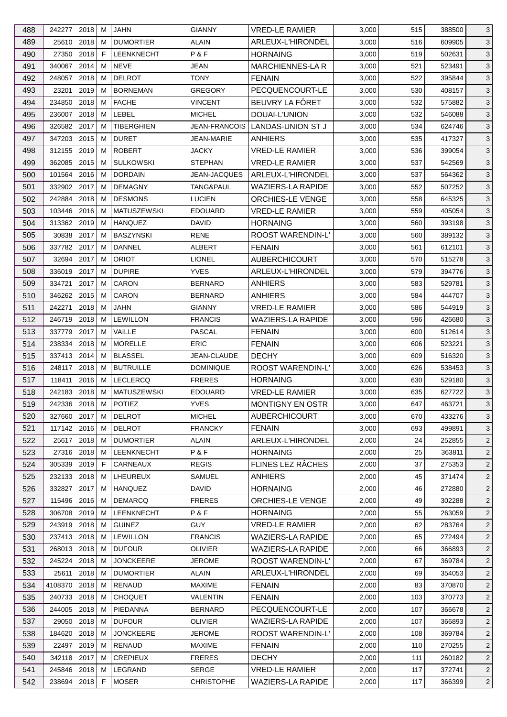| 488 | 242277 2018   |      | м  | JAHN               | <b>GIANNY</b>        | VRED-LE RAMIER           | 3,000 | 515 | 388500 | 3              |
|-----|---------------|------|----|--------------------|----------------------|--------------------------|-------|-----|--------|----------------|
| 489 | 25610         | 2018 | м  | <b>DUMORTIER</b>   | <b>ALAIN</b>         | ARLEUX-L'HIRONDEL        | 3,000 | 516 | 609905 | $\mathbf{3}$   |
| 490 | 27350         | 2018 | F  | <b>LEENKNECHT</b>  | P&F                  | <b>HORNAING</b>          | 3,000 | 519 | 502631 | 3              |
| 491 | 340067 2014   |      | м  | <b>NEVE</b>        | JEAN                 | <b>MARCHIENNES-LA R</b>  | 3,000 | 521 | 523491 | 3              |
| 492 | 248057        | 2018 | м  | <b>DELROT</b>      | <b>TONY</b>          | <b>FENAIN</b>            | 3,000 | 522 | 395844 | 3              |
| 493 | 23201         | 2019 | м  | <b>BORNEMAN</b>    | <b>GREGORY</b>       | PECQUENCOURT-LE          | 3,000 | 530 | 408157 | $\mathbf{3}$   |
| 494 | 234850        | 2018 | м  | <b>FACHE</b>       | <b>VINCENT</b>       | BEUVRY LA FÖRET          | 3,000 | 532 | 575882 | 3              |
| 495 | 236007 2018   |      | м  | <b>LEBEL</b>       | <b>MICHEL</b>        | DOUAI-L'UNION            | 3,000 | 532 | 546088 | $\mathbf{3}$   |
| 496 | 326582 2017   |      | м  | TIBERGHIEN         | <b>JEAN-FRANCOIS</b> | LANDAS-UNION ST J        | 3,000 | 534 | 624746 | 3              |
| 497 | 347203        | 2015 | м  | <b>DURET</b>       | <b>JEAN-MARIE</b>    | <b>ANHIERS</b>           | 3,000 | 535 | 417327 | 3              |
| 498 | 312155        | 2019 | м  | <b>ROBERT</b>      | <b>JACKY</b>         | <b>VRED-LE RAMIER</b>    | 3,000 | 536 | 399054 | 3              |
| 499 | 362085        | 2015 | м  | <b>SULKOWSKI</b>   | <b>STEPHAN</b>       | <b>VRED-LE RAMIER</b>    | 3,000 | 537 | 542569 | 3              |
| 500 | 101564        | 2016 | м  | <b>DORDAIN</b>     | <b>JEAN-JACQUES</b>  | ARLEUX-L'HIRONDEL        | 3,000 | 537 | 564362 | $\mathbf{3}$   |
| 501 | 332902 2017   |      | м  | <b>DEMAGNY</b>     | TANG&PAUL            | <b>WAZIERS-LA RAPIDE</b> | 3,000 | 552 | 507252 | 3              |
| 502 | 242884        | 2018 | м  | <b>DESMONS</b>     | <b>LUCIEN</b>        | ORCHIES-LE VENGE         | 3,000 | 558 | 645325 | 3              |
| 503 | 103446 2016   |      | м  | <b>MATUSZEWSKI</b> | <b>EDOUARD</b>       | <b>VRED-LE RAMIER</b>    | 3,000 | 559 | 405054 | 3              |
| 504 | 313362 2019   |      | м  | <b>HANQUEZ</b>     | <b>DAVID</b>         | <b>HORNAING</b>          | 3,000 | 560 | 393198 | $\mathbf{3}$   |
| 505 | 30838         | 2017 | м  | <b>BASZYNSKI</b>   | RENE                 | <b>ROOST WARENDIN-L'</b> | 3,000 | 560 | 389132 | 3              |
| 506 | 337782 2017   |      | м  | <b>DANNEL</b>      | <b>ALBERT</b>        | <b>FENAIN</b>            | 3,000 | 561 | 612101 | 3              |
| 507 | 32694 2017    |      | м  | <b>ORIOT</b>       | <b>LIONEL</b>        | <b>AUBERCHICOURT</b>     | 3,000 | 570 | 515278 | 3              |
| 508 | 336019        | 2017 | м  | <b>DUPIRE</b>      | <b>YVES</b>          | ARLEUX-L'HIRONDEL        | 3,000 | 579 | 394776 | 3              |
| 509 | 334721        | 2017 | м  | CARON              | <b>BERNARD</b>       | <b>ANHIERS</b>           | 3,000 | 583 | 529781 | $\mathbf{3}$   |
| 510 | 346262 2015   |      | м  | CARON              | <b>BERNARD</b>       | <b>ANHIERS</b>           | 3,000 | 584 | 444707 | $\mathbf{3}$   |
| 511 | 242271        | 2018 | м  | JAHN               | <b>GIANNY</b>        | <b>VRED-LE RAMIER</b>    | 3,000 | 586 | 544919 | $\mathbf{3}$   |
|     |               |      |    |                    |                      |                          |       |     |        |                |
| 512 | 246719        | 2018 | м  | <b>LEWILLON</b>    | <b>FRANCIS</b>       | <b>WAZIERS-LA RAPIDE</b> | 3,000 | 596 | 426680 | 3              |
| 513 | 337779        | 2017 | м  | VAILLE             | PASCAL               | <b>FENAIN</b>            | 3,000 | 600 | 512614 | $\mathbf{3}$   |
| 514 | 238334 2018   |      | м  | <b>MORELLE</b>     | <b>ERIC</b>          | <b>FENAIN</b>            | 3,000 | 606 | 523221 | 3              |
| 515 | 337413        | 2014 | м  | <b>BLASSEL</b>     | JEAN-CLAUDE          | <b>DECHY</b>             | 3,000 | 609 | 516320 | 3              |
| 516 | 248117 2018   |      | м  | <b>BUTRUILLE</b>   | <b>DOMINIQUE</b>     | ROOST WARENDIN-L'        | 3,000 | 626 | 538453 | 3              |
| 517 | 118411        | 2016 | М  | <b>LECLERCQ</b>    | <b>FRERES</b>        | <b>HORNAING</b>          | 3,000 | 630 | 529180 | 3              |
| 518 | 242183 2018   |      | М  | <b>MATUSZEWSKI</b> | <b>EDOUARD</b>       | <b>VRED-LE RAMIER</b>    | 3,000 | 635 | 627722 | 3              |
| 519 | 242336 2018 M |      |    | POTIEZ             | <b>YVES</b>          | <b>MONTIGNY EN OSTR</b>  | 3,000 | 647 | 463721 | $\mathbf{3}$   |
| 520 | 327660 2017   |      | M  | <b>DELROT</b>      | <b>MICHEL</b>        | <b>AUBERCHICOURT</b>     | 3,000 | 670 | 433276 | 3              |
| 521 | 117142 2016   |      | м  | <b>DELROT</b>      | <b>FRANCKY</b>       | <b>FENAIN</b>            | 3,000 | 693 | 499891 | 3              |
| 522 | 25617 2018    |      | м  | <b>DUMORTIER</b>   | ALAIN                | ARLEUX-L'HIRONDEL        | 2,000 | 24  | 252855 | $\overline{2}$ |
| 523 | 27316 2018    |      | м  | <b>LEENKNECHT</b>  | P&F                  | <b>HORNAING</b>          | 2,000 | 25  | 363811 | 2              |
| 524 | 305339 2019   |      | F. | CARNEAUX           | <b>REGIS</b>         | FLINES LEZ RÂCHES        | 2,000 | 37  | 275353 | $\overline{2}$ |
| 525 | 232133 2018   |      | M  | LHEUREUX           | <b>SAMUEL</b>        | <b>ANHIERS</b>           | 2,000 | 45  | 371474 | $\overline{2}$ |
| 526 | 332827        | 2017 | м  | HANQUEZ            | <b>DAVID</b>         | <b>HORNAING</b>          | 2,000 | 46  | 272880 | $\overline{2}$ |
| 527 | 115496        | 2016 | м  | <b>DEMARCQ</b>     | <b>FRERES</b>        | <b>ORCHIES-LE VENGE</b>  | 2,000 | 49  | 302288 | $\overline{2}$ |
| 528 | 306708 2019   |      | м  | <b>LEENKNECHT</b>  | P&F                  | <b>HORNAING</b>          | 2,000 | 55  | 263059 | $\overline{2}$ |
| 529 | 243919 2018   |      | м  | <b>GUINEZ</b>      | <b>GUY</b>           | <b>VRED-LE RAMIER</b>    | 2,000 | 62  | 283764 | 2              |
| 530 | 237413 2018   |      | м  | <b>LEWILLON</b>    | <b>FRANCIS</b>       | WAZIERS-LA RAPIDE        | 2,000 | 65  | 272494 | $\overline{2}$ |
| 531 | 268013 2018   |      | м  | <b>DUFOUR</b>      | <b>OLIVIER</b>       | <b>WAZIERS-LA RAPIDE</b> | 2,000 | 66  | 366893 | $\overline{2}$ |
| 532 | 245224 2018   |      | м  | <b>JONCKEERE</b>   | <b>JEROME</b>        | ROOST WARENDIN-L'        | 2,000 | 67  | 369784 | $\overline{2}$ |
| 533 | 25611         | 2018 | M  | <b>DUMORTIER</b>   | <b>ALAIN</b>         | ARLEUX-L'HIRONDEL        | 2,000 | 69  | 354053 | $\overline{2}$ |
| 534 | 4108370       | 2018 | M  | RENAUD             | <b>MAXIME</b>        | <b>FENAIN</b>            | 2,000 | 83  | 370870 | $\overline{2}$ |
| 535 | 240733 2018   |      | м  | <b>CHOQUET</b>     | <b>VALENTIN</b>      | <b>FENAIN</b>            | 2,000 | 103 | 370773 | $\overline{2}$ |
| 536 | 244005 2018   |      | м  | PIEDANNA           | <b>BERNARD</b>       | PECQUENCOURT-LE          | 2,000 | 107 | 366678 | $\overline{2}$ |
| 537 | 29050         | 2018 | м  | <b>DUFOUR</b>      | <b>OLIVIER</b>       | <b>WAZIERS-LA RAPIDE</b> | 2,000 | 107 | 366893 | $\overline{2}$ |
| 538 | 184620        | 2018 | м  | <b>JONCKEERE</b>   | <b>JEROME</b>        | ROOST WARENDIN-L'        | 2,000 | 108 | 369784 | $\overline{2}$ |
| 539 | 22497 2019    |      | м  | <b>RENAUD</b>      | <b>MAXIME</b>        | <b>FENAIN</b>            | 2,000 | 110 | 270255 | $\overline{2}$ |
| 540 | 342118 2017   |      | м  | <b>CREPIEUX</b>    | <b>FRERES</b>        | <b>DECHY</b>             | 2,000 | 111 | 260182 | 2              |
| 541 | 245846 2018   |      | M  | LEGRAND            | SERGE                | <b>VRED-LE RAMIER</b>    | 2,000 | 117 | 372741 | $\overline{2}$ |
| 542 | 238694 2018   |      | F  | <b>MOSER</b>       | <b>CHRISTOPHE</b>    | WAZIERS-LA RAPIDE        | 2,000 | 117 | 366399 | $\overline{c}$ |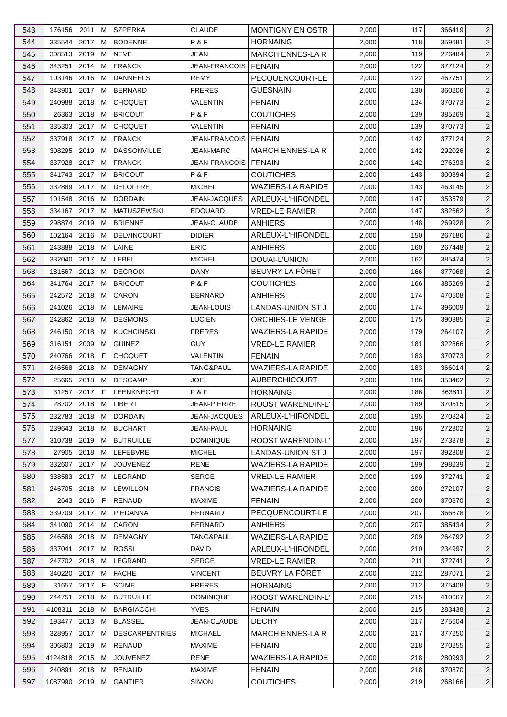| 544<br>335544<br>2017<br><b>BODENNE</b><br>P&F<br>м<br><b>HORNAING</b><br>2,000<br>118<br>359681<br><b>NEVE</b><br><b>MARCHIENNES-LAR</b><br>545<br>308513<br>2019<br>M<br>JEAN<br>2,000<br>119<br>276484<br>2014<br><b>FRANCK</b><br>JEAN-FRANCOIS<br>546<br>343251<br>м<br>FENAIN<br>2,000<br>122<br>377124<br>547<br>103146<br>2016<br><b>DANNEELS</b><br>REMY<br>PECQUENCOURT-LE<br>2,000<br>122<br>467751<br>M<br>2017<br><b>BERNARD</b><br>130<br>548<br>343901<br>м<br><b>FRERES</b><br><b>GUESNAIN</b><br>2,000<br>360206<br>2018<br>549<br>240988<br>м<br><b>CHOQUET</b><br><b>VALENTIN</b><br><b>FENAIN</b><br>2,000<br>134<br>370773<br>P&F<br><b>COUTICHES</b><br>26363<br>2018<br><b>BRICOUT</b><br>2,000<br>550<br>м<br>139<br>385269<br>2017<br>551<br>335303<br>м<br><b>CHOQUET</b><br><b>VALENTIN</b><br><b>FENAIN</b><br>2,000<br>139<br>370773<br>2017<br>552<br>337918<br>М<br><b>FRANCK</b><br>JEAN-FRANCOIS   FENAIN<br>2,000<br>142<br>377124<br>553<br>2019<br><b>DASSONVILLE</b><br>MARCHIENNES-LA R<br>308295<br>м<br>JEAN-MARC<br>2,000<br>142<br>292026 |
|-------------------------------------------------------------------------------------------------------------------------------------------------------------------------------------------------------------------------------------------------------------------------------------------------------------------------------------------------------------------------------------------------------------------------------------------------------------------------------------------------------------------------------------------------------------------------------------------------------------------------------------------------------------------------------------------------------------------------------------------------------------------------------------------------------------------------------------------------------------------------------------------------------------------------------------------------------------------------------------------------------------------------------------------------------------------------------------|
|                                                                                                                                                                                                                                                                                                                                                                                                                                                                                                                                                                                                                                                                                                                                                                                                                                                                                                                                                                                                                                                                                     |
|                                                                                                                                                                                                                                                                                                                                                                                                                                                                                                                                                                                                                                                                                                                                                                                                                                                                                                                                                                                                                                                                                     |
|                                                                                                                                                                                                                                                                                                                                                                                                                                                                                                                                                                                                                                                                                                                                                                                                                                                                                                                                                                                                                                                                                     |
|                                                                                                                                                                                                                                                                                                                                                                                                                                                                                                                                                                                                                                                                                                                                                                                                                                                                                                                                                                                                                                                                                     |
|                                                                                                                                                                                                                                                                                                                                                                                                                                                                                                                                                                                                                                                                                                                                                                                                                                                                                                                                                                                                                                                                                     |
|                                                                                                                                                                                                                                                                                                                                                                                                                                                                                                                                                                                                                                                                                                                                                                                                                                                                                                                                                                                                                                                                                     |
|                                                                                                                                                                                                                                                                                                                                                                                                                                                                                                                                                                                                                                                                                                                                                                                                                                                                                                                                                                                                                                                                                     |
|                                                                                                                                                                                                                                                                                                                                                                                                                                                                                                                                                                                                                                                                                                                                                                                                                                                                                                                                                                                                                                                                                     |
|                                                                                                                                                                                                                                                                                                                                                                                                                                                                                                                                                                                                                                                                                                                                                                                                                                                                                                                                                                                                                                                                                     |
|                                                                                                                                                                                                                                                                                                                                                                                                                                                                                                                                                                                                                                                                                                                                                                                                                                                                                                                                                                                                                                                                                     |
| 2017<br><b>FRANCK</b><br>142<br>554<br>337928<br>м<br>JEAN-FRANCOIS<br><b>FENAIN</b><br>2,000<br>276293                                                                                                                                                                                                                                                                                                                                                                                                                                                                                                                                                                                                                                                                                                                                                                                                                                                                                                                                                                             |
| 341743 2017<br><b>BRICOUT</b><br>P&F<br><b>COUTICHES</b><br>555<br>м<br>2,000<br>143<br>300394                                                                                                                                                                                                                                                                                                                                                                                                                                                                                                                                                                                                                                                                                                                                                                                                                                                                                                                                                                                      |
| <b>WAZIERS-LA RAPIDE</b><br>556<br>332889<br>2017<br>м<br><b>DELOFFRE</b><br><b>MICHEL</b><br>2,000<br>143<br>463145                                                                                                                                                                                                                                                                                                                                                                                                                                                                                                                                                                                                                                                                                                                                                                                                                                                                                                                                                                |
| ARLEUX-L'HIRONDEL<br>557<br>101548<br>2016<br>м<br><b>DORDAIN</b><br>JEAN-JACQUES<br>2,000<br>147<br>353579                                                                                                                                                                                                                                                                                                                                                                                                                                                                                                                                                                                                                                                                                                                                                                                                                                                                                                                                                                         |
| 334167 2017<br>558<br><b>MATUSZEWSKI</b><br><b>EDOUARD</b><br><b>VRED-LE RAMIER</b><br>2,000<br>147<br>382662<br>M                                                                                                                                                                                                                                                                                                                                                                                                                                                                                                                                                                                                                                                                                                                                                                                                                                                                                                                                                                  |
| 298874<br>2019<br><b>BRIENNE</b><br>148<br>559<br>M<br>JEAN-CLAUDE<br>ANHIERS<br>2,000<br>269928                                                                                                                                                                                                                                                                                                                                                                                                                                                                                                                                                                                                                                                                                                                                                                                                                                                                                                                                                                                    |
| 560<br>102164<br>2016<br>м<br><b>DELVINCOURT</b><br><b>DIDIER</b><br>ARLEUX-L'HIRONDEL<br>2,000<br>150<br>267186                                                                                                                                                                                                                                                                                                                                                                                                                                                                                                                                                                                                                                                                                                                                                                                                                                                                                                                                                                    |
| 2018<br>LAINE<br><b>ERIC</b><br><b>ANHIERS</b><br>2,000<br>561<br>243888<br>м<br>160<br>267448                                                                                                                                                                                                                                                                                                                                                                                                                                                                                                                                                                                                                                                                                                                                                                                                                                                                                                                                                                                      |
| 2017<br>LEBEL<br>DOUAI-L'UNION<br>562<br>332040<br>м<br><b>MICHEL</b><br>2,000<br>162<br>385474                                                                                                                                                                                                                                                                                                                                                                                                                                                                                                                                                                                                                                                                                                                                                                                                                                                                                                                                                                                     |
| 2013<br>BEUVRY LA FÖRET<br>563<br>181567<br>м<br><b>DECROIX</b><br>DANY<br>2,000<br>166<br>377068                                                                                                                                                                                                                                                                                                                                                                                                                                                                                                                                                                                                                                                                                                                                                                                                                                                                                                                                                                                   |
| 564<br>2017<br><b>BRICOUT</b><br>P&F<br><b>COUTICHES</b><br>341764<br>м<br>2,000<br>166<br>385269                                                                                                                                                                                                                                                                                                                                                                                                                                                                                                                                                                                                                                                                                                                                                                                                                                                                                                                                                                                   |
| 242572 2018<br><b>CARON</b><br><b>BERNARD</b><br>565<br>м<br><b>ANHIERS</b><br>2,000<br>174<br>470508                                                                                                                                                                                                                                                                                                                                                                                                                                                                                                                                                                                                                                                                                                                                                                                                                                                                                                                                                                               |
| 2018<br>LEMAIRE<br>м                                                                                                                                                                                                                                                                                                                                                                                                                                                                                                                                                                                                                                                                                                                                                                                                                                                                                                                                                                                                                                                                |
| LANDAS-UNION ST J<br>566<br>241026<br>JEAN-LOUIS<br>2,000<br>174<br>396009                                                                                                                                                                                                                                                                                                                                                                                                                                                                                                                                                                                                                                                                                                                                                                                                                                                                                                                                                                                                          |
| 567<br>242862 2018<br><b>DESMONS</b><br><b>LUCIEN</b><br>ORCHIES-LE VENGE<br>2,000<br>175<br>390385<br>M                                                                                                                                                                                                                                                                                                                                                                                                                                                                                                                                                                                                                                                                                                                                                                                                                                                                                                                                                                            |
| <b>FRERES</b><br><b>WAZIERS-LA RAPIDE</b><br>568<br>246150<br>2018<br>м<br><b>KUCHCINSKI</b><br>2,000<br>179<br>264107                                                                                                                                                                                                                                                                                                                                                                                                                                                                                                                                                                                                                                                                                                                                                                                                                                                                                                                                                              |
| 2009<br><b>GUINEZ</b><br>569<br>316151<br>М<br><b>GUY</b><br><b>VRED-LE RAMIER</b><br>2,000<br>181<br>322866                                                                                                                                                                                                                                                                                                                                                                                                                                                                                                                                                                                                                                                                                                                                                                                                                                                                                                                                                                        |
| 2018<br>-F<br><b>CHOQUET</b><br><b>VALENTIN</b><br>570<br>240766<br><b>FENAIN</b><br>2,000<br>183<br>370773                                                                                                                                                                                                                                                                                                                                                                                                                                                                                                                                                                                                                                                                                                                                                                                                                                                                                                                                                                         |
| <b>WAZIERS-LA RAPIDE</b><br>571<br>246568<br>2018<br>м<br><b>DEMAGNY</b><br>TANG&PAUL<br>2,000<br>183<br>366014                                                                                                                                                                                                                                                                                                                                                                                                                                                                                                                                                                                                                                                                                                                                                                                                                                                                                                                                                                     |
| 2018<br><b>DESCAMP</b><br><b>JOEL</b><br><b>AUBERCHICOURT</b><br>2,000<br>572<br>25665<br>М<br>186<br>353462                                                                                                                                                                                                                                                                                                                                                                                                                                                                                                                                                                                                                                                                                                                                                                                                                                                                                                                                                                        |
| 31257 2017<br>F<br>LEENKNECHT<br>P&F<br><b>HORNAING</b><br>573<br>2,000<br>186<br>363811                                                                                                                                                                                                                                                                                                                                                                                                                                                                                                                                                                                                                                                                                                                                                                                                                                                                                                                                                                                            |
| LIBERT<br>ROOST WARENDIN-L'<br>2,000<br>189<br>574<br>28702 2018 M<br><b>JEAN-PIERRE</b><br>370515                                                                                                                                                                                                                                                                                                                                                                                                                                                                                                                                                                                                                                                                                                                                                                                                                                                                                                                                                                                  |
| ARLEUX-L'HIRONDEL<br>575<br>232783 2018<br><b>DORDAIN</b><br>JEAN-JACQUES<br>2,000<br>195<br>270824<br>M                                                                                                                                                                                                                                                                                                                                                                                                                                                                                                                                                                                                                                                                                                                                                                                                                                                                                                                                                                            |
| 576<br>239643 2018<br>м<br><b>BUCHART</b><br>JEAN-PAUL<br><b>HORNAING</b><br>2,000<br>196<br>272302                                                                                                                                                                                                                                                                                                                                                                                                                                                                                                                                                                                                                                                                                                                                                                                                                                                                                                                                                                                 |
| 310738<br>2019<br><b>BUTRUILLE</b><br>ROOST WARENDIN-L'<br>197<br>577<br><b>DOMINIQUE</b><br>2,000<br>273378<br>M                                                                                                                                                                                                                                                                                                                                                                                                                                                                                                                                                                                                                                                                                                                                                                                                                                                                                                                                                                   |
| LEFEBVRE<br>578<br>27905<br>2018<br><b>MICHEL</b><br>LANDAS-UNION ST J<br>2,000<br>197<br>392308<br>M                                                                                                                                                                                                                                                                                                                                                                                                                                                                                                                                                                                                                                                                                                                                                                                                                                                                                                                                                                               |
| <b>RENE</b><br>579<br>332607 2017<br><b>JOUVENEZ</b><br><b>WAZIERS-LA RAPIDE</b><br>2,000<br>199<br>298239<br>M                                                                                                                                                                                                                                                                                                                                                                                                                                                                                                                                                                                                                                                                                                                                                                                                                                                                                                                                                                     |
| 580<br>338583 2017<br>LEGRAND<br><b>SERGE</b><br><b>VRED-LE RAMIER</b><br>2,000<br>199<br>372741<br>м                                                                                                                                                                                                                                                                                                                                                                                                                                                                                                                                                                                                                                                                                                                                                                                                                                                                                                                                                                               |
| 2018<br><b>LEWILLON</b><br>WAZIERS-LA RAPIDE<br>581<br>246705<br><b>FRANCIS</b><br>2,000<br>200<br>272107<br>M                                                                                                                                                                                                                                                                                                                                                                                                                                                                                                                                                                                                                                                                                                                                                                                                                                                                                                                                                                      |
| 582<br>2643 2016<br><b>RENAUD</b><br><b>MAXIME</b><br><b>FENAIN</b><br>2,000<br>F<br>200<br>370870                                                                                                                                                                                                                                                                                                                                                                                                                                                                                                                                                                                                                                                                                                                                                                                                                                                                                                                                                                                  |
| 583<br>339709<br>2017<br>PIEDANNA<br><b>BERNARD</b><br>PECQUENCOURT-LE<br>2,000<br>м<br>207<br>366678                                                                                                                                                                                                                                                                                                                                                                                                                                                                                                                                                                                                                                                                                                                                                                                                                                                                                                                                                                               |
| 2014<br>CARON<br>584<br>341090<br>м<br>BERNARD<br>ANHIERS<br>2,000<br>207<br>385434                                                                                                                                                                                                                                                                                                                                                                                                                                                                                                                                                                                                                                                                                                                                                                                                                                                                                                                                                                                                 |
| <b>DEMAGNY</b><br><b>WAZIERS-LA RAPIDE</b><br>585<br>246589<br>2018<br>TANG&PAUL<br>2,000<br>209<br>264792<br>M                                                                                                                                                                                                                                                                                                                                                                                                                                                                                                                                                                                                                                                                                                                                                                                                                                                                                                                                                                     |
| 586<br>ARLEUX-L'HIRONDEL<br><b>ROSSI</b><br><b>DAVID</b><br>337041<br>2017<br>м<br>2,000<br>210<br>234997                                                                                                                                                                                                                                                                                                                                                                                                                                                                                                                                                                                                                                                                                                                                                                                                                                                                                                                                                                           |
| 587<br>247702 2018<br>LEGRAND<br><b>SERGE</b><br><b>VRED-LE RAMIER</b><br>2,000<br>211<br>M<br>372741                                                                                                                                                                                                                                                                                                                                                                                                                                                                                                                                                                                                                                                                                                                                                                                                                                                                                                                                                                               |
| BEUVRY LA FÔRET<br>340220 2017<br><b>FACHE</b><br>212<br>588<br><b>VINCENT</b><br>2,000<br>287071<br>M                                                                                                                                                                                                                                                                                                                                                                                                                                                                                                                                                                                                                                                                                                                                                                                                                                                                                                                                                                              |
| <b>SCIME</b><br><b>HORNAING</b><br>589<br>31657<br>2017<br>F<br><b>FRERES</b><br>2,000<br>212<br>375408                                                                                                                                                                                                                                                                                                                                                                                                                                                                                                                                                                                                                                                                                                                                                                                                                                                                                                                                                                             |
| <b>BUTRUILLE</b><br>ROOST WARENDIN-L'<br>590<br>244751<br>2018<br><b>DOMINIQUE</b><br>2,000<br>215<br>410667<br>M                                                                                                                                                                                                                                                                                                                                                                                                                                                                                                                                                                                                                                                                                                                                                                                                                                                                                                                                                                   |
| <b>BARGIACCHI</b><br><b>YVES</b><br>591<br>4108311<br>2018<br><b>FENAIN</b><br>2,000<br>215<br>283438<br>M                                                                                                                                                                                                                                                                                                                                                                                                                                                                                                                                                                                                                                                                                                                                                                                                                                                                                                                                                                          |
| 592<br>2013<br><b>BLASSEL</b><br>JEAN-CLAUDE<br><b>DECHY</b><br>2,000<br>217<br>193477<br>275604<br>M                                                                                                                                                                                                                                                                                                                                                                                                                                                                                                                                                                                                                                                                                                                                                                                                                                                                                                                                                                               |
| 593<br>328957<br>2017<br><b>DESCARPENTRIES</b><br><b>MICHAEL</b><br><b>MARCHIENNES-LA R</b><br>2,000<br>M<br>217<br>377250                                                                                                                                                                                                                                                                                                                                                                                                                                                                                                                                                                                                                                                                                                                                                                                                                                                                                                                                                          |
| 594<br>306803<br>2019<br><b>RENAUD</b><br><b>MAXIME</b><br><b>FENAIN</b><br>2,000<br>218<br>270255<br>M                                                                                                                                                                                                                                                                                                                                                                                                                                                                                                                                                                                                                                                                                                                                                                                                                                                                                                                                                                             |
| 4124818 2015<br><b>WAZIERS-LA RAPIDE</b><br>595<br>м<br><b>JOUVENEZ</b><br>RENE<br>2,000<br>218<br>280993                                                                                                                                                                                                                                                                                                                                                                                                                                                                                                                                                                                                                                                                                                                                                                                                                                                                                                                                                                           |
| <b>MAXIME</b><br>596<br>240891<br>2018<br>RENAUD<br><b>FENAIN</b><br>2,000<br>218<br>370870<br>M                                                                                                                                                                                                                                                                                                                                                                                                                                                                                                                                                                                                                                                                                                                                                                                                                                                                                                                                                                                    |
| <b>COUTICHES</b><br>597<br><b>GANTIER</b><br><b>SIMON</b><br>2,000<br>268166<br>1087990 2019<br>М<br>219                                                                                                                                                                                                                                                                                                                                                                                                                                                                                                                                                                                                                                                                                                                                                                                                                                                                                                                                                                            |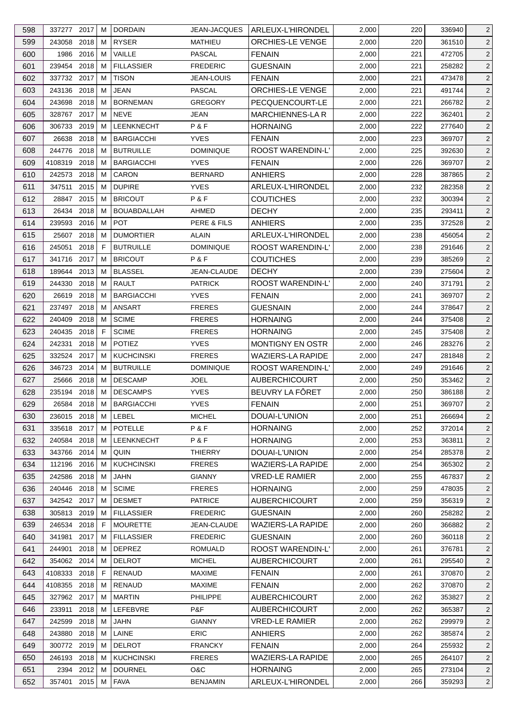| 598 | 337277 2017  |           | м | <b>DORDAIN</b>     | JEAN-JACQUES      | ARLEUX-L'HIRONDEL        | 2,000 | 220 | 336940 | $\overline{2}$ |
|-----|--------------|-----------|---|--------------------|-------------------|--------------------------|-------|-----|--------|----------------|
| 599 | 243058       | 2018      | м | <b>RYSER</b>       | MATHIEU           | ORCHIES-LE VENGE         | 2,000 | 220 | 361510 | $\overline{c}$ |
| 600 | 1986         | 2016      | M | VAILLE             | PASCAL            | <b>FENAIN</b>            | 2,000 | 221 | 472705 | $\overline{2}$ |
| 601 | 239454 2018  |           | м | <b>FILLASSIER</b>  | <b>FREDERIC</b>   | <b>GUESNAIN</b>          | 2,000 | 221 | 258282 | $\overline{2}$ |
| 602 | 337732 2017  |           | м | <b>TISON</b>       | <b>JEAN-LOUIS</b> | <b>FENAIN</b>            | 2,000 | 221 | 473478 | $\overline{2}$ |
| 603 | 243136 2018  |           | M | <b>JEAN</b>        | <b>PASCAL</b>     | ORCHIES-LE VENGE         | 2,000 | 221 | 491744 | $\overline{c}$ |
| 604 | 243698 2018  |           | м | <b>BORNEMAN</b>    | <b>GREGORY</b>    | PECQUENCOURT-LE          | 2,000 | 221 | 266782 | $\overline{2}$ |
| 605 | 328767 2017  |           | м | <b>NEVE</b>        | <b>JEAN</b>       | <b>MARCHIENNES-LAR</b>   | 2,000 | 222 | 362401 | $\overline{c}$ |
| 606 | 306733 2019  |           | м | LEENKNECHT         | P&F               | <b>HORNAING</b>          | 2,000 | 222 | 277640 | 2              |
| 607 | 26638        | 2018      | м | <b>BARGIACCHI</b>  | <b>YVES</b>       | <b>FENAIN</b>            | 2,000 | 223 | 369707 | $\overline{2}$ |
| 608 | 244776       | 2018      | м | <b>BUTRUILLE</b>   | <b>DOMINIQUE</b>  | ROOST WARENDIN-L'        | 2,000 | 225 | 392630 | $\overline{c}$ |
| 609 | 4108319 2018 |           | м | <b>BARGIACCHI</b>  | <b>YVES</b>       | <b>FENAIN</b>            | 2,000 | 226 | 369707 | $\overline{c}$ |
| 610 | 242573 2018  |           | м | CARON              | <b>BERNARD</b>    | <b>ANHIERS</b>           | 2,000 | 228 | 387865 | $\overline{c}$ |
| 611 | 347511       | 2015      | м | <b>DUPIRE</b>      | <b>YVES</b>       | ARLEUX-L'HIRONDEL        | 2,000 | 232 | 282358 | $\overline{2}$ |
| 612 | 28847 2015   |           | м | <b>BRICOUT</b>     | P&F               | <b>COUTICHES</b>         | 2,000 | 232 | 300394 | $\overline{c}$ |
| 613 | 26434 2018   |           | м | <b>BOUABDALLAH</b> | AHMED             | <b>DECHY</b>             | 2,000 | 235 | 293411 | $\overline{c}$ |
| 614 | 239593       | 2016      | M | POT                | PERE & FILS       | <b>ANHIERS</b>           | 2,000 | 235 | 372528 | $\overline{c}$ |
| 615 | 25607 2018   |           | м | <b>DUMORTIER</b>   | ALAIN             | ARLEUX-L'HIRONDEL        | 2,000 | 238 | 456054 | $\overline{c}$ |
| 616 | 245051       | 2018      | F | <b>BUTRUILLE</b>   | <b>DOMINIQUE</b>  | ROOST WARENDIN-L'        | 2,000 | 238 | 291646 | $\overline{2}$ |
| 617 | 341716       | 2017      | м | <b>BRICOUT</b>     | P&F               | <b>COUTICHES</b>         | 2,000 | 239 | 385269 | 2              |
| 618 | 189644       | 2013      | м | <b>BLASSEL</b>     | JEAN-CLAUDE       | <b>DECHY</b>             | 2,000 | 239 | 275604 | $\overline{2}$ |
| 619 | 244330       | 2018      | м | <b>RAULT</b>       | <b>PATRICK</b>    | ROOST WARENDIN-L'        | 2,000 | 240 | 371791 | $\overline{c}$ |
| 620 | 26619        | 2018      | м | <b>BARGIACCHI</b>  | <b>YVES</b>       | <b>FENAIN</b>            | 2,000 | 241 | 369707 | $\overline{c}$ |
| 621 | 237497 2018  |           | м | <b>ANSART</b>      | <b>FRERES</b>     | <b>GUESNAIN</b>          | 2,000 | 244 | 378647 | $\overline{c}$ |
| 622 | 240409       | 2018      | M | <b>SCIME</b>       | <b>FRERES</b>     | <b>HORNAING</b>          | 2,000 | 244 | 375408 | $\overline{2}$ |
|     |              |           |   |                    |                   |                          |       |     |        |                |
| 623 | 240435       | 2018      | F | <b>SCIME</b>       | <b>FRERES</b>     | <b>HORNAING</b>          | 2,000 | 245 | 375408 | $\overline{2}$ |
| 624 | 242331       | 2018      | М | <b>POTIEZ</b>      | <b>YVES</b>       | <b>MONTIGNY EN OSTR</b>  | 2,000 | 246 | 283276 | $\overline{c}$ |
| 625 | 332524       | 2017      | м | <b>KUCHCINSKI</b>  | <b>FRERES</b>     | <b>WAZIERS-LA RAPIDE</b> | 2,000 | 247 | 281848 | $\overline{2}$ |
| 626 | 346723 2014  |           | м | <b>BUTRUILLE</b>   | <b>DOMINIQUE</b>  | ROOST WARENDIN-L'        | 2,000 | 249 | 291646 | 2              |
| 627 | 25666        | 2018      | M | <b>DESCAMP</b>     | <b>JOEL</b>       | <b>AUBERCHICOURT</b>     | 2,000 | 250 | 353462 | $\overline{2}$ |
| 628 | 235194 2018  |           | M | <b>DESCAMPS</b>    | <b>YVES</b>       | BEUVRY LA FÔRET          | 2,000 | 250 | 386188 | $\overline{c}$ |
| 629 | 26584 2018 M |           |   | <b>BARGIACCHI</b>  | <b>YVES</b>       | <b>FENAIN</b>            | 2,000 | 251 | 369707 | $\overline{2}$ |
| 630 | 236015 2018  |           | М | LEBEL              | <b>MICHEL</b>     | DOUAI-L'UNION            | 2,000 | 251 | 266694 | $\overline{2}$ |
| 631 | 335618 2017  |           | м | POTELLE            | P&F               | <b>HORNAING</b>          | 2,000 | 252 | 372014 | $\overline{2}$ |
| 632 | 240584       | 2018      | м | LEENKNECHT         | P&F               | <b>HORNAING</b>          | 2,000 | 253 | 363811 | $\overline{2}$ |
| 633 | 343766 2014  |           | м | QUIN               | THIERRY           | DOUAI-L'UNION            | 2,000 | 254 | 285378 | 2              |
| 634 | 112196 2016  |           | м | <b>KUCHCINSKI</b>  | <b>FRERES</b>     | <b>WAZIERS-LA RAPIDE</b> | 2,000 | 254 | 365302 | $\overline{2}$ |
| 635 | 242586 2018  |           | м | JAHN               | <b>GIANNY</b>     | <b>VRED-LE RAMIER</b>    | 2,000 | 255 | 467837 | $\overline{2}$ |
| 636 | 240446 2018  |           | M | <b>SCIME</b>       | <b>FRERES</b>     | <b>HORNAING</b>          | 2,000 | 259 | 478035 | $\overline{2}$ |
| 637 | 342542 2017  |           | м | <b>DESMET</b>      | <b>PATRICE</b>    | <b>AUBERCHICOURT</b>     | 2,000 | 259 | 356319 | $\overline{2}$ |
| 638 | 305813 2019  |           | м | <b>FILLASSIER</b>  | <b>FREDERIC</b>   | <b>GUESNAIN</b>          | 2,000 | 260 | 258282 | $\overline{2}$ |
| 639 | 246534 2018  |           | F | <b>MOURETTE</b>    | JEAN-CLAUDE       | <b>WAZIERS-LA RAPIDE</b> | 2,000 | 260 | 366882 | 2              |
| 640 | 341981       | 2017      | м | <b>FILLASSIER</b>  | <b>FREDERIC</b>   | <b>GUESNAIN</b>          | 2,000 | 260 | 360118 | $\overline{2}$ |
| 641 | 244901       | 2018      | м | <b>DEPREZ</b>      | <b>ROMUALD</b>    | ROOST WARENDIN-L'        | 2,000 | 261 | 376781 | $\overline{2}$ |
| 642 | 354062 2014  |           | м | <b>DELROT</b>      | <b>MICHEL</b>     | AUBERCHICOURT            | 2,000 | 261 | 295540 | $\overline{2}$ |
| 643 | 4108333 2018 |           | F | RENAUD             | <b>MAXIME</b>     | <b>FENAIN</b>            | 2,000 | 261 | 370870 | $\overline{2}$ |
| 644 | 4108355      | 2018      | M | RENAUD             | <b>MAXIME</b>     | <b>FENAIN</b>            | 2,000 | 262 | 370870 | $\overline{2}$ |
| 645 | 327962 2017  |           | м | <b>MARTIN</b>      | <b>PHILIPPE</b>   | <b>AUBERCHICOURT</b>     | 2,000 | 262 | 353827 | $\overline{2}$ |
| 646 | 233911       | 2018      | м | LEFEBVRE           | P&F               | AUBERCHICOURT            | 2,000 | 262 | 365387 | $\overline{2}$ |
| 647 | 242599       | 2018      | M | <b>JAHN</b>        | <b>GIANNY</b>     | <b>VRED-LE RAMIER</b>    | 2,000 | 262 | 299979 | $\overline{2}$ |
| 648 | 243880       | 2018      | м | LAINE              | <b>ERIC</b>       | <b>ANHIERS</b>           | 2,000 | 262 | 385874 | $\overline{2}$ |
| 649 | 300772 2019  |           | м | <b>DELROT</b>      | <b>FRANCKY</b>    | <b>FENAIN</b>            | 2,000 | 264 | 255932 | $\overline{2}$ |
| 650 | 246193 2018  |           | м | <b>KUCHCINSKI</b>  | <b>FRERES</b>     | <b>WAZIERS-LA RAPIDE</b> | 2,000 | 265 | 264107 | $\overline{c}$ |
| 651 |              | 2394 2012 | M | <b>DOURNEL</b>     | O&C               | <b>HORNAING</b>          | 2,000 | 265 | 273104 | $\overline{2}$ |
| 652 | 357401 2015  |           | М | <b>FAVA</b>        | <b>BENJAMIN</b>   | ARLEUX-L'HIRONDEL        | 2,000 | 266 | 359293 | $\sqrt{2}$     |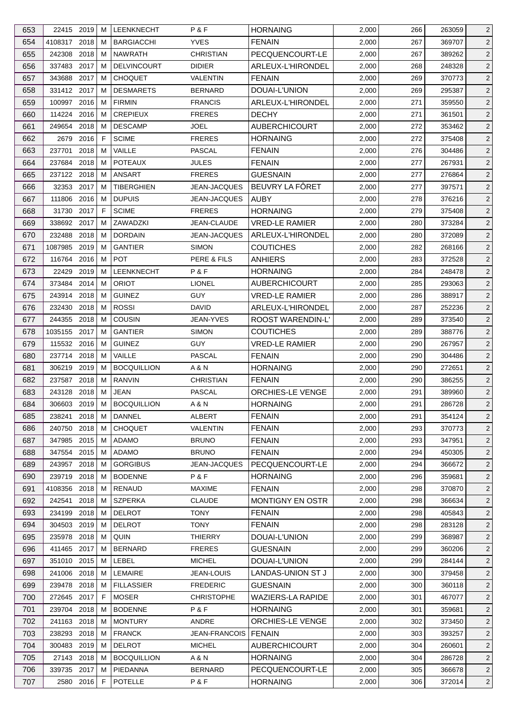| 653 | 22415 2019    |      | M  | <b>LEENKNECHT</b>  | P&F                  | <b>HORNAING</b>          | 2,000 | 266 | 263059 | 2              |
|-----|---------------|------|----|--------------------|----------------------|--------------------------|-------|-----|--------|----------------|
| 654 | 4108317 2018  |      | м  | <b>BARGIACCHI</b>  | <b>YVES</b>          | <b>FENAIN</b>            | 2,000 | 267 | 369707 | $\overline{2}$ |
| 655 | 242308        | 2018 | М  | <b>NAWRATH</b>     | <b>CHRISTIAN</b>     | PECQUENCOURT-LE          | 2,000 | 267 | 389262 | $\overline{2}$ |
| 656 | 337483 2017   |      | м  | <b>DELVINCOURT</b> | <b>DIDIER</b>        | ARLEUX-L'HIRONDEL        | 2,000 | 268 | 248328 | $\overline{2}$ |
| 657 | 343688 2017   |      | м  | <b>CHOQUET</b>     | VALENTIN             | <b>FENAIN</b>            | 2,000 | 269 | 370773 | $\overline{c}$ |
| 658 | 331412 2017   |      | м  | <b>DESMARETS</b>   | <b>BERNARD</b>       | DOUAI-L'UNION            | 2,000 | 269 | 295387 | $\overline{2}$ |
| 659 | 100997 2016   |      | м  | <b>FIRMIN</b>      | <b>FRANCIS</b>       | ARLEUX-L'HIRONDEL        | 2,000 | 271 | 359550 | 2              |
| 660 | 114224 2016   |      | м  | <b>CREPIEUX</b>    | <b>FRERES</b>        | <b>DECHY</b>             | 2,000 | 271 | 361501 | $\overline{c}$ |
| 661 | 249654 2018   |      | M  | <b>DESCAMP</b>     | JOEL                 | <b>AUBERCHICOURT</b>     | 2,000 | 272 | 353462 | 2              |
| 662 | 2679          | 2016 | F  | <b>SCIME</b>       | <b>FRERES</b>        | <b>HORNAING</b>          | 2,000 | 272 | 375408 | $\overline{2}$ |
| 663 | 237701        | 2018 | M  | VAILLE             | <b>PASCAL</b>        | <b>FENAIN</b>            | 2,000 | 276 | 304486 | $\overline{c}$ |
| 664 | 237684 2018   |      | м  | <b>POTEAUX</b>     | <b>JULES</b>         | <b>FENAIN</b>            | 2,000 | 277 | 267931 | $\overline{c}$ |
| 665 | 237122 2018   |      | м  | ANSART             | <b>FRERES</b>        | <b>GUESNAIN</b>          | 2,000 | 277 | 276864 | $\overline{2}$ |
| 666 | 32353 2017    |      | м  | TIBERGHIEN         | <b>JEAN-JACQUES</b>  | BEUVRY LA FÔRET          | 2,000 | 277 | 397571 | $\overline{2}$ |
| 667 | 111806        | 2016 | м  | <b>DUPUIS</b>      | <b>JEAN-JACQUES</b>  | <b>AUBY</b>              | 2,000 | 278 | 376216 | 2              |
| 668 | 31730 2017    |      | F  | <b>SCIME</b>       | <b>FRERES</b>        | <b>HORNAING</b>          | 2,000 | 279 | 375408 | $\overline{c}$ |
| 669 | 338692 2017   |      | м  | ZAWADZKI           | JEAN-CLAUDE          | <b>VRED-LE RAMIER</b>    | 2,000 | 280 | 373284 | $\overline{2}$ |
| 670 | 232488        | 2018 | м  | <b>DORDAIN</b>     | <b>JEAN-JACQUES</b>  | ARLEUX-L'HIRONDEL        | 2,000 | 280 | 372089 | $\overline{c}$ |
| 671 | 1087985       | 2019 | м  | <b>GANTIER</b>     | <b>SIMON</b>         | <b>COUTICHES</b>         | 2,000 | 282 | 268166 | $\overline{2}$ |
| 672 | 116764        | 2016 | M  | <b>POT</b>         | PERE & FILS          | <b>ANHIERS</b>           | 2,000 | 283 | 372528 | $\overline{c}$ |
|     |               |      |    | LEENKNECHT         |                      |                          |       |     |        |                |
| 673 | 22429         | 2019 | м  |                    | P & F                | <b>HORNAING</b>          | 2,000 | 284 | 248478 | $\overline{2}$ |
| 674 | 373484        | 2014 | M  | <b>ORIOT</b>       | <b>LIONEL</b>        | <b>AUBERCHICOURT</b>     | 2,000 | 285 | 293063 | $\overline{c}$ |
| 675 | 243914 2018   |      | м  | <b>GUINEZ</b>      | <b>GUY</b>           | <b>VRED-LE RAMIER</b>    | 2,000 | 286 | 388917 | $\overline{c}$ |
| 676 | 232430 2018   |      | м  | <b>ROSSI</b>       | <b>DAVID</b>         | ARLEUX-L'HIRONDEL        | 2,000 | 287 | 252236 | $\overline{2}$ |
| 677 | 244355        | 2018 | м  | COUSIN             | <b>JEAN-YVES</b>     | ROOST WARENDIN-L'        | 2,000 | 289 | 373540 | $\overline{2}$ |
| 678 | 1035155       | 2017 | м  | <b>GANTIER</b>     | <b>SIMON</b>         | <b>COUTICHES</b>         | 2,000 | 289 | 388776 | $\overline{2}$ |
| 679 | 115532 2016   |      | м  | <b>GUINEZ</b>      | <b>GUY</b>           | <b>VRED-LE RAMIER</b>    | 2,000 | 290 | 267957 | $\overline{c}$ |
| 680 | 237714 2018   |      | м  | VAILLE             | <b>PASCAL</b>        | <b>FENAIN</b>            | 2,000 | 290 | 304486 | $\overline{2}$ |
| 681 | 306219 2019   |      | м  | <b>BOCQUILLION</b> | A & N                | <b>HORNAING</b>          | 2,000 | 290 | 272651 | $\overline{c}$ |
| 682 | 237587 2018   |      | м  | <b>RANVIN</b>      | <b>CHRISTIAN</b>     | <b>FENAIN</b>            | 2,000 | 290 | 386255 | $\overline{2}$ |
| 683 | 243128 2018   |      | M  | <b>JEAN</b>        | <b>PASCAL</b>        | ORCHIES-LE VENGE         | 2,000 | 291 | 389960 | $\overline{c}$ |
| 684 | 306603 2019 M |      |    | <b>BOCQUILLION</b> | A & N                | <b>HORNAING</b>          | 2,000 | 291 | 286728 | $\overline{c}$ |
| 685 | 238241 2018   |      | М  | DANNEL             | <b>ALBERT</b>        | <b>FENAIN</b>            | 2,000 | 291 | 354124 | $\overline{2}$ |
| 686 | 240750        | 2018 | м  | <b>CHOQUET</b>     | <b>VALENTIN</b>      | <b>FENAIN</b>            | 2,000 | 293 | 370773 | $\overline{2}$ |
| 687 | 347985        | 2015 | м  | ADAMO              | <b>BRUNO</b>         | <b>FENAIN</b>            | 2,000 | 293 | 347951 | $\overline{2}$ |
| 688 | 347554        | 2015 | м  | ADAMO              | <b>BRUNO</b>         | <b>FENAIN</b>            | 2,000 | 294 | 450305 | $\overline{2}$ |
| 689 | 243957 2018   |      | м  | <b>GORGIBUS</b>    | JEAN-JACQUES         | PECQUENCOURT-LE          | 2,000 | 294 | 366672 | $\overline{2}$ |
| 690 | 239719 2018   |      | м  | <b>BODENNE</b>     | P&F                  | <b>HORNAING</b>          | 2,000 | 296 | 359681 | $\overline{c}$ |
| 691 | 4108356       | 2018 | м  | <b>RENAUD</b>      | <b>MAXIME</b>        | <b>FENAIN</b>            | 2,000 | 298 | 370870 | $\overline{2}$ |
| 692 | 242541        | 2018 | м  | <b>SZPERKA</b>     | <b>CLAUDE</b>        | <b>MONTIGNY EN OSTR</b>  | 2,000 | 298 | 366634 | $\overline{2}$ |
| 693 | 234199        | 2018 | м  | <b>DELROT</b>      | <b>TONY</b>          | <b>FENAIN</b>            | 2,000 | 298 | 405843 | $\overline{2}$ |
| 694 | 304503        | 2019 | M  | <b>DELROT</b>      | <b>TONY</b>          | <b>FENAIN</b>            | 2,000 | 298 | 283128 | $\overline{c}$ |
| 695 | 235978        | 2018 | м  | QUIN               | THIERRY              | DOUAI-L'UNION            | 2,000 | 299 | 368987 | $\overline{2}$ |
| 696 | 411465        | 2017 | м  | <b>BERNARD</b>     | <b>FRERES</b>        | <b>GUESNAIN</b>          | 2,000 | 299 | 360206 | $\overline{c}$ |
| 697 | 351010 2015   |      | м  | LEBEL              | <b>MICHEL</b>        | DOUAI-L'UNION            | 2,000 | 299 | 284144 | $\overline{2}$ |
| 698 | 241006 2018   |      | м  | LEMAIRE            | JEAN-LOUIS           | LANDAS-UNION ST J        | 2,000 | 300 | 379458 | $\overline{2}$ |
| 699 | 239478        | 2018 | м  | <b>FILLASSIER</b>  | <b>FREDERIC</b>      | <b>GUESNAIN</b>          | 2,000 | 300 | 360118 | $\overline{2}$ |
| 700 | 272645 2017   |      | F  | <b>MOSER</b>       | <b>CHRISTOPHE</b>    | <b>WAZIERS-LA RAPIDE</b> | 2,000 | 301 | 467077 | $\overline{2}$ |
| 701 | 239704 2018   |      | м  | <b>BODENNE</b>     | P&F                  | <b>HORNAING</b>          | 2,000 | 301 | 359681 | $\overline{c}$ |
| 702 | 241163        | 2018 | M  | <b>MONTURY</b>     | ANDRE                | ORCHIES-LE VENGE         | 2,000 | 302 | 373450 | $\overline{2}$ |
| 703 | 238293 2018   |      | м  | <b>FRANCK</b>      | <b>JEAN-FRANCOIS</b> | <b>FENAIN</b>            | 2,000 | 303 | 393257 | $\overline{2}$ |
| 704 | 300483 2019   |      | м  | <b>DELROT</b>      | <b>MICHEL</b>        | AUBERCHICOURT            | 2,000 | 304 | 260601 | $\overline{2}$ |
| 705 | 27143 2018    |      | M  | <b>BOCQUILLION</b> | A & N                | <b>HORNAING</b>          | 2,000 | 304 | 286728 | $\overline{c}$ |
| 706 | 339735        | 2017 | м  | PIEDANNA           | <b>BERNARD</b>       | PECQUENCOURT-LE          | 2,000 | 305 | 366678 | $\overline{2}$ |
| 707 | 2580 2016     |      | F. | <b>POTELLE</b>     | P&F                  | <b>HORNAING</b>          | 2,000 | 306 | 372014 | $\overline{2}$ |
|     |               |      |    |                    |                      |                          |       |     |        |                |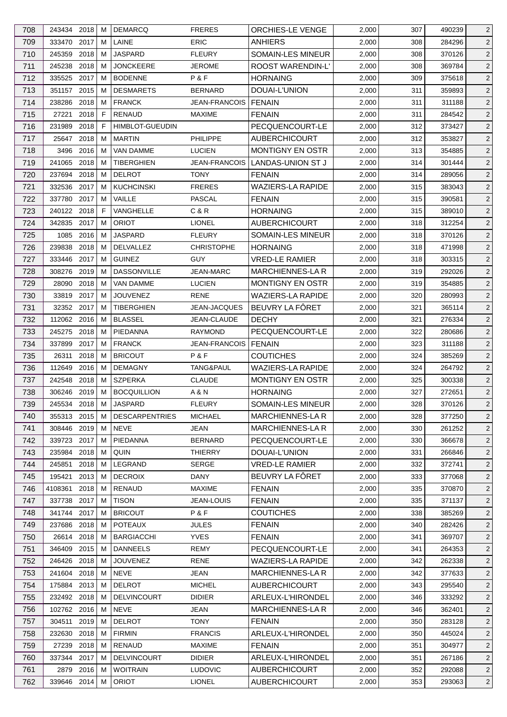| 708        | 243434 2018           |           | м  | <b>DEMARCQ</b>                     | <b>FRERES</b>                | <b>ORCHIES-LE VENGE</b>                   | 2,000          | 307        | 490239           | $\overline{2}$                   |
|------------|-----------------------|-----------|----|------------------------------------|------------------------------|-------------------------------------------|----------------|------------|------------------|----------------------------------|
| 709        | 333470 2017           |           | M  | LAINE                              | <b>ERIC</b>                  | <b>ANHIERS</b>                            | 2,000          | 308        | 284296           | $\overline{2}$                   |
| 710        | 245359                | 2018      | M  | <b>JASPARD</b>                     | <b>FLEURY</b>                | SOMAIN-LES MINEUR                         | 2,000          | 308        | 370126           | $\overline{2}$                   |
| 711        | 245238                | 2018      | м  | <b>JONCKEERE</b>                   | <b>JEROME</b>                | <b>ROOST WARENDIN-L'</b>                  | 2,000          | 308        | 369784           | $\overline{2}$                   |
| 712        | 335525                | 2017      | M  | <b>BODENNE</b>                     | P&F                          | <b>HORNAING</b>                           | 2,000          | 309        | 375618           | $\overline{2}$                   |
| 713        | 351157                | 2015      | M  | <b>DESMARETS</b>                   | <b>BERNARD</b>               | DOUAI-L'UNION                             | 2,000          | 311        | 359893           | $\overline{2}$                   |
| 714        | 238286                | 2018      | M  | <b>FRANCK</b>                      | JEAN-FRANCOIS   FENAIN       |                                           | 2,000          | 311        | 311188           | $\overline{2}$                   |
| 715        | 27221                 | 2018      | F. | <b>RENAUD</b>                      | <b>MAXIME</b>                | <b>FENAIN</b>                             | 2,000          | 311        | 284542           | $\overline{2}$                   |
|            |                       |           |    |                                    |                              |                                           |                |            |                  |                                  |
| 716        | 231989                | 2018      | F  | <b>HIMBLOT-GUEUDIN</b>             |                              | PECQUENCOURT-LE                           | 2,000          | 312        | 373427           | $\overline{2}$                   |
| 717        | 25647                 | 2018      | м  | <b>MARTIN</b>                      | <b>PHILIPPE</b>              | <b>AUBERCHICOURT</b>                      | 2,000          | 312        | 353827           | $\overline{2}$                   |
| 718        | 3496                  | 2016      | M  | <b>VAN DAMME</b>                   | <b>LUCIEN</b>                | <b>MONTIGNY EN OSTR</b>                   | 2,000          | 313        | 354885           | $\overline{2}$                   |
| 719        | 241065                | 2018      | M  | <b>TIBERGHIEN</b>                  | JEAN-FRANCOIS                | LANDAS-UNION ST J                         | 2,000          | 314        | 301444           | $\overline{2}$                   |
| 720        | 237694                | 2018      | M  | <b>DELROT</b><br><b>KUCHCINSKI</b> | <b>TONY</b><br><b>FRERES</b> | <b>FENAIN</b><br><b>WAZIERS-LA RAPIDE</b> | 2,000          | 314        | 289056           | $\overline{2}$                   |
| 721        | 332536                | 2017      | M  |                                    |                              |                                           | 2,000          | 315        | 383043           | $\overline{2}$                   |
| 722        | 337780                | 2017      | м  | VAILLE                             | PASCAL                       | <b>FENAIN</b>                             | 2,000          | 315        | 390581           | $\overline{2}$                   |
| 723        | 240122 2018           |           | F  | VANGHELLE                          | C&R                          | <b>HORNAING</b>                           | 2,000          | 315        | 389010           | $\overline{2}$                   |
| 724        | 342835                | 2017      | M  | <b>ORIOT</b>                       | <b>LIONEL</b>                | <b>AUBERCHICOURT</b>                      | 2,000          | 318        | 312254           | $\overline{2}$                   |
| 725        | 1085 2016             |           | м  | <b>JASPARD</b>                     | <b>FLEURY</b>                | SOMAIN-LES MINEUR                         | 2,000          | 318        | 370126           | $\overline{2}$                   |
| 726        | 239838                | 2018      | M  | <b>DELVALLEZ</b>                   | <b>CHRISTOPHE</b>            | <b>HORNAING</b>                           | 2,000          | 318        | 471998           | $\overline{2}$                   |
| 727        | 333446                | 2017      | м  | <b>GUINEZ</b>                      | <b>GUY</b>                   | <b>VRED-LE RAMIER</b>                     | 2,000          | 318        | 303315           | $\overline{2}$                   |
| 728        | 308276                | 2019      | м  | <b>DASSONVILLE</b>                 | <b>JEAN-MARC</b>             | <b>MARCHIENNES-LA R</b>                   | 2,000          | 319        | 292026           | $\overline{2}$                   |
| 729        | 28090                 | 2018      | M  | <b>VAN DAMME</b>                   | <b>LUCIEN</b>                | <b>MONTIGNY EN OSTR</b>                   | 2,000          | 319        | 354885           | $\overline{2}$                   |
| 730        | 33819 2017            |           | м  | <b>JOUVENEZ</b>                    | <b>RENE</b>                  | <b>WAZIERS-LA RAPIDE</b>                  | 2,000          | 320        | 280993           | $\overline{2}$                   |
| 731        | 32352 2017            |           | M  | TIBERGHIEN                         | <b>JEAN-JACQUES</b>          | BEUVRY LA FÔRET                           | 2,000          | 321        | 365114           | $\overline{2}$                   |
| 732        | 112062                | 2016      | M  | <b>BLASSEL</b>                     | JEAN-CLAUDE                  | <b>DECHY</b>                              | 2,000          | 321        | 276334           | $\overline{2}$                   |
| 733        | 245275                | 2018      | м  | PIEDANNA                           | <b>RAYMOND</b>               | PECQUENCOURT-LE                           | 2,000          | 322        | 280686           | $\overline{2}$                   |
| 734        | 337899                | 2017      | M  | <b>FRANCK</b>                      | JEAN-FRANCOIS                | <b>FENAIN</b>                             | 2,000          | 323        | 311188           | $\overline{2}$                   |
| 735        | 26311                 | 2018      | M  | <b>BRICOUT</b>                     | P&F                          | <b>COUTICHES</b>                          | 2,000          | 324        | 385269           | $\overline{2}$                   |
| 736        | 112649                | 2016      | м  | <b>DEMAGNY</b>                     | TANG&PAUL                    | <b>WAZIERS-LA RAPIDE</b>                  | 2,000          | 324        | 264792           | $\overline{2}$                   |
| 737        | 242548 2018           |           | M  | <b>SZPERKA</b>                     | <b>CLAUDE</b>                | MONTIGNY EN OSTR                          | 2,000          | 325        | 300338           | $\overline{2}$                   |
| 738        | 306246 2019           |           | M  | <b>BOCQUILLION</b>                 | A & N                        | <b>HORNAING</b>                           | 2,000          | 327        | 272651           | $\overline{2}$                   |
| 739        | 245534 2018 M         |           |    | JASPARD                            | <b>FLEURY</b>                | SOMAIN-LES MINEUR                         | 2,000          | 328        | 370126           | $\sqrt{2}$                       |
| 740        | 355313 2015           |           | M  | <b>DESCARPENTRIES</b>              | <b>MICHAEL</b>               | <b>MARCHIENNES-LAR</b>                    | 2,000          | 328        | 377250           | $\overline{2}$                   |
| 741        | 308446 2019           |           | M  | NEVE                               | JEAN                         | <b>MARCHIENNES-LA R</b>                   | 2,000          | 330        | 261252           | $\overline{2}$                   |
| 742        | 339723                | 2017      | м  | PIEDANNA                           | <b>BERNARD</b>               | PECQUENCOURT-LE                           | 2,000          | 330        | 366678           | $\overline{2}$                   |
| 743        | 235984                | 2018      | м  | QUIN                               | <b>THIERRY</b>               | DOUAI-L'UNION                             | 2,000          | 331        | 266846           | $\overline{2}$                   |
| 744        | 245851                | 2018      | м  | LEGRAND                            | <b>SERGE</b>                 | <b>VRED-LE RAMIER</b>                     | 2,000          | 332        | 372741           | $\overline{2}$                   |
| 745        | 195421                | 2013      | M  | <b>DECROIX</b>                     | <b>DANY</b>                  | BEUVRY LA FÖRET                           | 2,000          | 333        | 377068           | $\overline{2}$                   |
| 746        | 4108361               | 2018      | M  | <b>RENAUD</b>                      | <b>MAXIME</b>                | <b>FENAIN</b>                             | 2,000          | 335        | 370870           | $\overline{2}$                   |
| 747        | 337738                | 2017      | м  | <b>TISON</b>                       | <b>JEAN-LOUIS</b>            | <b>FENAIN</b>                             | 2,000          | 335        | 371137           | $\overline{2}$                   |
| 748        | 341744 2017           |           | М  | <b>BRICOUT</b>                     | P&F                          | <b>COUTICHES</b>                          | 2,000          | 338        | 385269           | $\overline{2}$                   |
| 749        | 237686 2018           |           | M  | <b>POTEAUX</b>                     | <b>JULES</b>                 | <b>FENAIN</b>                             | 2,000          | 340        | 282426           | $\overline{2}$                   |
| 750        | 26614                 | 2018      | м  | <b>BARGIACCHI</b>                  | <b>YVES</b>                  | <b>FENAIN</b>                             | 2,000          | 341        | 369707           | $\overline{2}$                   |
| 751        | 346409                | 2015      | M  | <b>DANNEELS</b>                    | <b>REMY</b>                  | PECQUENCOURT-LE                           | 2,000          | 341        | 264353           | $\overline{2}$                   |
| 752        | 246426 2018           |           | м  | <b>JOUVENEZ</b>                    | <b>RENE</b>                  | <b>WAZIERS-LA RAPIDE</b>                  | 2,000          | 342        | 262338           | $\overline{2}$                   |
| 753        | 241604                | 2018      | M  | NEVE                               | JEAN                         | <b>MARCHIENNES-LA R</b>                   | 2,000          | 342        | 377633           | $\overline{2}$                   |
| 754        | 175884                | 2013      | M  | <b>DELROT</b>                      | <b>MICHEL</b>                | <b>AUBERCHICOURT</b>                      | 2,000          | 343        | 295540           | $\overline{2}$                   |
| 755        | 232492 2018           |           | м  | <b>DELVINCOURT</b>                 | <b>DIDIER</b>                | ARLEUX-L'HIRONDEL                         | 2,000          | 346        | 333292           | $\overline{2}$                   |
| 756        | 102762 2016           |           | M  | <b>NEVE</b>                        | JEAN                         | <b>MARCHIENNES-LA R</b>                   | 2,000          | 346        | 362401           | $\overline{2}$                   |
|            |                       |           | M  | <b>DELROT</b>                      | <b>TONY</b>                  |                                           |                |            |                  |                                  |
| 757<br>758 | 304511<br>232630 2018 | 2019      | м  | <b>FIRMIN</b>                      | <b>FRANCIS</b>               | <b>FENAIN</b><br>ARLEUX-L'HIRONDEL        | 2,000<br>2,000 | 350<br>350 | 283128<br>445024 | $\overline{2}$<br>$\overline{2}$ |
|            |                       |           |    |                                    |                              |                                           |                |            |                  |                                  |
| 759        | 27239                 | 2018      | M  | RENAUD                             | <b>MAXIME</b>                | <b>FENAIN</b>                             | 2,000          | 351        | 304977           | $\overline{2}$                   |
| 760        | 337344 2017           |           | M  | <b>DELVINCOURT</b>                 | <b>DIDIER</b>                | ARLEUX-L'HIRONDEL                         | 2,000          | 351        | 267186           | $\overline{2}$                   |
| 761        |                       | 2879 2016 | M  | <b>WOITRAIN</b>                    | <b>LUDOVIC</b>               | <b>AUBERCHICOURT</b>                      | 2,000          | 352        | 292088           | $\overline{2}$                   |
| 762        | 339646 2014           |           | М  | <b>ORIOT</b>                       | <b>LIONEL</b>                | <b>AUBERCHICOURT</b>                      | 2,000          | 353        | 293063           | $\overline{2}$                   |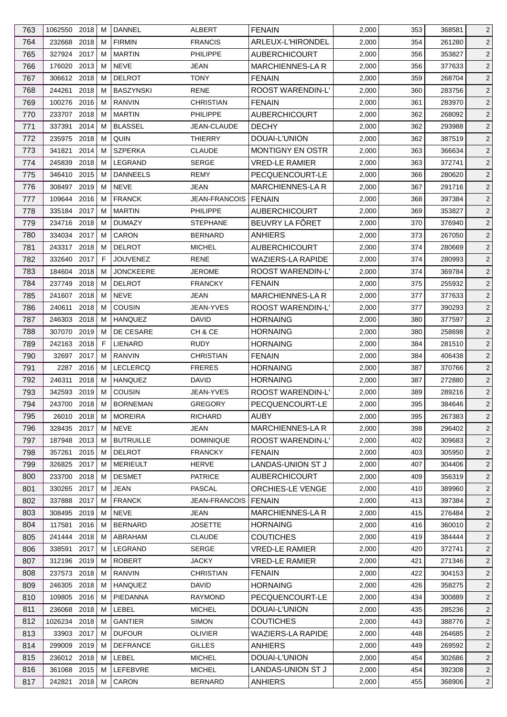| 763        | 1062550                    | 2018 | м      | <b>DANNEL</b>     | ALBERT                          | <b>FENAIN</b>                    | 2,000          | 353        | 368581           | $\overline{2}$                   |
|------------|----------------------------|------|--------|-------------------|---------------------------------|----------------------------------|----------------|------------|------------------|----------------------------------|
| 764        | 232668                     | 2018 | м      | <b>FIRMIN</b>     | <b>FRANCIS</b>                  | ARLEUX-L'HIRONDEL                | 2,000          | 354        | 261280           | $\overline{2}$                   |
| 765        | 327924                     | 2017 | м      | <b>MARTIN</b>     | <b>PHILIPPE</b>                 | <b>AUBERCHICOURT</b>             | 2,000          | 356        | 353827           | $\overline{2}$                   |
| 766        | 176020                     | 2013 | м      | <b>NEVE</b>       | JEAN                            | MARCHIENNES-LA R                 | 2,000          | 356        | 377633           | $\overline{2}$                   |
| 767        | 306612 2018                |      | м      | <b>DELROT</b>     | <b>TONY</b>                     | <b>FENAIN</b>                    | 2,000          | 359        | 268704           | $\overline{2}$                   |
| 768        | 244261                     | 2018 | M      | <b>BASZYNSKI</b>  | <b>RENE</b>                     | ROOST WARENDIN-L'                | 2,000          | 360        | 283756           | $\overline{2}$                   |
| 769        | 100276                     | 2016 | м      | <b>RANVIN</b>     | <b>CHRISTIAN</b>                | <b>FENAIN</b>                    | 2,000          | 361        | 283970           | $\overline{2}$                   |
| 770        | 233707                     | 2018 | м      | <b>MARTIN</b>     | <b>PHILIPPE</b>                 | <b>AUBERCHICOURT</b>             | 2,000          | 362        | 268092           | $\overline{2}$                   |
| 771        | 337391                     | 2014 | M      | <b>BLASSEL</b>    | JEAN-CLAUDE                     | <b>DECHY</b>                     | 2,000          | 362        | 293988           | $\overline{2}$                   |
| 772        | 235975                     | 2018 | м      | QUIN              | <b>THIERRY</b>                  | DOUAI-L'UNION                    | 2,000          | 362        | 387519           | $\overline{2}$                   |
| 773        | 341821                     | 2014 | м      | <b>SZPERKA</b>    | <b>CLAUDE</b>                   | <b>MONTIGNY EN OSTR</b>          | 2,000          | 363        | 366634           | $\overline{2}$                   |
| 774        | 245839                     | 2018 | м      | LEGRAND           | <b>SERGE</b>                    | <b>VRED-LE RAMIER</b>            | 2,000          | 363        | 372741           | $\overline{2}$                   |
| 775        | 346410                     | 2015 | м      | <b>DANNEELS</b>   | <b>REMY</b>                     | PECQUENCOURT-LE                  | 2,000          | 366        | 280620           | $\overline{2}$                   |
| 776        | 308497                     | 2019 | M      | <b>NEVE</b>       | JEAN                            | <b>MARCHIENNES-LAR</b>           | 2,000          | 367        | 291716           | $\overline{2}$                   |
| 777        | 109644                     | 2016 | M      | <b>FRANCK</b>     | <b>JEAN-FRANCOIS</b>            | FENAIN                           | 2,000          | 368        | 397384           | $\overline{2}$                   |
| 778        | 335184 2017                |      | м      | <b>MARTIN</b>     | <b>PHILIPPE</b>                 | <b>AUBERCHICOURT</b>             | 2,000          | 369        | 353827           | $\overline{2}$                   |
| 779        | 234716                     | 2018 | м      | <b>DUMAZY</b>     | <b>STEPHANE</b>                 | BEUVRY LA FÔRET                  | 2,000          | 370        | 376940           | $\overline{2}$                   |
| 780        | 334034                     | 2017 | м      | CARON             | <b>BERNARD</b>                  | ANHIERS                          | 2,000          | 373        | 267050           | $\overline{2}$                   |
| 781        | 243317 2018                |      | м      | <b>DELROT</b>     | <b>MICHEL</b>                   | <b>AUBERCHICOURT</b>             | 2,000          | 374        | 280669           | $\overline{2}$                   |
| 782        | 332640                     | 2017 | F      | <b>JOUVENEZ</b>   | <b>RENE</b>                     | <b>WAZIERS-LA RAPIDE</b>         | 2,000          | 374        | 280993           | $\overline{2}$                   |
| 783        | 184604                     | 2018 | м      | <b>JONCKEERE</b>  | <b>JEROME</b>                   | ROOST WARENDIN-L'                | 2,000          | 374        | 369784           | $\overline{2}$                   |
| 784        | 237749                     | 2018 | м      | <b>DELROT</b>     | <b>FRANCKY</b>                  | <b>FENAIN</b>                    | 2,000          | 375        | 255932           | $\overline{2}$                   |
| 785        | 241607                     | 2018 | м      | <b>NEVE</b>       | JEAN                            | MARCHIENNES-LA R                 | 2,000          | 377        | 377633           | $\overline{2}$                   |
| 786        | 240611                     | 2018 | м      | <b>COUSIN</b>     | JEAN-YVES                       | ROOST WARENDIN-L'                | 2,000          | 377        | 390293           | $\overline{2}$                   |
| 787        | 246303                     | 2018 | M      | <b>HANQUEZ</b>    | <b>DAVID</b>                    | <b>HORNAING</b>                  | 2,000          | 380        | 377597           | $\overline{2}$                   |
| 788        | 307070                     | 2019 | м      | DE CESARE         | CH & CE                         | <b>HORNAING</b>                  | 2,000          | 380        | 258698           | $\overline{2}$                   |
| 789        | 242163                     | 2018 | F      | <b>LIENARD</b>    | <b>RUDY</b>                     | <b>HORNAING</b>                  | 2,000          | 384        | 281510           | $\overline{2}$                   |
| 790        | 32697                      | 2017 | м      | <b>RANVIN</b>     | <b>CHRISTIAN</b>                | <b>FENAIN</b>                    | 2,000          | 384        | 406438           | $\overline{2}$                   |
| 791        | 2287                       | 2016 | м      | <b>LECLERCQ</b>   | <b>FRERES</b>                   | <b>HORNAING</b>                  | 2,000          | 387        | 370766           | $\overline{2}$                   |
| 792        | 246311                     | 2018 | м      | <b>HANQUEZ</b>    | <b>DAVID</b>                    | <b>HORNAING</b>                  | 2,000          | 387        | 272880           | $\overline{2}$                   |
| 793        | 342593                     | 2019 | M      | <b>COUSIN</b>     | JEAN-YVES                       | ROOST WARENDIN-L'                | 2,000          | 389        | 289216           | $\overline{2}$                   |
| 794        | 243700 2018 M              |      |        | <b>BORNEMAN</b>   | <b>GREGORY</b>                  | PECQUENCOURT-LE                  | 2,000          | 395        | 384646           | $\overline{2}$                   |
| 795        | 26010 2018                 |      | М      | <b>MOREIRA</b>    | <b>RICHARD</b>                  | <b>AUBY</b>                      | 2,000          | 395        | 267383           | $\overline{2}$                   |
| 796        | 328435                     | 2017 | м      | NEVE              | JEAN                            | <b>MARCHIENNES-LA R</b>          | 2,000          | 398        | 296402           | $\overline{2}$                   |
| 797        | 187948                     | 2013 | м      | <b>BUTRUILLE</b>  | <b>DOMINIQUE</b>                | ROOST WARENDIN-L'                | 2,000          | 402        | 309683           | $\overline{2}$                   |
| 798        | 357261                     | 2015 | M      | <b>DELROT</b>     | <b>FRANCKY</b>                  | <b>FENAIN</b>                    | 2,000          | 403        | 305950           | $\overline{2}$                   |
| 799        | 326825 2017                |      | м      | <b>MERIEULT</b>   | <b>HERVE</b>                    | LANDAS-UNION ST J                | 2,000          | 407        | 304406           | $\overline{2}$                   |
| 800        | 233700 2018                |      | M      | <b>DESMET</b>     | <b>PATRICE</b>                  | <b>AUBERCHICOURT</b>             | 2,000          | 409        | 356319           | $\overline{2}$                   |
| 801        | 330265                     | 2017 | M      | <b>JEAN</b>       | <b>PASCAL</b>                   | <b>ORCHIES-LE VENGE</b>          | 2,000          | 410        | 389960           | $\overline{2}$                   |
| 802        | 337888                     | 2017 | м      | <b>FRANCK</b>     | <b>JEAN-FRANCOIS</b>            | <b>FENAIN</b>                    | 2,000          | 413        | 397384           | $\overline{2}$                   |
| 803        | 308495                     | 2019 | М      | <b>NEVE</b>       | <b>JEAN</b>                     | <b>MARCHIENNES-LAR</b>           | 2,000          | 415        | 276484           | $\overline{2}$                   |
| 804        | 117581                     | 2016 | м      | <b>BERNARD</b>    | <b>JOSETTE</b>                  | <b>HORNAING</b>                  | 2,000          | 416        | 360010           | $\overline{2}$                   |
|            | 241444                     | 2018 | M      | ABRAHAM           | <b>CLAUDE</b>                   | <b>COUTICHES</b>                 | 2,000          | 419        | 384444           | $\overline{2}$                   |
| 805<br>806 | 338591                     | 2017 | м      | LEGRAND           | <b>SERGE</b>                    | <b>VRED-LE RAMIER</b>            | 2,000          | 420        | 372741           | $\overline{2}$                   |
| 807        | 312196                     | 2019 | M      | <b>ROBERT</b>     | <b>JACKY</b>                    | VRED-LE RAMIER                   | 2,000          | 421        | 271346           | $\overline{2}$                   |
| 808        | 237573                     | 2018 | M      | <b>RANVIN</b>     | <b>CHRISTIAN</b>                | <b>FENAIN</b>                    | 2,000          | 422        | 304153           | $\overline{2}$                   |
| 809        | 246305                     | 2018 | M      | <b>HANQUEZ</b>    | DAVID                           | <b>HORNAING</b>                  | 2,000          | 426        | 358275           | $\overline{2}$                   |
|            |                            |      |        |                   |                                 |                                  |                |            |                  |                                  |
| 810<br>811 | 109805 2016<br>236068 2018 |      | M<br>M | PIEDANNA<br>LEBEL | <b>RAYMOND</b><br><b>MICHEL</b> | PECQUENCOURT-LE<br>DOUAI-L'UNION | 2,000<br>2,000 | 434<br>435 | 300889<br>285236 | $\overline{2}$<br>$\overline{2}$ |
| 812        | 1026234                    | 2018 | M      | <b>GANTIER</b>    | <b>SIMON</b>                    | <b>COUTICHES</b>                 | 2,000          | 443        | 388776           | $\overline{2}$                   |
| 813        | 33903                      | 2017 | м      | <b>DUFOUR</b>     | <b>OLIVIER</b>                  | WAZIERS-LA RAPIDE                | 2,000          | 448        | 264685           | $\overline{2}$                   |
| 814        | 299009                     | 2019 | м      | <b>DEFRANCE</b>   | <b>GILLES</b>                   | <b>ANHIERS</b>                   | 2,000          | 449        | 269592           | $\overline{2}$                   |
| 815        | 236012 2018                |      | М      | LEBEL             | <b>MICHEL</b>                   | DOUAI-L'UNION                    | 2,000          | 454        | 302686           | $\overline{2}$                   |
| 816        | 361068 2015                |      | M      | LEFEBVRE          | <b>MICHEL</b>                   | LANDAS-UNION ST J                | 2,000          | 454        | 392308           | $\overline{2}$                   |
| 817        | 242821 2018                |      | М      | CARON             | <b>BERNARD</b>                  | <b>ANHIERS</b>                   | 2,000          | 455        | 368906           | $\overline{2}$                   |
|            |                            |      |        |                   |                                 |                                  |                |            |                  |                                  |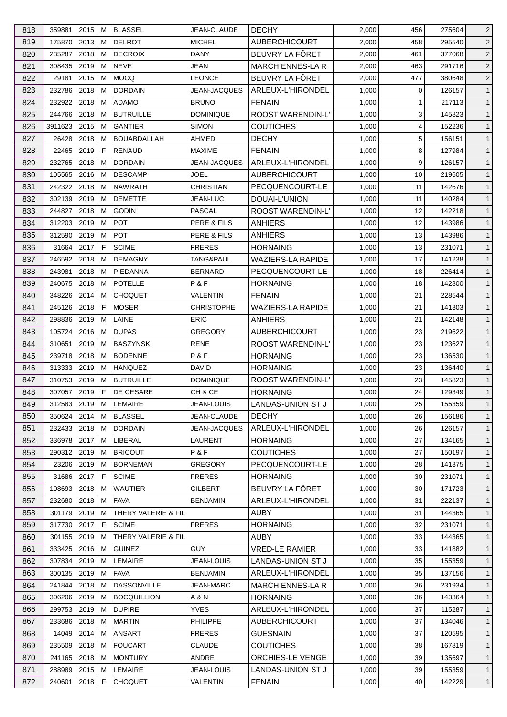| 818 | 359881                | 2015 | м | <b>BLASSEL</b>      | JEAN-CLAUDE                   | <b>DECHY</b>             | 2,000 | 456 | 275604 | $\overline{2}$ |
|-----|-----------------------|------|---|---------------------|-------------------------------|--------------------------|-------|-----|--------|----------------|
| 819 | 175870                | 2013 | м | <b>DELROT</b>       | <b>MICHEL</b>                 | <b>AUBERCHICOURT</b>     | 2,000 | 458 | 295540 | $\overline{c}$ |
| 820 | 235287                | 2018 | м | <b>DECROIX</b>      | <b>DANY</b>                   | BEUVRY LA FÔRET          | 2,000 | 461 | 377068 | $\overline{2}$ |
| 821 | 308435                | 2019 | м | <b>NEVE</b>         | JEAN                          | <b>MARCHIENNES-LAR</b>   | 2,000 | 463 | 291716 | $\overline{2}$ |
| 822 | 29181                 | 2015 | м | <b>MOCO</b>         | <b>LEONCE</b>                 | BEUVRY LA FÔRET          | 2,000 | 477 | 380648 | $\overline{2}$ |
| 823 | 232786                | 2018 | M | <b>DORDAIN</b>      | JEAN-JACQUES                  | ARLEUX-L'HIRONDEL        | 1,000 | 0   | 126157 | $\mathbf{1}$   |
| 824 | 232922 2018           |      | м | <b>ADAMO</b>        | <b>BRUNO</b>                  | <b>FENAIN</b>            | 1,000 | 1   | 217113 | $\mathbf{1}$   |
| 825 | 244766                | 2018 | м | <b>BUTRUILLE</b>    | <b>DOMINIQUE</b>              | ROOST WARENDIN-L'        | 1,000 | 3   | 145823 | $\mathbf{1}$   |
| 826 | 3911623               | 2015 | м | <b>GANTIER</b>      | <b>SIMON</b>                  | <b>COUTICHES</b>         | 1,000 | 4   | 152236 | $\mathbf{1}$   |
| 827 | 26428                 | 2018 | м | <b>BOUABDALLAH</b>  | AHMED                         | <b>DECHY</b>             | 1,000 | 5   | 156151 | $\mathbf{1}$   |
| 828 | 22465                 | 2019 | F | <b>RENAUD</b>       | <b>MAXIME</b>                 | <b>FENAIN</b>            | 1,000 | 8   | 127984 | $\mathbf{1}$   |
| 829 | 232765                | 2018 | м | <b>DORDAIN</b>      | <b>JEAN-JACQUES</b>           | ARLEUX-L'HIRONDEL        | 1,000 | 9   | 126157 | $\mathbf{1}$   |
| 830 | 105565                | 2016 | м | <b>DESCAMP</b>      | JOEL                          | <b>AUBERCHICOURT</b>     | 1,000 | 10  | 219605 | $\mathbf{1}$   |
| 831 | 242322 2018           |      | M | <b>NAWRATH</b>      | <b>CHRISTIAN</b>              | PECQUENCOURT-LE          | 1,000 | 11  | 142676 | $\mathbf{1}$   |
| 832 | 302139                | 2019 | м | <b>DEMETTE</b>      | JEAN-LUC                      | DOUAI-L'UNION            | 1,000 | 11  | 140284 | $\mathbf{1}$   |
| 833 | 244827 2018           |      | м | <b>GODIN</b>        | PASCAL                        | <b>ROOST WARENDIN-L'</b> | 1,000 | 12  | 142218 | $\mathbf{1}$   |
| 834 | 312203                | 2019 | M | <b>POT</b>          | PERE & FILS                   | <b>ANHIERS</b>           | 1,000 | 12  | 143986 | $\mathbf{1}$   |
| 835 | 312590                | 2019 | м | <b>POT</b>          | PERE & FILS                   | <b>ANHIERS</b>           | 1,000 | 13  | 143986 | $\mathbf{1}$   |
| 836 | 31664                 | 2017 | F | <b>SCIME</b>        | <b>FRERES</b>                 | <b>HORNAING</b>          | 1,000 | 13  | 231071 | $\mathbf{1}$   |
| 837 | 246592 2018           |      | м | <b>DEMAGNY</b>      | TANG&PAUL                     | <b>WAZIERS-LA RAPIDE</b> | 1,000 | 17  | 141238 | $\mathbf{1}$   |
| 838 | 243981                | 2018 | м | PIEDANNA            | <b>BERNARD</b>                | PECQUENCOURT-LE          | 1,000 | 18  | 226414 | $\mathbf{1}$   |
| 839 | 240675                | 2018 | м | <b>POTELLE</b>      | P&F                           | <b>HORNAING</b>          | 1,000 | 18  | 142800 | $\mathbf{1}$   |
|     |                       | 2014 | м | <b>CHOQUET</b>      |                               |                          |       | 21  |        | $\mathbf{1}$   |
| 840 | 348226<br>245126 2018 |      | F | <b>MOSER</b>        | VALENTIN<br><b>CHRISTOPHE</b> | <b>FENAIN</b>            | 1,000 | 21  | 228544 | $\mathbf{1}$   |
| 841 |                       |      |   |                     |                               | <b>WAZIERS-LA RAPIDE</b> | 1,000 |     | 141303 |                |
| 842 | 298836                | 2019 | M | LAINE               | <b>ERIC</b>                   | <b>ANHIERS</b>           | 1,000 | 21  | 142148 | $\mathbf{1}$   |
| 843 | 105724                | 2016 | м | <b>DUPAS</b>        | <b>GREGORY</b>                | <b>AUBERCHICOURT</b>     | 1,000 | 23  | 219622 | $\mathbf{1}$   |
| 844 | 310651                | 2019 | м | <b>BASZYNSKI</b>    | <b>RENE</b>                   | <b>ROOST WARENDIN-L'</b> | 1,000 | 23  | 123627 | $\mathbf{1}$   |
| 845 | 239718                | 2018 | м | <b>BODENNE</b>      | P&F                           | <b>HORNAING</b>          | 1,000 | 23  | 136530 | $\mathbf{1}$   |
| 846 | 313333 2019           |      | м | <b>HANQUEZ</b>      | DAVID                         | <b>HORNAING</b>          | 1,000 | 23  | 136440 | $\mathbf{1}$   |
| 847 | 310753                | 2019 | м | <b>BUTRUILLE</b>    | <b>DOMINIQUE</b>              | ROOST WARENDIN-L'        | 1,000 | 23  | 145823 | $\mathbf{1}$   |
| 848 | 307057 2019           |      | F | DE CESARE           | CH & CE                       | <b>HORNAING</b>          | 1,000 | 24  | 129349 | $\mathbf{1}$   |
| 849 | 312583 2019 M         |      |   | <b>LEMAIRE</b>      | <b>JEAN-LOUIS</b>             | LANDAS-UNION ST J        | 1,000 | 25  | 155359 | $\mathbf{1}$   |
| 850 | 350624 2014           |      | М | <b>BLASSEL</b>      | JEAN-CLAUDE                   | <b>DECHY</b>             | 1,000 | 26  | 156186 | $\mathbf{1}$   |
| 851 | 232433 2018           |      | м | <b>DORDAIN</b>      | <b>JEAN-JACQUES</b>           | ARLEUX-L'HIRONDEL        | 1,000 | 26  | 126157 | $\mathbf{1}$   |
| 852 | 336978 2017           |      | м | LIBERAL             | LAURENT                       | <b>HORNAING</b>          | 1,000 | 27  | 134165 | $\mathbf{1}$   |
| 853 | 290312 2019           |      | M | <b>BRICOUT</b>      | P&F                           | <b>COUTICHES</b>         | 1,000 | 27  | 150197 | $\mathbf{1}$   |
| 854 | 23206 2019            |      | м | <b>BORNEMAN</b>     | <b>GREGORY</b>                | PECQUENCOURT-LE          | 1,000 | 28  | 141375 | $\mathbf{1}$   |
| 855 | 31686 2017            |      | F | <b>SCIME</b>        | <b>FRERES</b>                 | <b>HORNAING</b>          | 1,000 | 30  | 231071 | $\mathbf{1}$   |
| 856 | 108693                | 2018 | M | <b>WAUTIER</b>      | <b>GILBERT</b>                | BEUVRY LA FÔRET          | 1,000 | 30  | 171723 | $\mathbf{1}$   |
| 857 | 232680                | 2018 | м | <b>FAVA</b>         | <b>BENJAMIN</b>               | ARLEUX-L'HIRONDEL        | 1,000 | 31  | 222137 | $\mathbf{1}$   |
| 858 | 301179                | 2019 | м | THERY VALERIE & FIL |                               | AUBY                     | 1,000 | 31  | 144365 | $\mathbf{1}$   |
| 859 | 317730 2017           |      | F | <b>SCIME</b>        | <b>FRERES</b>                 | <b>HORNAING</b>          | 1,000 | 32  | 231071 | $\mathbf{1}$   |
| 860 | 301155 2019           |      | м | THERY VALERIE & FIL |                               | <b>AUBY</b>              | 1,000 | 33  | 144365 | $\mathbf{1}$   |
| 861 | 333425                | 2016 | м | <b>GUINEZ</b>       | <b>GUY</b>                    | <b>VRED-LE RAMIER</b>    | 1,000 | 33  | 141882 | $\mathbf{1}$   |
| 862 | 307834 2019           |      | м | LEMAIRE             | JEAN-LOUIS                    | LANDAS-UNION ST J        | 1,000 | 35  | 155359 | $\mathbf{1}$   |
| 863 | 300135 2019           |      | м | <b>FAVA</b>         | <b>BENJAMIN</b>               | ARLEUX-L'HIRONDEL        | 1,000 | 35  | 137156 | $\mathbf{1}$   |
| 864 | 241844                | 2018 | M | <b>DASSONVILLE</b>  | <b>JEAN-MARC</b>              | MARCHIENNES-LA R         | 1,000 | 36  | 231934 | $\mathbf{1}$   |
| 865 | 306206 2019           |      | м | <b>BOCQUILLION</b>  | A & N                         | <b>HORNAING</b>          | 1,000 | 36  | 143364 | $\mathbf{1}$   |
| 866 | 299753 2019           |      | м | <b>DUPIRE</b>       | <b>YVES</b>                   | ARLEUX-L'HIRONDEL        | 1,000 | 37  | 115287 | $\mathbf{1}$   |
| 867 | 233686                | 2018 | м | <b>MARTIN</b>       | <b>PHILIPPE</b>               | <b>AUBERCHICOURT</b>     | 1,000 | 37  | 134046 | $\mathbf{1}$   |
| 868 | 14049                 | 2014 | м | ANSART              | <b>FRERES</b>                 | <b>GUESNAIN</b>          | 1,000 | 37  | 120595 | $\mathbf{1}$   |
| 869 | 235509                | 2018 | м | <b>FOUCART</b>      | <b>CLAUDE</b>                 | <b>COUTICHES</b>         | 1,000 | 38  | 167819 | $\mathbf{1}$   |
| 870 | 241165 2018           |      | м | <b>MONTURY</b>      | ANDRE                         | ORCHIES-LE VENGE         | 1,000 | 39  | 135697 | $\mathbf{1}$   |
| 871 | 288989                | 2015 | м | <b>LEMAIRE</b>      | JEAN-LOUIS                    | LANDAS-UNION ST J        | 1,000 | 39  | 155359 | $\mathbf{1}$   |
| 872 | 240601 2018           |      | F | <b>CHOQUET</b>      | VALENTIN                      | <b>FENAIN</b>            | 1,000 | 40  | 142229 | $\mathbf{1}$   |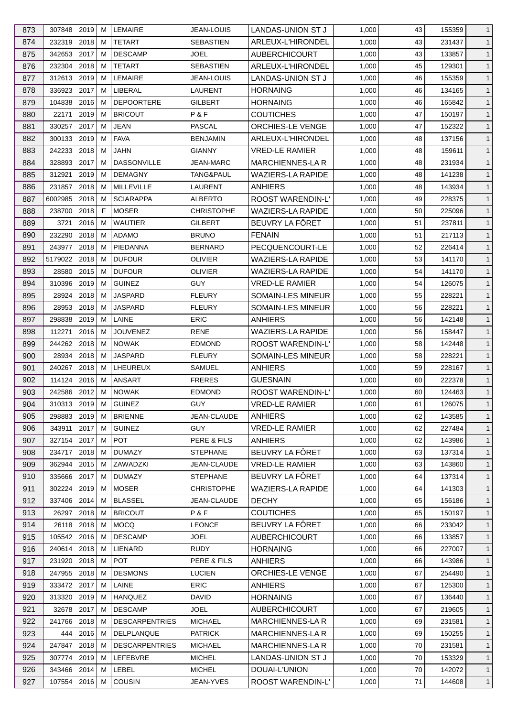| 873        | 307848 2019   |          | м      | <b>LEMAIRE</b>                  | <b>JEAN-LOUIS</b> | LANDAS-UNION ST J                       | 1,000          | 43       | 155359           | $\mathbf{1}$                 |
|------------|---------------|----------|--------|---------------------------------|-------------------|-----------------------------------------|----------------|----------|------------------|------------------------------|
| 874        | 232319 2018   |          | м      | <b>TETART</b>                   | <b>SEBASTIEN</b>  | ARLEUX-L'HIRONDEL                       | 1,000          | 43       | 231437           | $\mathbf{1}$                 |
| 875        | 342653        | 2017     | м      | <b>DESCAMP</b>                  | JOEL              | <b>AUBERCHICOURT</b>                    | 1,000          | 43       | 133857           | $\mathbf{1}$                 |
| 876        | 232304        | 2018     | м      | <b>TETART</b>                   | <b>SEBASTIEN</b>  | ARLEUX-L'HIRONDEL                       | 1,000          | 45       | 129301           | $\mathbf{1}$                 |
| 877        | 312613 2019   |          | M      | <b>LEMAIRE</b>                  | <b>JEAN-LOUIS</b> | LANDAS-UNION ST J                       | 1,000          | 46       | 155359           | $\mathbf{1}$                 |
| 878        | 336923        | 2017     | м      | LIBERAL                         | LAURENT           | <b>HORNAING</b>                         | 1,000          | 46       | 134165           | $\mathbf{1}$                 |
| 879        | 104838        | 2016     | м      | <b>DEPOORTERE</b>               | GILBERT           | <b>HORNAING</b>                         | 1,000          | 46       | 165842           | $\mathbf{1}$                 |
| 880        | 22171         | 2019     | M      | <b>BRICOUT</b>                  | P&F               | <b>COUTICHES</b>                        | 1,000          | 47       | 150197           | $\mathbf{1}$                 |
| 881        | 330257 2017   |          | м      | <b>JEAN</b>                     | PASCAL            | ORCHIES-LE VENGE                        | 1,000          | 47       | 152322           | $\mathbf{1}$                 |
| 882        | 300133        | 2019     | м      | <b>FAVA</b>                     | <b>BENJAMIN</b>   | ARLEUX-L'HIRONDEL                       | 1,000          | 48       | 137156           | $\mathbf{1}$                 |
| 883        | 242233        | 2018     | м      | JAHN                            | <b>GIANNY</b>     | <b>VRED-LE RAMIER</b>                   | 1,000          | 48       | 159611           | $\mathbf{1}$                 |
| 884        | 328893        | 2017     | м      | <b>DASSONVILLE</b>              | JEAN-MARC         | MARCHIENNES-LA R                        | 1,000          | 48       | 231934           | $\mathbf{1}$                 |
| 885        | 312921        | 2019     | м      | <b>DEMAGNY</b>                  | TANG&PAUL         | <b>WAZIERS-LA RAPIDE</b>                | 1,000          | 48       | 141238           | $\mathbf{1}$                 |
| 886        | 231857        | 2018     | M      | MILLEVILLE                      | LAURENT           | <b>ANHIERS</b>                          | 1,000          | 48       | 143934           | $\mathbf{1}$                 |
| 887        | 6002985       | 2018     | М      | <b>SCIARAPPA</b>                | <b>ALBERTO</b>    | <b>ROOST WARENDIN-L'</b>                | 1,000          | 49       | 228375           | $\mathbf{1}$                 |
| 888        | 238700 2018   |          | F      | <b>MOSER</b>                    | <b>CHRISTOPHE</b> | <b>WAZIERS-LA RAPIDE</b>                | 1,000          | 50       | 225096           | $\mathbf{1}$                 |
| 889        | 3721          | 2016     | M      | <b>WAUTIER</b>                  | <b>GILBERT</b>    | BEUVRY LA FÔRET                         | 1,000          | 51       | 237811           | $\mathbf{1}$                 |
| 890        | 232290        | 2018     | м      | ADAMO                           | <b>BRUNO</b>      | <b>FENAIN</b>                           | 1,000          | 51       | 217113           | $\mathbf{1}$                 |
| 891        | 243977 2018   |          | м      | PIEDANNA                        | <b>BERNARD</b>    | PECQUENCOURT-LE                         | 1,000          | 52       | 226414           | $\mathbf{1}$                 |
| 892        | 5179022 2018  |          | м      | <b>DUFOUR</b>                   | <b>OLIVIER</b>    | <b>WAZIERS-LA RAPIDE</b>                | 1,000          | 53       | 141170           | $\mathbf{1}$                 |
| 893        | 28580         | 2015     | м      | <b>DUFOUR</b>                   | <b>OLIVIER</b>    | <b>WAZIERS-LA RAPIDE</b>                | 1,000          | 54       | 141170           | $\mathbf{1}$                 |
| 894        | 310396        | 2019     | м      | <b>GUINEZ</b>                   | <b>GUY</b>        | <b>VRED-LE RAMIER</b>                   | 1,000          | 54       | 126075           | $\mathbf{1}$                 |
| 895        | 28924 2018    |          | м      | <b>JASPARD</b>                  | <b>FLEURY</b>     | SOMAIN-LES MINEUR                       | 1,000          | 55       | 228221           | $\mathbf{1}$                 |
| 896        | 28953 2018    |          | м      | <b>JASPARD</b>                  | <b>FLEURY</b>     | SOMAIN-LES MINEUR                       | 1,000          | 56       | 228221           | $\mathbf{1}$                 |
| 897        | 298838        | 2019     | м      | LAINE                           | <b>ERIC</b>       | <b>ANHIERS</b>                          | 1,000          | 56       | 142148           | $\mathbf{1}$                 |
| 898        | 112271        | 2016     | м      | <b>JOUVENEZ</b>                 | RENE              | <b>WAZIERS-LA RAPIDE</b>                | 1,000          | 56       | 158447           | $\mathbf{1}$                 |
| 899        | 244262 2018   |          | м      | <b>NOWAK</b>                    | <b>EDMOND</b>     | <b>ROOST WARENDIN-L'</b>                | 1,000          | 58       | 142448           | $\mathbf{1}$                 |
| 900        | 28934         | 2018     | м      | <b>JASPARD</b>                  | <b>FLEURY</b>     | SOMAIN-LES MINEUR                       | 1,000          | 58       | 228221           | $\mathbf{1}$                 |
| 901        | 240267 2018   |          | м      | LHEUREUX                        | SAMUEL            | <b>ANHIERS</b>                          | 1,000          | 59       | 228167           | $\mathbf{1}$                 |
| 902        | 114124 2016   |          | м      | <b>ANSART</b>                   | <b>FRERES</b>     | <b>GUESNAIN</b>                         | 1,000          | 60       | 222378           | $\mathbf{1}$                 |
| 903        | 242586 2012   |          | M      | <b>NOWAK</b>                    | <b>EDMOND</b>     | ROOST WARENDIN-L'                       | 1,000          | 60       | 124463           | $\mathbf{1}$                 |
| 904        | 310313 2019 M |          |        | <b>GUINEZ</b>                   | <b>GUY</b>        | <b>VRED-LE RAMIER</b>                   | 1,000          | 61       | 126075           | $\overline{1}$               |
|            | 298883 2019   |          |        |                                 | JEAN-CLAUDE       |                                         |                |          |                  |                              |
| 905<br>906 | 343911        | 2017     | М<br>м | <b>BRIENNE</b><br><b>GUINEZ</b> | <b>GUY</b>        | <b>ANHIERS</b><br><b>VRED-LE RAMIER</b> | 1,000<br>1,000 | 62<br>62 | 143585<br>227484 | $\mathbf{1}$<br>$\mathbf{1}$ |
|            | 327154 2017   |          | м      | <b>POT</b>                      | PERE & FILS       |                                         |                | 62       |                  |                              |
| 907        |               |          |        |                                 |                   | <b>ANHIERS</b>                          | 1,000          |          | 143986           | $\mathbf{1}$                 |
| 908        | 234717        | 2018     | M      | <b>DUMAZY</b>                   | <b>STEPHANE</b>   | BEUVRY LA FÔRET                         | 1,000          | 63       | 137314           | $\mathbf{1}$                 |
| 909        | 362944 2015   |          | м      | ZAWADZKI                        | JEAN-CLAUDE       | <b>VRED-LE RAMIER</b>                   | 1,000          | 63       | 143860           | $\mathbf{1}$                 |
| 910        | 335666 2017   |          | м      | <b>DUMAZY</b>                   | <b>STEPHANE</b>   | BEUVRY LA FÔRET                         | 1,000          | 64       | 137314           | $\mathbf{1}$                 |
| 911        | 302224 2019   |          | м      | <b>MOSER</b>                    | <b>CHRISTOPHE</b> | <b>WAZIERS-LA RAPIDE</b>                | 1,000          | 64       | 141303           | $\mathbf{1}$                 |
| 912        | 337406 2014   |          | м      | <b>BLASSEL</b>                  | JEAN-CLAUDE       | <b>DECHY</b>                            | 1,000          | 65       | 156186           | $\mathbf{1}$                 |
| 913        | 26297 2018    |          | м      | <b>BRICOUT</b>                  | P&F               | <b>COUTICHES</b>                        | 1,000          | 65       | 150197           | $\mathbf{1}$                 |
| 914        | 26118 2018    |          | м      | <b>MOCQ</b>                     | <b>LEONCE</b>     | BEUVRY LA FÖRET                         | 1,000          | 66       | 233042           | $\mathbf{1}$                 |
| 915        | 105542 2016   |          | м      | <b>DESCAMP</b>                  | JOEL              | <b>AUBERCHICOURT</b>                    | 1,000          | 66       | 133857           | $\mathbf{1}$                 |
| 916        | 240614 2018   |          | м      | LIENARD                         | <b>RUDY</b>       | <b>HORNAING</b>                         | 1,000          | 66       | 227007           | $\mathbf{1}$                 |
| 917        | 231920 2018   |          | м      | <b>POT</b>                      | PERE & FILS       | <b>ANHIERS</b>                          | 1,000          | 66       | 143986           | $\mathbf{1}$                 |
| 918        | 247955 2018   |          | м      | <b>DESMONS</b>                  | <b>LUCIEN</b>     | <b>ORCHIES-LE VENGE</b>                 | 1,000          | 67       | 254490           | $\mathbf{1}$                 |
| 919        | 333472 2017   |          | м      | LAINE                           | <b>ERIC</b>       | <b>ANHIERS</b>                          | 1,000          | 67       | 125300           | $\mathbf{1}$                 |
| 920        | 313320        | 2019     | м      | <b>HANQUEZ</b>                  | <b>DAVID</b>      | <b>HORNAING</b>                         | 1,000          | 67       | 136440           | $\mathbf{1}$                 |
| 921        | 32678 2017    |          | м      | <b>DESCAMP</b>                  | <b>JOEL</b>       | <b>AUBERCHICOURT</b>                    | 1,000          | 67       | 219605           | $\mathbf{1}$                 |
| 922        | 241766        | 2018     | м      | <b>DESCARPENTRIES</b>           | <b>MICHAEL</b>    | <b>MARCHIENNES-LA R</b>                 | 1,000          | 69       | 231581           | $\mathbf{1}$                 |
| 923        |               | 444 2016 | м      | DELPLANQUE                      | <b>PATRICK</b>    | <b>MARCHIENNES-LA R</b>                 | 1,000          | 69       | 150255           | $\mathbf{1}$                 |
| 924        | 247847 2018   |          | м      | <b>DESCARPENTRIES</b>           | <b>MICHAEL</b>    | <b>MARCHIENNES-LAR</b>                  | 1,000          | 70       | 231581           | $\mathbf{1}$                 |
| 925        | 307774 2019   |          | м      | LEFEBVRE                        | <b>MICHEL</b>     | LANDAS-UNION ST J                       | 1,000          | 70       | 153329           | $\mathbf{1}$                 |
| 926        | 343466 2014   |          | M      | <b>LEBEL</b>                    | <b>MICHEL</b>     | DOUAI-L'UNION                           | 1,000          | 70       | 142072           | $\mathbf{1}$                 |
| 927        | 107554 2016   |          | м      | COUSIN                          | JEAN-YVES         | ROOST WARENDIN-L'                       | 1,000          | 71       | 144608           | $\mathbf{1}$                 |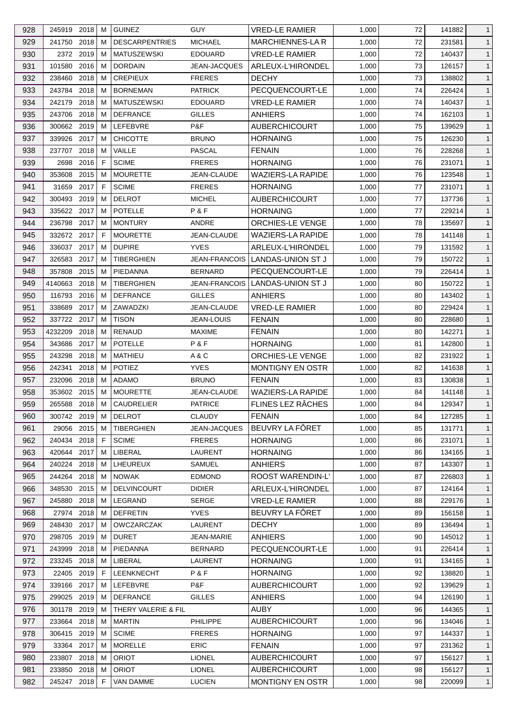| 928 | 245919 2018   |           | м  | <b>GUINEZ</b>         | <b>GUY</b>           | <b>VRED-LE RAMIER</b>    | 1,000          | 72 | 141882           | $\mathbf{1}$                 |
|-----|---------------|-----------|----|-----------------------|----------------------|--------------------------|----------------|----|------------------|------------------------------|
| 929 | 241750        | 2018      | м  | <b>DESCARPENTRIES</b> | <b>MICHAEL</b>       | <b>MARCHIENNES-LAR</b>   | 1,000          | 72 | 231581           | $\mathbf{1}$                 |
| 930 |               | 2372 2019 | м  | <b>MATUSZEWSKI</b>    | <b>EDOUARD</b>       | <b>VRED-LE RAMIER</b>    | 1,000          | 72 | 140437           | $\mathbf{1}$                 |
| 931 | 101580        | 2016      | м  | <b>DORDAIN</b>        | <b>JEAN-JACQUES</b>  | ARLEUX-L'HIRONDEL        | 1,000          | 73 | 126157           | $\mathbf{1}$                 |
| 932 | 238460        | 2018      | м  | <b>CREPIEUX</b>       | <b>FRERES</b>        | <b>DECHY</b>             | 1,000          | 73 | 138802           | $\mathbf{1}$                 |
| 933 | 243784 2018   |           | м  | <b>BORNEMAN</b>       | <b>PATRICK</b>       | PECQUENCOURT-LE          | 1,000          | 74 | 226424           | $\mathbf{1}$                 |
| 934 | 242179        | 2018      | м  | <b>MATUSZEWSKI</b>    | <b>EDOUARD</b>       | <b>VRED-LE RAMIER</b>    | 1,000          | 74 | 140437           | $\mathbf{1}$                 |
| 935 | 243706 2018   |           | м  | <b>DEFRANCE</b>       | <b>GILLES</b>        | <b>ANHIERS</b>           | 1,000          | 74 | 162103           | $\mathbf{1}$                 |
| 936 | 300662 2019   |           | м  | LEFEBVRE              | P&F                  | <b>AUBERCHICOURT</b>     | 1,000          | 75 | 139629           | $\mathbf{1}$                 |
| 937 | 339926        | 2017      | м  | <b>CHICOTTE</b>       | <b>BRUNO</b>         | <b>HORNAING</b>          | 1,000          | 75 | 126230           | $\mathbf{1}$                 |
| 938 | 237707        | 2018      | м  | VAILLE                | <b>PASCAL</b>        | <b>FENAIN</b>            | 1,000          | 76 | 228268           | $\mathbf{1}$                 |
| 939 | 2698          | 2016      | F  | <b>SCIME</b>          | <b>FRERES</b>        | <b>HORNAING</b>          | 1,000          | 76 | 231071           | $\mathbf{1}$                 |
| 940 | 353608        | 2015      | м  | <b>MOURETTE</b>       | JEAN-CLAUDE          | <b>WAZIERS-LA RAPIDE</b> | 1,000          | 76 | 123548           | $\mathbf{1}$                 |
| 941 | 31659         | 2017      | F. | <b>SCIME</b>          | <b>FRERES</b>        | <b>HORNAING</b>          | 1,000          | 77 | 231071           | $\mathbf{1}$                 |
| 942 | 300493        | 2019      | м  | <b>DELROT</b>         | <b>MICHEL</b>        | <b>AUBERCHICOURT</b>     | 1,000          | 77 | 137736           | $\mathbf{1}$                 |
| 943 | 335622 2017   |           | м  | <b>POTELLE</b>        | P&F                  | <b>HORNAING</b>          | 1,000          | 77 | 229214           | $\mathbf{1}$                 |
| 944 | 236798        | 2017      | м  | <b>MONTURY</b>        | <b>ANDRE</b>         | <b>ORCHIES-LE VENGE</b>  | 1,000          | 78 | 135697           | $\mathbf{1}$                 |
| 945 | 332672 2017   |           | F  | <b>MOURETTE</b>       | JEAN-CLAUDE          | <b>WAZIERS-LA RAPIDE</b> | 1,000          | 78 | 141148           | $\mathbf{1}$                 |
| 946 | 336037 2017   |           | м  | <b>DUPIRE</b>         | <b>YVES</b>          | ARLEUX-L'HIRONDEL        | 1,000          | 79 | 131592           | $\mathbf{1}$                 |
| 947 | 326583        | 2017      | м  | TIBERGHIEN            | <b>JEAN-FRANCOIS</b> | LANDAS-UNION ST J        | 1,000          | 79 | 150722           | $\mathbf{1}$                 |
| 948 | 357808        | 2015      | м  | PIEDANNA              | <b>BERNARD</b>       | PECQUENCOURT-LE          | 1,000          | 79 | 226414           | $\mathbf{1}$                 |
| 949 | 4140663       | 2018      | м  | <b>TIBERGHIEN</b>     | <b>JEAN-FRANCOIS</b> | LANDAS-UNION ST J        | 1,000          | 80 | 150722           | $\mathbf{1}$                 |
| 950 | 116793        | 2016      | м  | <b>DEFRANCE</b>       | <b>GILLES</b>        | ANHIERS                  | 1,000          | 80 | 143402           | $\mathbf{1}$                 |
| 951 | 338689        | 2017      | м  | ZAWADZKI              | JEAN-CLAUDE          | VRED-LE RAMIER           | 1,000          | 80 | 229424           | $\mathbf{1}$                 |
| 952 | 337722        | 2017      | м  | <b>TISON</b>          | <b>JEAN-LOUIS</b>    | <b>FENAIN</b>            | 1,000          | 80 | 228680           | $\mathbf{1}$                 |
| 953 | 4232209       | 2018      | м  | RENAUD                | <b>MAXIME</b>        | <b>FENAIN</b>            | 1,000          | 80 | 142271           | $\mathbf{1}$                 |
| 954 | 343686        | 2017      | м  | <b>POTELLE</b>        | P&F                  | <b>HORNAING</b>          | 1,000          | 81 | 142800           | $\mathbf{1}$                 |
| 955 | 243298        | 2018      | M  | MATHIEU               | A & C                | ORCHIES-LE VENGE         | 1,000          | 82 | 231922           | $\mathbf{1}$                 |
| 956 | 242341        | 2018      | м  | <b>POTIEZ</b>         | <b>YVES</b>          | MONTIGNY EN OSTR         | 1,000          | 82 | 141638           | $\mathbf{1}$                 |
| 957 | 232096        | 2018      | м  | ADAMO                 | <b>BRUNO</b>         | <b>FENAIN</b>            | 1,000          | 83 | 130838           | $\mathbf{1}$                 |
| 958 | 353602 2015   |           | м  | <b>MOURETTE</b>       | JEAN-CLAUDE          | <b>WAZIERS-LA RAPIDE</b> | 1,000          | 84 | 141148           | $\mathbf{1}$                 |
| 959 | 265588 2018 M |           |    | CAUDRELIER            | <b>PATRICE</b>       | FLINES LEZ RÂCHES        | 1,000          | 84 | 129347           | $\mathbf{1}$                 |
| 960 | 300742 2019   |           | M  | <b>DELROT</b>         | <b>CLAUDY</b>        | <b>FENAIN</b>            | 1,000          | 84 | 127285           | $\mathbf{1}$                 |
| 961 | 29056 2015    |           | м  | TIBERGHIEN            | JEAN-JACQUES         | BEUVRY LA FÔRET          | 1,000          | 85 | 131771           | $\mathbf{1}$                 |
| 962 | 240434 2018   |           | F  | <b>SCIME</b>          | <b>FRERES</b>        | <b>HORNAING</b>          | 1,000          | 86 | 231071           | $\mathbf{1}$                 |
| 963 | 420644        | 2017      | м  | LIBERAL               | LAURENT              | <b>HORNAING</b>          | 1,000          | 86 | 134165           | $\mathbf{1}$                 |
| 964 | 240224 2018   |           | м  | LHEUREUX              | <b>SAMUEL</b>        | <b>ANHIERS</b>           | 1,000          | 87 | 143307           | $\mathbf{1}$                 |
| 965 | 244264 2018   |           | м  | <b>NOWAK</b>          | <b>EDMOND</b>        | ROOST WARENDIN-L'        | 1,000          | 87 | 226803           | $\mathbf{1}$                 |
| 966 | 348530        | 2015      | M  | <b>DELVINCOURT</b>    | <b>DIDIER</b>        | ARLEUX-L'HIRONDEL        | 1,000          | 87 | 124164           | $\mathbf{1}$                 |
| 967 | 245880        | 2018      | м  | LEGRAND               | <b>SERGE</b>         | <b>VRED-LE RAMIER</b>    | 1,000          | 88 | 229176           | $\mathbf{1}$                 |
| 968 | 27974 2018    |           | м  | <b>DEFRETIN</b>       | <b>YVES</b>          | BEUVRY LA FÔRET          | 1,000          | 89 | 156158           | $\mathbf{1}$                 |
| 969 | 248430        | 2017      | м  | <b>OWCZARCZAK</b>     | LAURENT              | <b>DECHY</b>             | 1,000          | 89 | 136494           | $\mathbf{1}$                 |
| 970 | 298705        | 2019      | м  | <b>DURET</b>          | JEAN-MARIE           | <b>ANHIERS</b>           | 1,000          | 90 |                  |                              |
| 971 | 243999        | 2018      | м  | PIEDANNA              | <b>BERNARD</b>       | PECQUENCOURT-LE          |                | 91 | 145012<br>226414 | $\mathbf{1}$<br>$\mathbf{1}$ |
| 972 | 233245 2018   |           | м  | LIBERAL               | LAURENT              | <b>HORNAING</b>          | 1,000<br>1,000 | 91 | 134165           | $\mathbf{1}$                 |
|     |               |           |    |                       |                      |                          |                |    |                  |                              |
| 973 | 22405         | 2019      | F. | <b>LEENKNECHT</b>     | P & F<br>P&F         | <b>HORNAING</b>          | 1,000          | 92 | 138820           | $\mathbf{1}$                 |
| 974 | 339166        | 2017      | м  | LEFEBVRE              |                      | <b>AUBERCHICOURT</b>     | 1,000          | 92 | 139629           | $\mathbf{1}$                 |
| 975 | 299025 2019   |           | м  | <b>DEFRANCE</b>       | <b>GILLES</b>        | <b>ANHIERS</b>           | 1,000          | 94 | 126190           | $\mathbf{1}$                 |
| 976 | 301178 2019   |           | м  | THERY VALERIE & FIL   |                      | AUBY                     | 1,000          | 96 | 144365           | $\mathbf{1}$                 |
| 977 | 233664        | 2018      | M  | <b>MARTIN</b>         | <b>PHILIPPE</b>      | <b>AUBERCHICOURT</b>     | 1,000          | 96 | 134046           | $\mathbf{1}$                 |
| 978 | 306415 2019   |           | м  | <b>SCIME</b>          | <b>FRERES</b>        | <b>HORNAING</b>          | 1,000          | 97 | 144337           | $\mathbf{1}$                 |
| 979 | 33364 2017    |           | м  | <b>MORELLE</b>        | <b>ERIC</b>          | <b>FENAIN</b>            | 1,000          | 97 | 231362           | $\mathbf{1}$                 |
| 980 | 233807        | 2018      | м  | <b>ORIOT</b>          | <b>LIONEL</b>        | <b>AUBERCHICOURT</b>     | 1,000          | 97 | 156127           | $\mathbf{1}$                 |
| 981 | 233850 2018   |           | м  | <b>ORIOT</b>          | <b>LIONEL</b>        | <b>AUBERCHICOURT</b>     | 1,000          | 98 | 156127           | $\mathbf{1}$                 |
| 982 | 245247 2018   |           | F. | <b>VAN DAMME</b>      | <b>LUCIEN</b>        | MONTIGNY EN OSTR         | 1,000          | 98 | 220099           | $\mathbf{1}$                 |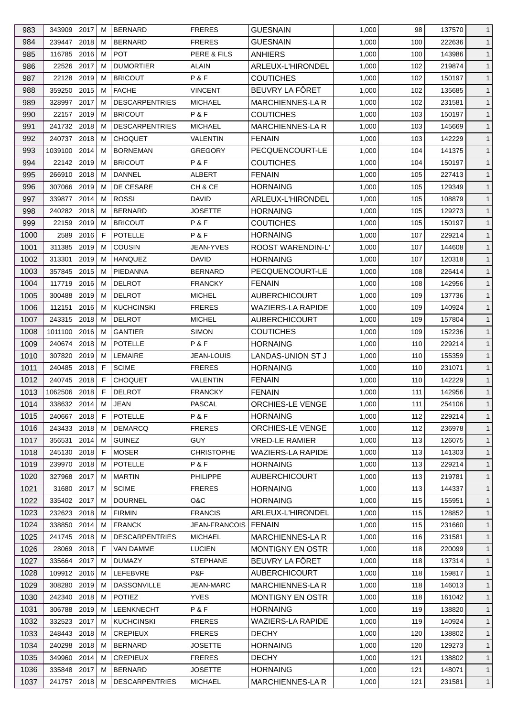| 983  | 343909        | 2017 | M  | <b>BERNARD</b>        | <b>FRERES</b>     | <b>GUESNAIN</b>          | 1,000 | 98  | 137570 | $\mathbf{1}$ |
|------|---------------|------|----|-----------------------|-------------------|--------------------------|-------|-----|--------|--------------|
| 984  | 239447        | 2018 | M  | <b>BERNARD</b>        | <b>FRERES</b>     | <b>GUESNAIN</b>          | 1,000 | 100 | 222636 | $\mathbf{1}$ |
| 985  | 116785        | 2016 | M  | <b>POT</b>            | PERE & FILS       | <b>ANHIERS</b>           | 1,000 | 100 | 143986 | $\mathbf{1}$ |
| 986  | 22526         | 2017 | м  | <b>DUMORTIER</b>      | ALAIN             | ARLEUX-L'HIRONDEL        | 1,000 | 102 | 219874 | $\mathbf{1}$ |
| 987  | 22128         | 2019 | M  | <b>BRICOUT</b>        | P&F               | <b>COUTICHES</b>         | 1,000 | 102 | 150197 | $\mathbf{1}$ |
| 988  | 359250        | 2015 | M  | <b>FACHE</b>          | <b>VINCENT</b>    | BEUVRY LA FÔRET          | 1,000 | 102 | 135685 | $\mathbf{1}$ |
| 989  | 328997        | 2017 | M  | <b>DESCARPENTRIES</b> | <b>MICHAEL</b>    | <b>MARCHIENNES-LA R</b>  | 1,000 | 102 | 231581 | $\mathbf{1}$ |
| 990  | 22157 2019    |      | М  | <b>BRICOUT</b>        | P&F               | <b>COUTICHES</b>         | 1,000 | 103 | 150197 | $\mathbf{1}$ |
| 991  | 241732 2018   |      | м  | <b>DESCARPENTRIES</b> | <b>MICHAEL</b>    | MARCHIENNES-LA R         | 1,000 | 103 | 145669 | $\mathbf{1}$ |
| 992  | 240737        | 2018 | M  | <b>CHOQUET</b>        | VALENTIN          | <b>FENAIN</b>            | 1,000 | 103 | 142229 | $\mathbf{1}$ |
| 993  | 1039100       | 2014 | M  | <b>BORNEMAN</b>       | <b>GREGORY</b>    | PECQUENCOURT-LE          | 1,000 | 104 | 141375 | $\mathbf{1}$ |
| 994  | 22142 2019    |      | м  | <b>BRICOUT</b>        | P&F               | <b>COUTICHES</b>         | 1,000 | 104 | 150197 | $\mathbf{1}$ |
| 995  | 266910 2018   |      | м  | <b>DANNEL</b>         | ALBERT            | <b>FENAIN</b>            | 1,000 | 105 | 227413 | $\mathbf{1}$ |
| 996  | 307066        | 2019 | M  | DE CESARE             | CH & CE           | <b>HORNAING</b>          | 1,000 | 105 | 129349 | $\mathbf{1}$ |
| 997  | 339877        | 2014 | м  | <b>ROSSI</b>          | <b>DAVID</b>      | ARLEUX-L'HIRONDEL        | 1,000 | 105 | 108879 | $\mathbf{1}$ |
| 998  | 240282 2018   |      | M  | <b>BERNARD</b>        | <b>JOSETTE</b>    | <b>HORNAING</b>          | 1,000 | 105 | 129273 | $\mathbf{1}$ |
| 999  | 22159         | 2019 | M  | <b>BRICOUT</b>        | P&F               | <b>COUTICHES</b>         | 1,000 | 105 | 150197 | $\mathbf{1}$ |
| 1000 | 2589          | 2016 | F  | <b>POTELLE</b>        | P&F               | <b>HORNAING</b>          | 1,000 | 107 | 229214 | $\mathbf{1}$ |
| 1001 | 311385        | 2019 | м  | <b>COUSIN</b>         | JEAN-YVES         | ROOST WARENDIN-L'        | 1,000 | 107 | 144608 | $\mathbf{1}$ |
| 1002 | 313301        | 2019 | М  | <b>HANQUEZ</b>        | <b>DAVID</b>      | <b>HORNAING</b>          | 1,000 | 107 | 120318 | $\mathbf{1}$ |
| 1003 | 357845        | 2015 | M  | PIEDANNA              | <b>BERNARD</b>    | PECQUENCOURT-LE          | 1,000 | 108 | 226414 | $\mathbf{1}$ |
| 1004 | 117719        | 2016 | M  | <b>DELROT</b>         | <b>FRANCKY</b>    | <b>FENAIN</b>            | 1,000 | 108 | 142956 | $\mathbf{1}$ |
| 1005 | 300488        | 2019 | м  | <b>DELROT</b>         | <b>MICHEL</b>     | <b>AUBERCHICOURT</b>     | 1,000 | 109 | 137736 | $\mathbf{1}$ |
| 1006 | 112151        | 2016 | м  | <b>KUCHCINSKI</b>     | <b>FRERES</b>     | WAZIERS-LA RAPIDE        | 1,000 | 109 | 140924 | $\mathbf{1}$ |
| 1007 | 243315        | 2018 | M  | <b>DELROT</b>         | <b>MICHEL</b>     | <b>AUBERCHICOURT</b>     | 1,000 | 109 | 157804 | $\mathbf{1}$ |
|      |               |      |    |                       |                   |                          |       |     |        |              |
| 1008 | 1011100       | 2016 | м  | <b>GANTIER</b>        | <b>SIMON</b>      | <b>COUTICHES</b>         | 1,000 | 109 | 152236 | $\mathbf{1}$ |
| 1009 | 240674 2018   |      | M  | <b>POTELLE</b>        | P&F               | <b>HORNAING</b>          | 1,000 | 110 | 229214 | $\mathbf{1}$ |
| 1010 | 307820        | 2019 | M  | <b>LEMAIRE</b>        | JEAN-LOUIS        | LANDAS-UNION ST J        | 1,000 | 110 | 155359 | $\mathbf{1}$ |
| 1011 | 240485 2018   |      | F  | <b>SCIME</b>          | <b>FRERES</b>     | <b>HORNAING</b>          | 1,000 | 110 | 231071 | $\mathbf{1}$ |
| 1012 | 240745        | 2018 | E  | <b>CHOQUET</b>        | <b>VALENTIN</b>   | <b>FENAIN</b>            | 1,000 | 110 | 142229 | $\mathbf{1}$ |
| 1013 | 1062506 2018  |      | F  | <b>DELROT</b>         | <b>FRANCKY</b>    | <b>FENAIN</b>            | 1,000 | 111 | 142956 | $\mathbf{1}$ |
| 1014 | 338632 2014 M |      |    | <b>JEAN</b>           | <b>PASCAL</b>     | <b>ORCHIES-LE VENGE</b>  | 1,000 | 111 | 254106 | $\mathbf{1}$ |
| 1015 | 240667 2018   |      | -F | <b>POTELLE</b>        | P&F               | <b>HORNAING</b>          | 1,000 | 112 | 229214 | $\mathbf{1}$ |
| 1016 | 243433 2018   |      | м  | <b>DEMARCQ</b>        | <b>FRERES</b>     | ORCHIES-LE VENGE         | 1,000 | 112 | 236978 | $\mathbf{1}$ |
| 1017 | 356531        | 2014 | M  | <b>GUINEZ</b>         | <b>GUY</b>        | <b>VRED-LE RAMIER</b>    | 1,000 | 113 | 126075 | $\mathbf{1}$ |
| 1018 | 245130        | 2018 | -F | <b>MOSER</b>          | <b>CHRISTOPHE</b> | <b>WAZIERS-LA RAPIDE</b> | 1,000 | 113 | 141303 | $\mathbf{1}$ |
| 1019 | 239970        | 2018 | м  | <b>POTELLE</b>        | P&F               | <b>HORNAING</b>          | 1,000 | 113 | 229214 | $\mathbf{1}$ |
| 1020 | 327968 2017   |      | M  | <b>MARTIN</b>         | <b>PHILIPPE</b>   | <b>AUBERCHICOURT</b>     | 1,000 | 113 | 219781 | $\mathbf{1}$ |
| 1021 | 31680         | 2017 | М  | <b>SCIME</b>          | <b>FRERES</b>     | <b>HORNAING</b>          | 1,000 | 113 | 144337 | $\mathbf{1}$ |
| 1022 | 335402 2017   |      | M  | <b>DOURNEL</b>        | O&C               | <b>HORNAING</b>          | 1,000 | 115 | 155951 | $\mathbf{1}$ |
| 1023 | 232623        | 2018 | М  | <b>FIRMIN</b>         | <b>FRANCIS</b>    | ARLEUX-L'HIRONDEL        | 1,000 | 115 | 128852 | $\mathbf{1}$ |
| 1024 | 338850 2014   |      | М  | <b>FRANCK</b>         | JEAN-FRANCOIS     | FENAIN                   | 1,000 | 115 | 231660 | $\mathbf{1}$ |
| 1025 | 241745 2018   |      | M  | <b>DESCARPENTRIES</b> | <b>MICHAEL</b>    | <b>MARCHIENNES-LA R</b>  | 1,000 | 116 | 231581 | $\mathbf{1}$ |
| 1026 | 28069         | 2018 | F  | VAN DAMME             | <b>LUCIEN</b>     | MONTIGNY EN OSTR         | 1,000 | 118 | 220099 | $\mathbf{1}$ |
| 1027 | 335664        | 2017 | M  | <b>DUMAZY</b>         | <b>STEPHANE</b>   | BEUVRY LA FÖRET          | 1,000 | 118 | 137314 | $\mathbf{1}$ |
| 1028 | 109912 2016   |      | M  | LEFEBVRE              | P&F               | <b>AUBERCHICOURT</b>     | 1,000 | 118 | 159817 | $\mathbf{1}$ |
| 1029 | 308280        | 2019 | M  | <b>DASSONVILLE</b>    | <b>JEAN-MARC</b>  | <b>MARCHIENNES-LAR</b>   | 1,000 | 118 | 146013 | $\mathbf{1}$ |
| 1030 | 242340 2018   |      | м  | <b>POTIEZ</b>         | <b>YVES</b>       | <b>MONTIGNY EN OSTR</b>  | 1,000 | 118 | 161042 | $\mathbf{1}$ |
| 1031 | 306788 2019   |      | M  | LEENKNECHT            | P&F               | <b>HORNAING</b>          | 1,000 | 119 | 138820 | $\mathbf{1}$ |
| 1032 | 332523        | 2017 | M  | <b>KUCHCINSKI</b>     | <b>FRERES</b>     | <b>WAZIERS-LA RAPIDE</b> | 1,000 | 119 | 140924 | $\mathbf{1}$ |
| 1033 | 248443        | 2018 | M  | <b>CREPIEUX</b>       | <b>FRERES</b>     | <b>DECHY</b>             | 1,000 | 120 | 138802 | $\mathbf{1}$ |
| 1034 | 240298        | 2018 | M  | <b>BERNARD</b>        | <b>JOSETTE</b>    | <b>HORNAING</b>          | 1,000 | 120 | 129273 | $\mathbf{1}$ |
| 1035 | 349960        | 2014 | M  | <b>CREPIEUX</b>       | <b>FRERES</b>     | <b>DECHY</b>             | 1,000 | 121 | 138802 | $\mathbf{1}$ |
| 1036 | 335848 2017   |      | M  | <b>BERNARD</b>        | <b>JOSETTE</b>    | <b>HORNAING</b>          | 1,000 | 121 | 148071 | $\mathbf{1}$ |
| 1037 | 241757 2018   |      | М  | <b>DESCARPENTRIES</b> | <b>MICHAEL</b>    | <b>MARCHIENNES-LAR</b>   | 1,000 | 121 | 231581 | $\mathbf{1}$ |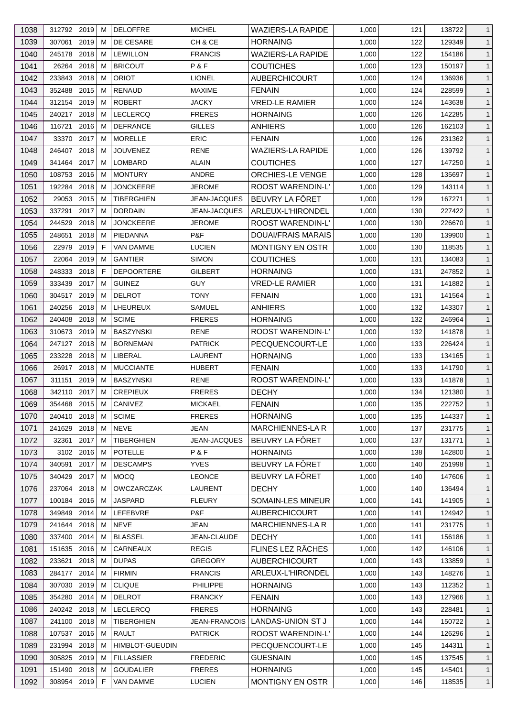| 1038 | 312792 2019   |      | м  | <b>DELOFFRE</b>        | <b>MICHEL</b>        | <b>WAZIERS-LA RAPIDE</b>  | 1,000 | 121 | 138722 | $\mathbf{1}$ |
|------|---------------|------|----|------------------------|----------------------|---------------------------|-------|-----|--------|--------------|
| 1039 | 307061        | 2019 | м  | DE CESARE              | CH & CE              | <b>HORNAING</b>           | 1,000 | 122 | 129349 | $\mathbf{1}$ |
| 1040 | 245178        | 2018 | м  | <b>LEWILLON</b>        | <b>FRANCIS</b>       | <b>WAZIERS-LA RAPIDE</b>  | 1,000 | 122 | 154186 | $\mathbf{1}$ |
| 1041 | 26264 2018    |      | м  | <b>BRICOUT</b>         | P&F                  | <b>COUTICHES</b>          | 1,000 | 123 | 150197 | $\mathbf{1}$ |
| 1042 | 233843        | 2018 | м  | <b>ORIOT</b>           | <b>LIONEL</b>        | <b>AUBERCHICOURT</b>      | 1,000 | 124 | 136936 | $\mathbf{1}$ |
| 1043 | 352488        | 2015 | м  | <b>RENAUD</b>          | <b>MAXIME</b>        | <b>FENAIN</b>             | 1,000 | 124 | 228599 | $\mathbf{1}$ |
| 1044 | 312154 2019   |      | м  | <b>ROBERT</b>          | <b>JACKY</b>         | <b>VRED-LE RAMIER</b>     | 1,000 | 124 | 143638 | $\mathbf{1}$ |
| 1045 | 240217 2018   |      | м  | <b>LECLERCQ</b>        | <b>FRERES</b>        | <b>HORNAING</b>           | 1,000 | 126 | 142285 | $\mathbf{1}$ |
| 1046 | 116721        | 2016 | M  | <b>DEFRANCE</b>        | <b>GILLES</b>        | ANHIERS                   | 1,000 | 126 | 162103 | $\mathbf{1}$ |
| 1047 | 33370         | 2017 | м  | <b>MORELLE</b>         | <b>ERIC</b>          | <b>FENAIN</b>             | 1,000 | 126 | 231362 | $\mathbf{1}$ |
| 1048 | 246407 2018   |      | м  | <b>JOUVENEZ</b>        | <b>RENE</b>          | <b>WAZIERS-LA RAPIDE</b>  | 1,000 | 126 | 139792 | $\mathbf{1}$ |
| 1049 | 341464 2017   |      | м  | LOMBARD                | ALAIN                | <b>COUTICHES</b>          | 1,000 | 127 | 147250 | $\mathbf{1}$ |
| 1050 | 108753 2016   |      | м  | <b>MONTURY</b>         | ANDRE                | <b>ORCHIES-LE VENGE</b>   | 1,000 | 128 | 135697 | $\mathbf{1}$ |
| 1051 | 192284        | 2018 | м  | <b>JONCKEERE</b>       | <b>JEROME</b>        | <b>ROOST WARENDIN-L'</b>  | 1,000 | 129 | 143114 | $\mathbf{1}$ |
| 1052 | 29053         | 2015 | м  | <b>TIBERGHIEN</b>      | <b>JEAN-JACQUES</b>  | BEUVRY LA FÖRET           | 1,000 | 129 | 167271 | $\mathbf{1}$ |
| 1053 | 337291        | 2017 | м  | <b>DORDAIN</b>         | <b>JEAN-JACQUES</b>  | ARLEUX-L'HIRONDEL         | 1,000 | 130 | 227422 | $\mathbf{1}$ |
| 1054 | 244529        | 2018 | м  | <b>JONCKEERE</b>       | <b>JEROME</b>        | <b>ROOST WARENDIN-L'</b>  | 1,000 | 130 | 226670 | $\mathbf{1}$ |
| 1055 | 248651        | 2018 | м  | PIEDANNA               | P&F                  | <b>DOUAI/FRAIS MARAIS</b> | 1,000 | 130 | 139900 | $\mathbf{1}$ |
| 1056 | 22979         | 2019 | F  | <b>VAN DAMME</b>       | <b>LUCIEN</b>        | <b>MONTIGNY EN OSTR</b>   | 1,000 | 130 | 118535 | $\mathbf{1}$ |
| 1057 | 22064         | 2019 | M  | <b>GANTIER</b>         | <b>SIMON</b>         | <b>COUTICHES</b>          | 1,000 | 131 | 134083 | $\mathbf{1}$ |
| 1058 | 248333        | 2018 | F  | <b>DEPOORTERE</b>      | GILBERT              | <b>HORNAING</b>           | 1,000 | 131 | 247852 | $\mathbf{1}$ |
|      | 333439        | 2017 | м  | <b>GUINEZ</b>          | <b>GUY</b>           |                           |       |     |        |              |
| 1059 |               |      |    |                        |                      | <b>VRED-LE RAMIER</b>     | 1,000 | 131 | 141882 | $\mathbf{1}$ |
| 1060 | 304517 2019   |      | м  | <b>DELROT</b>          | <b>TONY</b>          | <b>FENAIN</b>             | 1,000 | 131 | 141564 | $\mathbf{1}$ |
| 1061 | 240256 2018   |      | м  | LHEUREUX               | SAMUEL               | <b>ANHIERS</b>            | 1,000 | 132 | 143307 | $\mathbf{1}$ |
| 1062 | 240408        | 2018 | м  | <b>SCIME</b>           | <b>FRERES</b>        | <b>HORNAING</b>           | 1,000 | 132 | 246964 | $\mathbf{1}$ |
| 1063 | 310673 2019   |      | м  | <b>BASZYNSKI</b>       | <b>RENE</b>          | ROOST WARENDIN-L'         | 1,000 | 132 | 141878 | $\mathbf{1}$ |
| 1064 | 247127 2018   |      | м  | <b>BORNEMAN</b>        | <b>PATRICK</b>       | PECQUENCOURT-LE           | 1,000 | 133 | 226424 | $\mathbf{1}$ |
| 1065 | 233228        | 2018 | м  | LIBERAL                | LAURENT              | <b>HORNAING</b>           | 1,000 | 133 | 134165 | $\mathbf{1}$ |
| 1066 | 26917 2018    |      | м  | <b>MUCCIANTE</b>       | <b>HUBERT</b>        | <b>FENAIN</b>             | 1,000 | 133 | 141790 | $\mathbf{1}$ |
| 1067 | 311151        | 2019 | м  | <b>BASZYNSKI</b>       | RENE                 | ROOST WARENDIN-L'         | 1,000 | 133 | 141878 | $\mathbf{1}$ |
| 1068 | 342110 2017   |      | M  | <b>CREPIEUX</b>        | <b>FRERES</b>        | <b>DECHY</b>              | 1,000 | 134 | 121380 | $\mathbf{1}$ |
| 1069 | 354468 2015 M |      |    | CANIVEZ                | <b>MICKAEL</b>       | <b>FENAIN</b>             | 1,000 | 135 | 222752 | $\mathbf{1}$ |
| 1070 | 240410 2018   |      | М  | <b>SCIME</b>           | <b>FRERES</b>        | <b>HORNAING</b>           | 1,000 | 135 | 144337 | $\mathbf{1}$ |
| 1071 | 241629        | 2018 | м  | <b>NEVE</b>            | JEAN                 | MARCHIENNES-LA R          | 1,000 | 137 | 231775 | $\mathbf{1}$ |
| 1072 | 32361         | 2017 | м  | TIBERGHIEN             | <b>JEAN-JACQUES</b>  | BEUVRY LA FÔRET           | 1,000 | 137 | 131771 | $\mathbf{1}$ |
| 1073 | 3102 2016     |      | м  | <b>POTELLE</b>         | P&F                  | <b>HORNAING</b>           | 1,000 | 138 | 142800 | $\mathbf{1}$ |
| 1074 | 340591        | 2017 | м  | <b>DESCAMPS</b>        | <b>YVES</b>          | BEUVRY LA FÔRET           | 1,000 | 140 | 251998 | $\mathbf{1}$ |
| 1075 | 340429        | 2017 | м  | <b>MOCQ</b>            | <b>LEONCE</b>        | BEUVRY LA FÖRET           | 1,000 | 140 | 147606 | $\mathbf{1}$ |
| 1076 | 237064        | 2018 | M  | <b>OWCZARCZAK</b>      | LAURENT              | <b>DECHY</b>              | 1,000 | 140 | 136494 | $\mathbf{1}$ |
| 1077 | 100184        | 2016 | м  | <b>JASPARD</b>         | <b>FLEURY</b>        | SOMAIN-LES MINEUR         | 1,000 | 141 | 141905 | $\mathbf{1}$ |
| 1078 | 349849 2014   |      | м  | LEFEBVRE               | P&F                  | AUBERCHICOURT             | 1,000 | 141 | 124942 | $\mathbf{1}$ |
| 1079 | 241644        | 2018 | м  | <b>NEVE</b>            | <b>JEAN</b>          | <b>MARCHIENNES-LA R</b>   | 1,000 | 141 | 231775 | $\mathbf{1}$ |
| 1080 | 337400 2014   |      | м  | <b>BLASSEL</b>         | JEAN-CLAUDE          | <b>DECHY</b>              | 1,000 | 141 | 156186 | $\mathbf{1}$ |
| 1081 | 151635        | 2016 | м  | CARNEAUX               | <b>REGIS</b>         | FLINES LEZ RÂCHES         | 1,000 | 142 | 146106 | $\mathbf{1}$ |
| 1082 | 233621        | 2018 | м  | <b>DUPAS</b>           | <b>GREGORY</b>       | <b>AUBERCHICOURT</b>      | 1,000 | 143 | 133859 | $\mathbf{1}$ |
| 1083 | 284177        | 2014 | м  | <b>FIRMIN</b>          | <b>FRANCIS</b>       | ARLEUX-L'HIRONDEL         | 1,000 | 143 | 148276 | $\mathbf{1}$ |
| 1084 | 307030        | 2019 | м  | <b>CLIQUE</b>          | PHILIPPE             | <b>HORNAING</b>           | 1,000 | 143 | 112352 | $\mathbf{1}$ |
| 1085 | 354280        | 2014 | м  | <b>DELROT</b>          | <b>FRANCKY</b>       | <b>FENAIN</b>             | 1,000 | 143 | 127966 | $\mathbf{1}$ |
| 1086 | 240242 2018   |      | м  | <b>LECLERCQ</b>        | <b>FRERES</b>        | <b>HORNAING</b>           | 1,000 | 143 | 228481 | $\mathbf{1}$ |
| 1087 | 241100        | 2018 | M  | <b>TIBERGHIEN</b>      | <b>JEAN-FRANCOIS</b> | LANDAS-UNION ST J         | 1,000 | 144 | 150722 | $\mathbf{1}$ |
| 1088 | 107537 2016   |      | м  | RAULT                  | <b>PATRICK</b>       | ROOST WARENDIN-L'         | 1,000 | 144 | 126296 | $\mathbf{1}$ |
| 1089 | 231994 2018   |      | м  | <b>HIMBLOT-GUEUDIN</b> |                      | PECQUENCOURT-LE           | 1,000 | 145 | 144311 | $\mathbf{1}$ |
| 1090 | 305825 2019   |      | м  | <b>FILLASSIER</b>      | <b>FREDERIC</b>      | <b>GUESNAIN</b>           | 1,000 | 145 | 137545 | $\mathbf{1}$ |
| 1091 | 151490 2018   |      | м  | <b>GOUDALIER</b>       | <b>FRERES</b>        | <b>HORNAING</b>           | 1,000 | 145 | 145401 | $\mathbf{1}$ |
| 1092 | 308954 2019   |      | F. | <b>VAN DAMME</b>       | <b>LUCIEN</b>        | MONTIGNY EN OSTR          | 1,000 | 146 | 118535 | $\mathbf{1}$ |
|      |               |      |    |                        |                      |                           |       |     |        |              |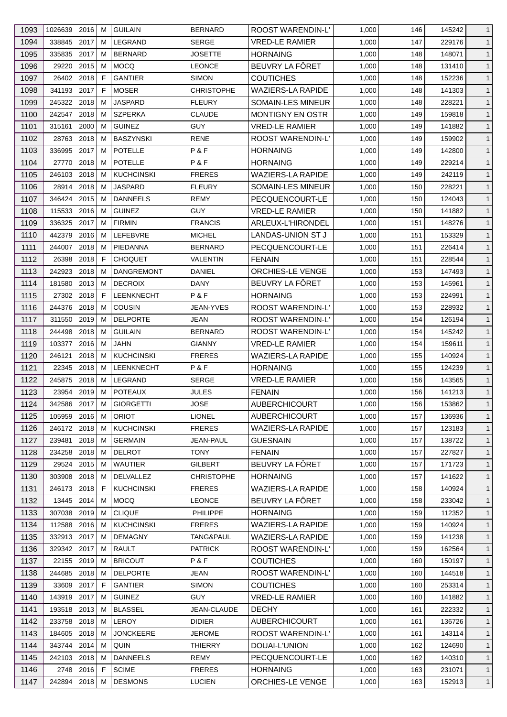| 1093 | 1026639 2016   | м  | <b>GUILAIN</b>              | <b>BERNARD</b>    | ROOST WARENDIN-L'        | 1,000 | 146 | 145242 | $\mathbf{1}$ |
|------|----------------|----|-----------------------------|-------------------|--------------------------|-------|-----|--------|--------------|
| 1094 | 338845 2017    | м  | LEGRAND                     | <b>SERGE</b>      | <b>VRED-LE RAMIER</b>    | 1,000 | 147 | 229176 | $\mathbf{1}$ |
| 1095 | 335835<br>2017 | м  | <b>BERNARD</b>              | <b>JOSETTE</b>    | <b>HORNAING</b>          | 1,000 | 148 | 148071 | $\mathbf{1}$ |
| 1096 | 29220<br>2015  | М  | MOCQ                        | <b>LEONCE</b>     | BEUVRY LA FÔRET          | 1,000 | 148 | 131410 | $\mathbf{1}$ |
| 1097 | 26402 2018     | F  | <b>GANTIER</b>              | <b>SIMON</b>      | <b>COUTICHES</b>         | 1,000 | 148 | 152236 | $\mathbf{1}$ |
| 1098 | 2017<br>341193 | F  | <b>MOSER</b>                | <b>CHRISTOPHE</b> | <b>WAZIERS-LA RAPIDE</b> | 1,000 | 148 | 141303 | $\mathbf{1}$ |
| 1099 | 245322 2018    | м  | <b>JASPARD</b>              | <b>FLEURY</b>     | SOMAIN-LES MINEUR        | 1,000 | 148 | 228221 | $\mathbf{1}$ |
| 1100 | 242547 2018    | м  | <b>SZPERKA</b>              | <b>CLAUDE</b>     | MONTIGNY EN OSTR         | 1,000 | 149 | 159818 | $\mathbf{1}$ |
| 1101 | 2000<br>315161 | м  | <b>GUINEZ</b>               | GUY               | <b>VRED-LE RAMIER</b>    | 1,000 | 149 | 141882 | $\mathbf{1}$ |
| 1102 | 2018<br>28763  | м  | BASZYNSKI                   | <b>RENE</b>       | ROOST WARENDIN-L'        | 1,000 | 149 | 159902 | $\mathbf{1}$ |
| 1103 | 2017<br>336995 | м  | <b>POTELLE</b>              | P&F               | <b>HORNAING</b>          | 1,000 | 149 | 142800 | $\mathbf{1}$ |
| 1104 | 2018<br>27770  | м  | <b>POTELLE</b>              | P&F               | HORNAING                 | 1,000 | 149 | 229214 | $\mathbf{1}$ |
| 1105 | 2018<br>246103 | м  | <b>KUCHCINSKI</b>           | <b>FRERES</b>     | WAZIERS-LA RAPIDE        | 1,000 | 149 | 242119 | $\mathbf{1}$ |
| 1106 | 28914<br>2018  | M  | <b>JASPARD</b>              | <b>FLEURY</b>     | SOMAIN-LES MINEUR        | 1,000 | 150 | 228221 | $\mathbf{1}$ |
| 1107 | 346424 2015    | м  | <b>DANNEELS</b>             | REMY              | PECQUENCOURT-LE          | 1,000 | 150 | 124043 | $\mathbf{1}$ |
| 1108 | 115533 2016    | м  | <b>GUINEZ</b>               | <b>GUY</b>        | <b>VRED-LE RAMIER</b>    | 1,000 | 150 | 141882 | $\mathbf{1}$ |
| 1109 | 2017<br>336325 | м  | <b>FIRMIN</b>               | <b>FRANCIS</b>    | ARLEUX-L'HIRONDEL        | 1,000 | 151 | 148276 | $\mathbf{1}$ |
| 1110 | 442379<br>2016 | м  | LEFEBVRE                    | <b>MICHEL</b>     | LANDAS-UNION ST J        | 1,000 | 151 | 153329 | $\mathbf{1}$ |
| 1111 | 244007<br>2018 | м  | PIEDANNA                    | <b>BERNARD</b>    | PECQUENCOURT-LE          | 1,000 | 151 | 226414 | $\mathbf{1}$ |
| 1112 | 2018<br>26398  | F  | <b>CHOQUET</b>              | VALENTIN          | <b>FENAIN</b>            | 1,000 | 151 | 228544 | $\mathbf{1}$ |
| 1113 | 2018<br>242923 | м  | <b>DANGREMONT</b>           | DANIEL            | <b>ORCHIES-LE VENGE</b>  | 1,000 | 153 | 147493 | $\mathbf{1}$ |
| 1114 | 181580<br>2013 | м  | <b>DECROIX</b>              | DANY              | BEUVRY LA FÔRET          | 1,000 | 153 | 145961 | $\mathbf{1}$ |
|      | 27302 2018     | F  |                             | P&F               |                          |       |     |        | $\mathbf{1}$ |
| 1115 | 244376<br>2018 |    | <b>LEENKNECHT</b><br>COUSIN |                   | <b>HORNAING</b>          | 1,000 | 153 | 224991 |              |
| 1116 |                | м  |                             | JEAN-YVES         | ROOST WARENDIN-L'        | 1,000 | 153 | 228932 | $\mathbf{1}$ |
| 1117 | 311550<br>2019 | м  | <b>DELPORTE</b>             | JEAN              | ROOST WARENDIN-L'        | 1,000 | 154 | 126194 | $\mathbf{1}$ |
| 1118 | 244498<br>2018 | м  | <b>GUILAIN</b>              | <b>BERNARD</b>    | ROOST WARENDIN-L'        | 1,000 | 154 | 145242 | $\mathbf{1}$ |
| 1119 | 103377 2016    | м  | <b>JAHN</b>                 | <b>GIANNY</b>     | <b>VRED-LE RAMIER</b>    | 1,000 | 154 | 159611 | $\mathbf{1}$ |
| 1120 | 2018<br>246121 | м  | <b>KUCHCINSKI</b>           | <b>FRERES</b>     | <b>WAZIERS-LA RAPIDE</b> | 1,000 | 155 | 140924 | $\mathbf{1}$ |
| 1121 | 22345 2018     | м  | <b>LEENKNECHT</b>           | P & F             | HORNAING                 | 1,000 | 155 | 124239 | $\mathbf{1}$ |
| 1122 | 245875<br>2018 | м  | LEGRAND                     | <b>SERGE</b>      | <b>VRED-LE RAMIER</b>    | 1,000 | 156 | 143565 | $\mathbf{1}$ |
| 1123 | 23954 2019     | M  | <b>POTEAUX</b>              | <b>JULES</b>      | <b>FENAIN</b>            | 1,000 | 156 | 141213 | $\mathbf{1}$ |
| 1124 | 342586 2017    | M  | <b>GIORGETTI</b>            | <b>JOSE</b>       | <b>AUBERCHICOURT</b>     | 1,000 | 156 | 153862 | $\mathbf{1}$ |
| 1125 | 105959 2016    | м  | <b>ORIOT</b>                | <b>LIONEL</b>     | <b>AUBERCHICOURT</b>     | 1,000 | 157 | 136936 | $\mathbf{1}$ |
| 1126 | 246172 2018    | м  | <b>KUCHCINSKI</b>           | <b>FRERES</b>     | <b>WAZIERS-LA RAPIDE</b> | 1,000 | 157 | 123183 | $\mathbf{1}$ |
| 1127 | 2018<br>239481 | м  | <b>GERMAIN</b>              | JEAN-PAUL         | GUESNAIN                 | 1,000 | 157 | 138722 | $\mathbf{1}$ |
| 1128 | 234258<br>2018 | м  | <b>DELROT</b>               | <b>TONY</b>       | <b>FENAIN</b>            | 1,000 | 157 | 227827 | $\mathbf{1}$ |
| 1129 | 29524 2015     | м  | <b>WAUTIER</b>              | <b>GILBERT</b>    | BEUVRY LA FÔRET          | 1,000 | 157 | 171723 | $\mathbf{1}$ |
| 1130 | 303908 2018    | м  | <b>DELVALLEZ</b>            | <b>CHRISTOPHE</b> | <b>HORNAING</b>          | 1,000 | 157 | 141622 | $\mathbf{1}$ |
| 1131 | 2018<br>246173 | F  | <b>KUCHCINSKI</b>           | <b>FRERES</b>     | <b>WAZIERS-LA RAPIDE</b> | 1,000 | 158 | 140924 | $\mathbf{1}$ |
| 1132 | 13445 2014     | м  | MOCQ                        | <b>LEONCE</b>     | BEUVRY LA FÖRET          | 1,000 | 158 | 233042 | $\mathbf{1}$ |
| 1133 | 307038<br>2019 | м  | <b>CLIQUE</b>               | PHILIPPE          | <b>HORNAING</b>          | 1,000 | 159 | 112352 | $\mathbf{1}$ |
| 1134 | 112588 2016    | м  | <b>KUCHCINSKI</b>           | <b>FRERES</b>     | <b>WAZIERS-LA RAPIDE</b> | 1,000 | 159 | 140924 | $\mathbf{1}$ |
| 1135 | 332913 2017    | м  | <b>DEMAGNY</b>              | TANG&PAUL         | WAZIERS-LA RAPIDE        | 1,000 | 159 | 141238 | $\mathbf{1}$ |
| 1136 | 329342 2017    | м  | <b>RAULT</b>                | <b>PATRICK</b>    | ROOST WARENDIN-L'        | 1,000 | 159 | 162564 | $\mathbf{1}$ |
| 1137 | 22155<br>2019  | м  | <b>BRICOUT</b>              | P & F             | <b>COUTICHES</b>         | 1,000 | 160 | 150197 | $\mathbf{1}$ |
| 1138 | 244685<br>2018 | м  | <b>DELPORTE</b>             | JEAN              | ROOST WARENDIN-L'        | 1,000 | 160 | 144518 | $\mathbf{1}$ |
| 1139 | 33609<br>2017  | F. | <b>GANTIER</b>              | <b>SIMON</b>      | <b>COUTICHES</b>         | 1,000 | 160 | 253314 | $\mathbf{1}$ |
| 1140 | 143919<br>2017 | м  | <b>GUINEZ</b>               | <b>GUY</b>        | <b>VRED-LE RAMIER</b>    | 1,000 | 160 | 141882 | $\mathbf{1}$ |
| 1141 | 193518 2013    | м  | <b>BLASSEL</b>              | JEAN-CLAUDE       | <b>DECHY</b>             | 1,000 | 161 | 222332 | $\mathbf{1}$ |
| 1142 | 2018<br>233758 | м  | <b>LEROY</b>                | <b>DIDIER</b>     | <b>AUBERCHICOURT</b>     | 1,000 | 161 | 136726 | $\mathbf{1}$ |
| 1143 | 184605<br>2018 | м  | <b>JONCKEERE</b>            | <b>JEROME</b>     | ROOST WARENDIN-L'        | 1,000 | 161 | 143114 | $\mathbf{1}$ |
| 1144 | 343744 2014    | м  | QUIN                        | <b>THIERRY</b>    | DOUAI-L'UNION            | 1,000 | 162 | 124690 | $\mathbf{1}$ |
| 1145 | 242103 2018    | м  | <b>DANNEELS</b>             | REMY              | PECQUENCOURT-LE          | 1,000 | 162 | 140310 | $\mathbf{1}$ |
| 1146 | 2748 2016      | F  | <b>SCIME</b>                | <b>FRERES</b>     | <b>HORNAING</b>          | 1,000 | 163 | 231071 | $\mathbf{1}$ |
| 1147 | 242894 2018    | м  | <b>DESMONS</b>              | <b>LUCIEN</b>     | ORCHIES-LE VENGE         | 1,000 | 163 | 152913 | $\mathbf{1}$ |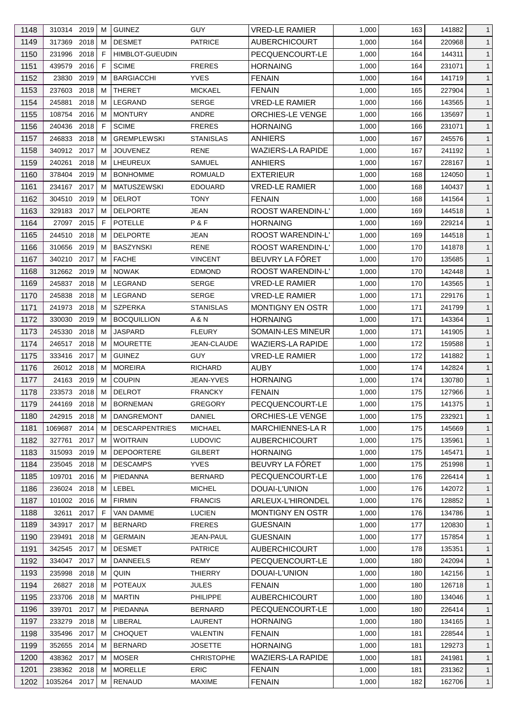| 1148 | 310314 2019  |      | м | <b>GUINEZ</b>          | <b>GUY</b>        | VRED-LE RAMIER           | 1,000 | 163 | 141882 | 1            |
|------|--------------|------|---|------------------------|-------------------|--------------------------|-------|-----|--------|--------------|
| 1149 | 317369       | 2018 | м | <b>DESMET</b>          | <b>PATRICE</b>    | <b>AUBERCHICOURT</b>     | 1,000 | 164 | 220968 | $\mathbf{1}$ |
| 1150 | 231996       | 2018 | F | <b>HIMBLOT-GUEUDIN</b> |                   | PECQUENCOURT-LE          | 1,000 | 164 | 144311 | $\mathbf{1}$ |
| 1151 | 439579       | 2016 | F | <b>SCIME</b>           | <b>FRERES</b>     | <b>HORNAING</b>          | 1,000 | 164 | 231071 | $\mathbf{1}$ |
| 1152 | 23830        | 2019 | м | <b>BARGIACCHI</b>      | <b>YVES</b>       | <b>FENAIN</b>            | 1,000 | 164 | 141719 | $\mathbf{1}$ |
| 1153 | 237603       | 2018 | м | <b>THERET</b>          | <b>MICKAEL</b>    | <b>FENAIN</b>            | 1,000 | 165 | 227904 | $\mathbf{1}$ |
| 1154 | 245881       | 2018 | м | LEGRAND                | <b>SERGE</b>      | <b>VRED-LE RAMIER</b>    | 1,000 | 166 | 143565 | $\mathbf{1}$ |
| 1155 | 108754 2016  |      | м | <b>MONTURY</b>         | ANDRE             | ORCHIES-LE VENGE         | 1,000 | 166 | 135697 | $\mathbf{1}$ |
| 1156 | 240436       | 2018 | F | <b>SCIME</b>           | <b>FRERES</b>     | <b>HORNAING</b>          | 1,000 | 166 | 231071 | $\mathbf{1}$ |
| 1157 | 246833       | 2018 | м | <b>GREMPLEWSKI</b>     | <b>STANISLAS</b>  | ANHIERS                  | 1,000 | 167 | 245576 | $\mathbf{1}$ |
| 1158 | 340912 2017  |      | м | <b>JOUVENEZ</b>        | <b>RENE</b>       | <b>WAZIERS-LA RAPIDE</b> | 1,000 | 167 | 241192 | $\mathbf{1}$ |
| 1159 | 240261       | 2018 | м | LHEUREUX               | <b>SAMUEL</b>     | ANHIERS                  | 1,000 | 167 | 228167 | $\mathbf{1}$ |
| 1160 | 378404 2019  |      | м | <b>BONHOMME</b>        | <b>ROMUALD</b>    | EXTERIEUR                | 1,000 | 168 | 124050 | $\mathbf{1}$ |
| 1161 | 234167       | 2017 | м | MATUSZEWSKI            | <b>EDOUARD</b>    | <b>VRED-LE RAMIER</b>    | 1,000 | 168 | 140437 | $\mathbf{1}$ |
| 1162 | 304510 2019  |      | м | DELROT                 | TONY              | <b>FENAIN</b>            | 1,000 | 168 | 141564 | $\mathbf{1}$ |
| 1163 | 329183 2017  |      | м | <b>DELPORTE</b>        | JEAN              | ROOST WARENDIN-L'        | 1,000 | 169 | 144518 | $\mathbf{1}$ |
| 1164 | 27097        | 2015 | F | <b>POTELLE</b>         | P&F               | <b>HORNAING</b>          | 1,000 | 169 | 229214 | $\mathbf{1}$ |
| 1165 | 244510       | 2018 | м | <b>DELPORTE</b>        | JEAN              | <b>ROOST WARENDIN-L'</b> | 1,000 | 169 | 144518 | $\mathbf{1}$ |
| 1166 | 310656       | 2019 | м | <b>BASZYNSKI</b>       | <b>RENE</b>       | <b>ROOST WARENDIN-L'</b> | 1,000 | 170 | 141878 | $\mathbf{1}$ |
| 1167 | 340210       | 2017 | м | <b>FACHE</b>           | <b>VINCENT</b>    | BEUVRY LA FÔRET          | 1,000 | 170 | 135685 | $\mathbf{1}$ |
| 1168 | 312662 2019  |      | м | <b>NOWAK</b>           | <b>EDMOND</b>     | ROOST WARENDIN-L'        | 1,000 | 170 | 142448 | $\mathbf{1}$ |
| 1169 | 245837       | 2018 | м | <b>LEGRAND</b>         | <b>SERGE</b>      | <b>VRED-LE RAMIER</b>    | 1,000 | 170 | 143565 | $\mathbf{1}$ |
|      |              |      |   |                        |                   |                          |       |     |        |              |
| 1170 | 245838       | 2018 | м | LEGRAND                | <b>SERGE</b>      | VRED-LE RAMIER           | 1,000 | 171 | 229176 | $\mathbf{1}$ |
| 1171 | 241973       | 2018 | м | <b>SZPERKA</b>         | <b>STANISLAS</b>  | <b>MONTIGNY EN OSTR</b>  | 1,000 | 171 | 241799 | $\mathbf{1}$ |
| 1172 | 330030       | 2019 | м | <b>BOCQUILLION</b>     | A & N             | <b>HORNAING</b>          | 1,000 | 171 | 143364 | $\mathbf{1}$ |
| 1173 | 245330       | 2018 | м | <b>JASPARD</b>         | <b>FLEURY</b>     | SOMAIN-LES MINEUR        | 1,000 | 171 | 141905 | $\mathbf{1}$ |
| 1174 | 246517       | 2018 | м | <b>MOURETTE</b>        | JEAN-CLAUDE       | WAZIERS-LA RAPIDE        | 1,000 | 172 | 159588 | $\mathbf{1}$ |
| 1175 | 333416 2017  |      | м | <b>GUINEZ</b>          | <b>GUY</b>        | <b>VRED-LE RAMIER</b>    | 1,000 | 172 | 141882 | $\mathbf{1}$ |
| 1176 | 26012 2018   |      | м | <b>MOREIRA</b>         | <b>RICHARD</b>    | <b>AUBY</b>              | 1,000 | 174 | 142824 | $\mathbf{1}$ |
| 1177 | 24163 2019   |      | м | <b>COUPIN</b>          | JEAN-YVES         | <b>HORNAING</b>          | 1,000 | 174 | 130780 | $\mathbf{1}$ |
| 1178 | 233573       | 2018 | м | <b>DELROT</b>          | <b>FRANCKY</b>    | <b>FENAIN</b>            | 1,000 | 175 | 127966 | $\mathbf{1}$ |
| 1179 | 244169 2018  |      | M | <b>BORNEMAN</b>        | <b>GREGORY</b>    | PECQUENCOURT-LE          | 1,000 | 175 | 141375 | $\mathbf{1}$ |
| 1180 | 242915 2018  |      | м | DANGREMONT             | <b>DANIEL</b>     | ORCHIES-LE VENGE         | 1,000 | 175 | 232921 | $\mathbf{1}$ |
| 1181 | 1069687      | 2014 | м | <b>DESCARPENTRIES</b>  | <b>MICHAEL</b>    | <b>MARCHIENNES-LA R</b>  | 1,000 | 175 | 145669 | $\mathbf{1}$ |
| 1182 | 327761       | 2017 | м | <b>WOITRAIN</b>        | <b>LUDOVIC</b>    | <b>AUBERCHICOURT</b>     | 1,000 | 175 | 135961 | $\mathbf{1}$ |
| 1183 | 315093       | 2019 | м | <b>DEPOORTERE</b>      | <b>GILBERT</b>    | <b>HORNAING</b>          | 1,000 | 175 | 145471 | $\mathbf{1}$ |
| 1184 | 235045 2018  |      | м | <b>DESCAMPS</b>        | <b>YVES</b>       | BEUVRY LA FÔRET          | 1,000 | 175 | 251998 | $\mathbf{1}$ |
| 1185 | 109701       | 2016 | м | PIEDANNA               | <b>BERNARD</b>    | PECQUENCOURT-LE          | 1,000 | 176 | 226414 | $\mathbf{1}$ |
| 1186 | 236024       | 2018 | м | <b>LEBEL</b>           | <b>MICHEL</b>     | DOUAI-L'UNION            | 1,000 | 176 | 142072 | $\mathbf{1}$ |
| 1187 | 101002 2016  |      | м | <b>FIRMIN</b>          | <b>FRANCIS</b>    | ARLEUX-L'HIRONDEL        | 1,000 | 176 | 128852 | $\mathbf{1}$ |
| 1188 | 32611 2017   |      | F | VAN DAMME              | <b>LUCIEN</b>     | MONTIGNY EN OSTR         | 1,000 | 176 | 134786 | $\mathbf{1}$ |
| 1189 | 343917       | 2017 | м | <b>BERNARD</b>         | <b>FRERES</b>     | <b>GUESNAIN</b>          | 1,000 | 177 | 120830 | $\mathbf{1}$ |
| 1190 | 239491       | 2018 | м | <b>GERMAIN</b>         | JEAN-PAUL         | <b>GUESNAIN</b>          | 1,000 | 177 | 157854 | $\mathbf{1}$ |
| 1191 | 342545 2017  |      | м | <b>DESMET</b>          | <b>PATRICE</b>    | <b>AUBERCHICOURT</b>     | 1,000 | 178 | 135351 | $\mathbf{1}$ |
| 1192 | 334047 2017  |      | м | <b>DANNEELS</b>        | <b>REMY</b>       | PECQUENCOURT-LE          | 1,000 | 180 | 242094 | $\mathbf{1}$ |
| 1193 | 235998       | 2018 | м | QUIN                   | THIERRY           | DOUAI-L'UNION            | 1,000 | 180 | 142156 | $\mathbf{1}$ |
| 1194 | 26827        | 2018 | м | <b>POTEAUX</b>         | <b>JULES</b>      | <b>FENAIN</b>            | 1,000 | 180 | 126718 | $\mathbf{1}$ |
| 1195 | 233706 2018  |      | м | MARTIN                 | <b>PHILIPPE</b>   | <b>AUBERCHICOURT</b>     | 1,000 | 180 | 134046 | $\mathbf{1}$ |
| 1196 | 339701       | 2017 | м | PIEDANNA               | <b>BERNARD</b>    | PECQUENCOURT-LE          | 1,000 | 180 | 226414 | $\mathbf{1}$ |
| 1197 | 233279       | 2018 | м | LIBERAL                | LAURENT           | <b>HORNAING</b>          | 1,000 | 180 | 134165 | $\mathbf{1}$ |
| 1198 | 335496 2017  |      | м | <b>CHOQUET</b>         | VALENTIN          | <b>FENAIN</b>            | 1,000 | 181 | 228544 | $\mathbf{1}$ |
| 1199 | 352655 2014  |      | м | <b>BERNARD</b>         | <b>JOSETTE</b>    | <b>HORNAING</b>          | 1,000 | 181 | 129273 | $\mathbf{1}$ |
| 1200 | 438362 2017  |      | м | <b>MOSER</b>           | <b>CHRISTOPHE</b> | <b>WAZIERS-LA RAPIDE</b> | 1,000 | 181 | 241981 | $\mathbf{1}$ |
| 1201 | 238362 2018  |      | м | <b>MORELLE</b>         | <b>ERIC</b>       | <b>FENAIN</b>            | 1,000 | 181 | 231362 | $\mathbf{1}$ |
| 1202 | 1035264 2017 |      | м | RENAUD                 | <b>MAXIME</b>     | <b>FENAIN</b>            | 1,000 | 182 | 162706 | $\mathbf{1}$ |
|      |              |      |   |                        |                   |                          |       |     |        |              |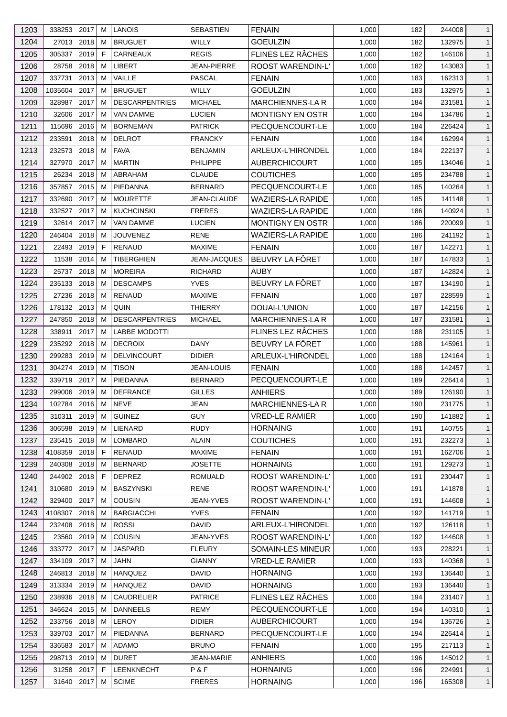| 1203 | 338253 2017   |      | M  | <b>LANOIS</b>         | <b>SEBASTIEN</b>  | <b>FENAIN</b>            | 1,000 | 182 | 244008 | $\mathbf{1}$ |
|------|---------------|------|----|-----------------------|-------------------|--------------------------|-------|-----|--------|--------------|
| 1204 | 27013 2018    |      | M  | <b>BRUGUET</b>        | WILLY             | <b>GOEULZIN</b>          | 1,000 | 182 | 132975 | $\mathbf{1}$ |
| 1205 | 305337        | 2019 | E  | CARNEAUX              | <b>REGIS</b>      | FLINES LEZ RÂCHES        | 1,000 | 182 | 146106 | $\mathbf{1}$ |
| 1206 | 28758         | 2018 | М  | <b>LIBERT</b>         | JEAN-PIERRE       | <b>ROOST WARENDIN-L'</b> | 1,000 | 182 | 143083 | $\mathbf{1}$ |
| 1207 | 337731        | 2013 | M  | VAILLE                | PASCAL            | <b>FENAIN</b>            | 1,000 | 183 | 162313 | $\mathbf{1}$ |
| 1208 | 1035604       | 2017 | M  | <b>BRUGUET</b>        | WILLY             | <b>GOEULZIN</b>          | 1,000 | 183 | 132975 | $\mathbf{1}$ |
| 1209 | 328987        | 2017 | M  | <b>DESCARPENTRIES</b> | <b>MICHAEL</b>    | <b>MARCHIENNES-LAR</b>   | 1,000 | 184 | 231581 | $\mathbf{1}$ |
| 1210 | 32606         | 2017 | M  | <b>VAN DAMME</b>      | <b>LUCIEN</b>     | <b>MONTIGNY EN OSTR</b>  | 1,000 | 184 | 134786 | $\mathbf{1}$ |
| 1211 | 115696        | 2016 | M  | <b>BORNEMAN</b>       | <b>PATRICK</b>    | PECQUENCOURT-LE          | 1,000 | 184 | 226424 | $\mathbf{1}$ |
| 1212 | 233591        | 2018 | M  | <b>DELROT</b>         | <b>FRANCKY</b>    | <b>FENAIN</b>            | 1,000 | 184 | 162994 | $\mathbf{1}$ |
| 1213 | 232573        | 2018 | M  | <b>FAVA</b>           | <b>BENJAMIN</b>   | ARLEUX-L'HIRONDEL        | 1,000 | 184 | 222137 | $\mathbf{1}$ |
| 1214 | 327970        | 2017 | М  | <b>MARTIN</b>         | PHILIPPE          | AUBERCHICOURT            | 1,000 | 185 | 134046 | $\mathbf{1}$ |
| 1215 | 26234         | 2018 | M  | ABRAHAM               | <b>CLAUDE</b>     | COUTICHES                | 1,000 | 185 | 234788 | $\mathbf{1}$ |
| 1216 | 357857        | 2015 | M  | PIEDANNA              | <b>BERNARD</b>    | PECQUENCOURT-LE          | 1,000 | 185 | 140264 | $\mathbf{1}$ |
| 1217 | 332690        | 2017 | м  | <b>MOURETTE</b>       | JEAN-CLAUDE       | <b>WAZIERS-LA RAPIDE</b> | 1,000 | 185 | 141148 | $\mathbf{1}$ |
| 1218 | 332527        | 2017 | M  | <b>KUCHCINSKI</b>     | <b>FRERES</b>     | <b>WAZIERS-LA RAPIDE</b> | 1,000 | 186 | 140924 | $\mathbf{1}$ |
| 1219 | 32614         | 2017 | M  | <b>VAN DAMME</b>      | <b>LUCIEN</b>     | MONTIGNY EN OSTR         | 1,000 | 186 | 220099 | $\mathbf{1}$ |
| 1220 | 246404        | 2018 | м  | <b>JOUVENEZ</b>       | RENE              | <b>WAZIERS-LA RAPIDE</b> | 1,000 | 186 | 241192 | $\mathbf{1}$ |
| 1221 | 22493 2019    |      | F. | <b>RENAUD</b>         | <b>MAXIME</b>     | <b>FENAIN</b>            | 1,000 | 187 | 142271 | $\mathbf{1}$ |
| 1222 | 11538         | 2014 | м  | <b>TIBERGHIEN</b>     | JEAN-JACQUES      | BEUVRY LA FÔRET          | 1,000 | 187 | 147833 | $\mathbf{1}$ |
| 1223 | 25737         | 2018 | M  | <b>MOREIRA</b>        | RICHARD           | <b>AUBY</b>              | 1,000 | 187 | 142824 | $\mathbf{1}$ |
| 1224 | 235133        | 2018 | М  | <b>DESCAMPS</b>       | <b>YVES</b>       | BEUVRY LA FÔRET          | 1,000 | 187 | 134190 | $\mathbf{1}$ |
| 1225 | 27236 2018    |      | M  | <b>RENAUD</b>         | <b>MAXIME</b>     | <b>FENAIN</b>            | 1,000 | 187 | 228599 | $\mathbf{1}$ |
| 1226 | 178132 2013   |      | M  | QUIN                  | <b>THIERRY</b>    | DOUAI-L'UNION            | 1,000 | 187 | 142156 | $\mathbf{1}$ |
|      |               |      |    |                       |                   |                          |       |     |        |              |
| 1227 | 247850        | 2018 | м  | <b>DESCARPENTRIES</b> | <b>MICHAEL</b>    | <b>MARCHIENNES-LAR</b>   | 1,000 | 187 | 231581 | $\mathbf{1}$ |
| 1228 | 338911        | 2017 | М  | <b>LABBE MODOTTI</b>  |                   | FLINES LEZ RÂCHES        | 1,000 | 188 | 231105 | $\mathbf{1}$ |
| 1229 | 235292 2018   |      | M  | <b>DECROIX</b>        | DANY              | BEUVRY LA FÔRET          | 1,000 | 188 | 145961 | $\mathbf{1}$ |
| 1230 | 299283        | 2019 | M  | <b>DELVINCOURT</b>    | <b>DIDIER</b>     | ARLEUX-L'HIRONDEL        | 1,000 | 188 | 124164 | $\mathbf{1}$ |
| 1231 | 304274        | 2019 | м  | <b>TISON</b>          | JEAN-LOUIS        | <b>FENAIN</b>            | 1,000 | 188 | 142457 | $\mathbf{1}$ |
| 1232 | 339719        | 2017 | М  | PIEDANNA              | <b>BERNARD</b>    | PECQUENCOURT-LE          | 1,000 | 189 | 226414 | $\mathbf{1}$ |
| 1233 | 299006        | 2019 | M  | <b>DEFRANCE</b>       | <b>GILLES</b>     | <b>ANHIERS</b>           | 1,000 | 189 | 126190 | $\mathbf{1}$ |
| 1234 | 102784 2016 M |      |    | <b>NEVE</b>           | JEAN              | MARCHIENNES-LA R         | 1,000 | 190 | 231775 | $\mathbf{1}$ |
| 1235 | 310311 2019   |      | M  | <b>GUINEZ</b>         | <b>GUY</b>        | <b>VRED-LE RAMIER</b>    | 1,000 | 190 | 141882 | $\mathbf{1}$ |
| 1236 | 306598        | 2019 | M  | LIENARD               | <b>RUDY</b>       | <b>HORNAING</b>          | 1,000 | 191 | 140755 | $\mathbf{1}$ |
| 1237 | 235415 2018   |      | M  | LOMBARD               | <b>ALAIN</b>      | <b>COUTICHES</b>         | 1,000 | 191 | 232273 | $\mathbf{1}$ |
| 1238 | 4108359       | 2018 | F  | <b>RENAUD</b>         | <b>MAXIME</b>     | <b>FENAIN</b>            | 1,000 | 191 | 162706 | $\mathbf{1}$ |
| 1239 | 240308        | 2018 | M  | <b>BERNARD</b>        | <b>JOSETTE</b>    | <b>HORNAING</b>          | 1,000 | 191 | 129273 | $\mathbf{1}$ |
| 1240 | 244902 2018   |      | F. | <b>DEPREZ</b>         | ROMUALD           | ROOST WARENDIN-L'        | 1,000 | 191 | 230447 | $\mathbf{1}$ |
| 1241 | 310680        | 2019 | M  | <b>BASZYNSKI</b>      | <b>RENE</b>       | ROOST WARENDIN-L'        | 1,000 | 191 | 141878 | $\mathbf{1}$ |
| 1242 | 329400        | 2017 | М  | COUSIN                | JEAN-YVES         | ROOST WARENDIN-L'        | 1,000 | 191 | 144608 | $\mathbf{1}$ |
| 1243 | 4108307       | 2018 | M  | <b>BARGIACCHI</b>     | YVES              | <b>FENAIN</b>            | 1,000 | 192 | 141719 | $\mathbf{1}$ |
| 1244 | 232408 2018   |      | M  | <b>ROSSI</b>          | <b>DAVID</b>      | ARLEUX-L'HIRONDEL        | 1,000 | 192 | 126118 | $\mathbf{1}$ |
| 1245 | 23560 2019    |      | M  | <b>COUSIN</b>         | JEAN-YVES         | ROOST WARENDIN-L'        | 1,000 | 192 | 144608 | $\mathbf{1}$ |
| 1246 | 333772        | 2017 | M  | <b>JASPARD</b>        | <b>FLEURY</b>     | SOMAIN-LES MINEUR        | 1,000 | 193 | 228221 | $\mathbf{1}$ |
| 1247 | 334109 2017   |      | М  | <b>JAHN</b>           | <b>GIANNY</b>     | <b>VRED-LE RAMIER</b>    | 1,000 | 193 | 140368 | $\mathbf{1}$ |
| 1248 | 246813        | 2018 | M  | <b>HANQUEZ</b>        | DAVID             | <b>HORNAING</b>          | 1,000 | 193 | 136440 | $\mathbf{1}$ |
| 1249 | 313334        | 2019 | M  | <b>HANQUEZ</b>        | DAVID             | <b>HORNAING</b>          | 1,000 | 193 | 136440 | $\mathbf{1}$ |
| 1250 | 238936        | 2018 | M  | <b>CAUDRELIER</b>     | <b>PATRICE</b>    | FLINES LEZ RÂCHES        | 1,000 | 194 | 231407 | $\mathbf{1}$ |
| 1251 | 346624 2015   |      | M  | <b>DANNEELS</b>       | <b>REMY</b>       | PECQUENCOURT-LE          | 1,000 | 194 | 140310 | $\mathbf{1}$ |
| 1252 | 233756        | 2018 | M  | <b>LEROY</b>          | <b>DIDIER</b>     | <b>AUBERCHICOURT</b>     | 1,000 | 194 | 136726 | $\mathbf{1}$ |
| 1253 | 339703 2017   |      | M  | PIEDANNA              | <b>BERNARD</b>    | PECQUENCOURT-LE          | 1,000 | 194 | 226414 | $\mathbf{1}$ |
| 1254 | 336583 2017   |      | M  | ADAMO                 | <b>BRUNO</b>      | <b>FENAIN</b>            | 1,000 | 195 | 217113 | $\mathbf{1}$ |
| 1255 | 298713 2019   |      | M  | <b>DURET</b>          | <b>JEAN-MARIE</b> | <b>ANHIERS</b>           | 1,000 | 196 | 145012 | $\mathbf{1}$ |
| 1256 | 31258 2017    |      | F. | LEENKNECHT            | P & F             | <b>HORNAING</b>          | 1,000 | 196 | 224991 | $\mathbf{1}$ |
| 1257 | 31640 2017    |      | M  | <b>SCIME</b>          | <b>FRERES</b>     | <b>HORNAING</b>          | 1,000 | 196 | 165308 | $\mathbf{1}$ |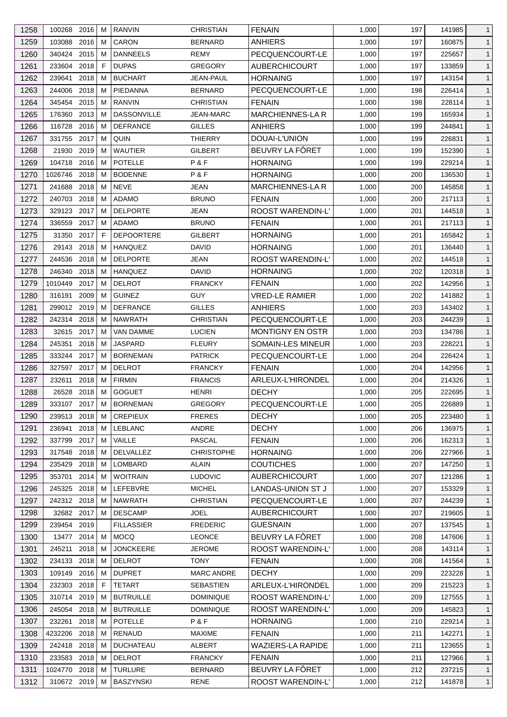| 1258 | 100268<br>2016  | M  | <b>RANVIN</b>      | <b>CHRISTIAN</b>  | <b>FENAIN</b>                | 1,000 | 197 | 141985           | $\mathbf{1}$ |
|------|-----------------|----|--------------------|-------------------|------------------------------|-------|-----|------------------|--------------|
| 1259 | 103088<br>2016  | M  | CARON              | <b>BERNARD</b>    | <b>ANHIERS</b>               | 1,000 | 197 | 160875           | $\mathbf{1}$ |
| 1260 | 2015<br>340424  | M  | <b>DANNEELS</b>    | REMY              | PECQUENCOURT-LE              | 1,000 | 197 | 225657           | $\mathbf{1}$ |
| 1261 | 2018<br>233604  | F  | <b>DUPAS</b>       | <b>GREGORY</b>    | <b>AUBERCHICOURT</b>         | 1,000 | 197 | 133859           | $\mathbf{1}$ |
| 1262 | 239641<br>2018  | M  | <b>BUCHART</b>     | <b>JEAN-PAUL</b>  | <b>HORNAING</b>              | 1,000 | 197 | 143154           | $\mathbf{1}$ |
| 1263 | 2018<br>244006  | M  | PIEDANNA           | BERNARD           | PECQUENCOURT-LE              | 1,000 | 198 | 226414           | $\mathbf{1}$ |
| 1264 | 2015<br>345454  | M  | <b>RANVIN</b>      | CHRISTIAN         | <b>FENAIN</b>                | 1,000 | 198 | 228114           | $\mathbf{1}$ |
| 1265 | 2013<br>176360  | М  | <b>DASSONVILLE</b> | <b>JEAN-MARC</b>  | <b>MARCHIENNES-LAR</b>       | 1,000 | 199 | 165934           | $\mathbf{1}$ |
| 1266 | 2016<br>116728  | M  | <b>DEFRANCE</b>    | <b>GILLES</b>     | <b>ANHIERS</b>               | 1,000 | 199 | 244841           | $\mathbf{1}$ |
| 1267 | 2017<br>331755  | M  | QUIN               | THIERRY           | DOUAI-L'UNION                | 1,000 | 199 | 226831           | $\mathbf{1}$ |
| 1268 | 21930<br>2019   | M  | <b>WAUTIER</b>     | GILBERT           | BEUVRY LA FÔRET              | 1,000 | 199 | 152390           | $\mathbf{1}$ |
| 1269 | 2016<br>104718  | м  | <b>POTELLE</b>     | P&F               | <b>HORNAING</b>              | 1,000 | 199 | 229214           | $\mathbf{1}$ |
| 1270 | 2018<br>1026746 | M  | <b>BODENNE</b>     | P & F             | <b>HORNAING</b>              | 1,000 | 200 | 136530           | $\mathbf{1}$ |
| 1271 | 241688<br>2018  | M  | <b>NEVE</b>        | JEAN              | <b>MARCHIENNES-LA R</b>      | 1,000 | 200 | 145858           | $\mathbf{1}$ |
| 1272 | 2018<br>240703  | м  | <b>ADAMO</b>       | <b>BRUNO</b>      | <b>FENAIN</b>                | 1,000 | 200 | 217113           | $\mathbf{1}$ |
| 1273 | 329123 2017     | M  | <b>DELPORTE</b>    | JEAN              | <b>ROOST WARENDIN-L'</b>     | 1,000 | 201 | 144518           | $\mathbf{1}$ |
| 1274 | 2017<br>336559  | M  | <b>ADAMO</b>       | <b>BRUNO</b>      | <b>FENAIN</b>                | 1,000 | 201 | 217113           | $\mathbf{1}$ |
| 1275 | 2017<br>31350   | F  | <b>DEPOORTERE</b>  | GILBERT           | <b>HORNAING</b>              | 1,000 | 201 | 165842           | $\mathbf{1}$ |
| 1276 | 29143<br>2018   | М  | <b>HANQUEZ</b>     | <b>DAVID</b>      | <b>HORNAING</b>              | 1,000 | 201 | 136440           | $\mathbf{1}$ |
| 1277 | 2018<br>244536  | М  | <b>DELPORTE</b>    | JEAN              | <b>ROOST WARENDIN-L'</b>     | 1,000 | 202 | 144518           | $\mathbf{1}$ |
| 1278 | 2018<br>246340  | M  | <b>HANQUEZ</b>     | <b>DAVID</b>      | <b>HORNAING</b>              | 1,000 | 202 | 120318           | $\mathbf{1}$ |
| 1279 | 2017<br>1010449 | M  | <b>DELROT</b>      | <b>FRANCKY</b>    | <b>FENAIN</b>                | 1,000 | 202 | 142956           | $\mathbf{1}$ |
| 1280 | 2009<br>316191  | м  | <b>GUINEZ</b>      | <b>GUY</b>        | <b>VRED-LE RAMIER</b>        | 1,000 | 202 | 141882           | $\mathbf{1}$ |
| 1281 | 299012 2019     | M  | <b>DEFRANCE</b>    | <b>GILLES</b>     | <b>ANHIERS</b>               | 1,000 | 203 | 143402           | $\mathbf{1}$ |
| 1282 | 242314<br>2018  | M  | <b>NAWRATH</b>     | <b>CHRISTIAN</b>  | PECQUENCOURT-LE              | 1,000 | 203 | 244239           | $\mathbf{1}$ |
| 1283 | 32615<br>2017   | м  | <b>VAN DAMME</b>   | <b>LUCIEN</b>     | <b>MONTIGNY EN OSTR</b>      | 1,000 | 203 | 134786           | $\mathbf{1}$ |
| 1284 | 245351<br>2018  | M  | <b>JASPARD</b>     | <b>FLEURY</b>     | <b>SOMAIN-LES MINEUR</b>     | 1,000 | 203 | 228221           | $\mathbf{1}$ |
| 1285 | 2017<br>333244  | M  | <b>BORNEMAN</b>    | <b>PATRICK</b>    | PECQUENCOURT-LE              | 1,000 | 204 | 226424           | $\mathbf{1}$ |
| 1286 | 327597<br>2017  | M  | <b>DELROT</b>      | <b>FRANCKY</b>    | <b>FENAIN</b>                | 1,000 | 204 | 142956           | $\mathbf{1}$ |
| 1287 | 232611<br>2018  | M  | <b>FIRMIN</b>      | <b>FRANCIS</b>    | ARLEUX-L'HIRONDEL            | 1,000 | 204 | 214326           | $\mathbf{1}$ |
|      | 2018            | M  | <b>GOGUET</b>      |                   | <b>DECHY</b>                 |       |     |                  | $\mathbf{1}$ |
| 1288 | 26528           |    |                    | <b>HENRI</b>      |                              | 1,000 | 205 | 222695<br>226889 |              |
| 1289 | 333107 2017 M   |    | <b>BORNEMAN</b>    | <b>GREGORY</b>    | PECQUENCOURT-LE              | 1,000 | 205 |                  | $\mathbf{1}$ |
| 1290 | 239513 2018     | M  | <b>CREPIEUX</b>    | <b>FRERES</b>     | <b>DECHY</b><br><b>DECHY</b> | 1,000 | 205 | 223480           | $\mathbf{1}$ |
| 1291 | 236941<br>2018  | М  | LEBLANC            | ANDRE             |                              | 1,000 | 206 | 136975           | $\mathbf{1}$ |
| 1292 | 337799<br>2017  | M  | VAILLE             | <b>PASCAL</b>     | <b>FENAIN</b>                | 1,000 | 206 | 162313           | $\mathbf{1}$ |
| 1293 | 317548<br>2018  | M  | <b>DELVALLEZ</b>   | <b>CHRISTOPHE</b> | <b>HORNAING</b>              | 1,000 | 206 | 227966           | $\mathbf{1}$ |
| 1294 | 2018<br>235429  | M  | LOMBARD            | <b>ALAIN</b>      | <b>COUTICHES</b>             | 1,000 | 207 | 147250           | $\mathbf{1}$ |
| 1295 | 353701<br>2014  | М  | <b>WOITRAIN</b>    | <b>LUDOVIC</b>    | <b>AUBERCHICOURT</b>         | 1,000 | 207 | 121286           | $\mathbf{1}$ |
| 1296 | 245325 2018     | M  | LEFEBVRE           | <b>MICHEL</b>     | LANDAS-UNION ST J            | 1,000 | 207 | 153329           | $\mathbf{1}$ |
| 1297 | 242312 2018     | M  | NAWRATH            | CHRISTIAN         | PECQUENCOURT-LE              | 1,000 | 207 | 244239           | $\mathbf{1}$ |
| 1298 | 32682 2017      | M  | <b>DESCAMP</b>     | <b>JOEL</b>       | <b>AUBERCHICOURT</b>         | 1,000 | 207 | 219605           | $\mathbf{1}$ |
| 1299 | 239454 2019     |    | <b>FILLASSIER</b>  | <b>FREDERIC</b>   | GUESNAIN                     | 1,000 | 207 | 137545           | $\mathbf{1}$ |
| 1300 | 13477<br>2014   | M  | <b>MOCQ</b>        | <b>LEONCE</b>     | BEUVRY LA FÔRET              | 1,000 | 208 | 147606           | $\mathbf{1}$ |
| 1301 | 245211<br>2018  | M  | <b>JONCKEERE</b>   | <b>JEROME</b>     | ROOST WARENDIN-L'            | 1,000 | 208 | 143114           | $\mathbf{1}$ |
| 1302 | 234133<br>2018  | M  | <b>DELROT</b>      | <b>TONY</b>       | <b>FENAIN</b>                | 1,000 | 208 | 141564           | $\mathbf{1}$ |
| 1303 | 109149 2016     | M  | <b>DUPRET</b>      | <b>MARC ANDRE</b> | <b>DECHY</b>                 | 1,000 | 209 | 223228           | $\mathbf{1}$ |
| 1304 | 2018<br>232303  | F. | <b>TETART</b>      | SEBASTIEN         | ARLEUX-L'HIRONDEL            | 1,000 | 209 | 215223           | $\mathbf{1}$ |
| 1305 | 310714 2019     | M  | <b>BUTRUILLE</b>   | <b>DOMINIQUE</b>  | ROOST WARENDIN-L'            | 1,000 | 209 | 127555           | $\mathbf{1}$ |
| 1306 | 245054 2018     | M  | <b>BUTRUILLE</b>   | <b>DOMINIQUE</b>  | <b>ROOST WARENDIN-L'</b>     | 1,000 | 209 | 145823           | $\mathbf{1}$ |
| 1307 | 2018<br>232261  | M  | POTELLE            | P&F               | <b>HORNAING</b>              | 1,000 | 210 | 229214           | $\mathbf{1}$ |
| 1308 | 4232206<br>2018 | M  | RENAUD             | MAXIME            | <b>FENAIN</b>                | 1,000 | 211 | 142271           | $\mathbf{1}$ |
| 1309 | 2018<br>242418  | M  | <b>DUCHATEAU</b>   | <b>ALBERT</b>     | <b>WAZIERS-LA RAPIDE</b>     | 1,000 | 211 | 123655           | $\mathbf{1}$ |
| 1310 | 233583 2018     | M  | <b>DELROT</b>      | <b>FRANCKY</b>    | <b>FENAIN</b>                | 1,000 | 211 | 127966           | $\mathbf{1}$ |
| 1311 | 1024770 2018    | M  | <b>TURLURE</b>     | <b>BERNARD</b>    | BEUVRY LA FÔRET              | 1,000 | 212 | 237215           | $\mathbf{1}$ |
| 1312 | 310672 2019     | M  | <b>BASZYNSKI</b>   | <b>RENE</b>       | ROOST WARENDIN-L'            | 1,000 | 212 | 141878           | $\mathbf{1}$ |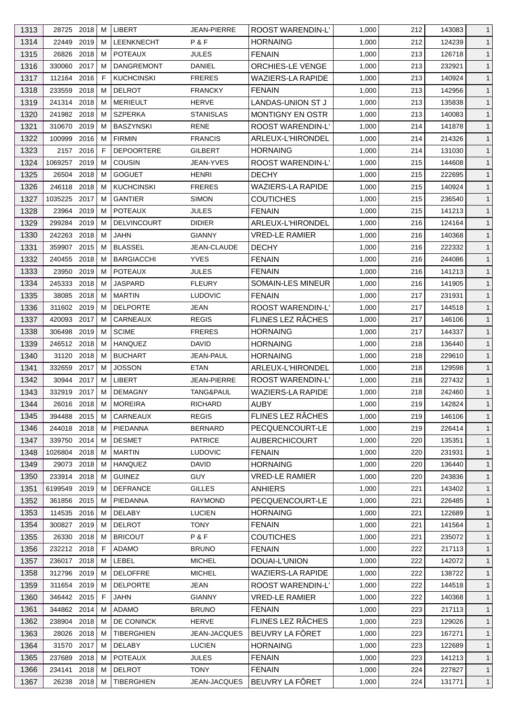| 1313 | 28725 2018      | M  | <b>LIBERT</b>      | JEAN-PIERRE        | <b>ROOST WARENDIN-L'</b> | 1,000 | 212 | 143083 | $\mathbf{1}$ |
|------|-----------------|----|--------------------|--------------------|--------------------------|-------|-----|--------|--------------|
| 1314 | 2019<br>22449   | M  | LEENKNECHT         | P&F                | <b>HORNAING</b>          | 1,000 | 212 | 124239 | $\mathbf{1}$ |
| 1315 | 26826<br>2018   | M  | <b>POTEAUX</b>     | <b>JULES</b>       | <b>FENAIN</b>            | 1,000 | 213 | 126718 | $\mathbf{1}$ |
| 1316 | 330060<br>2017  | М  | <b>DANGREMONT</b>  | DANIEL             | ORCHIES-LE VENGE         | 1,000 | 213 | 232921 | $\mathbf{1}$ |
| 1317 | 112164 2016     | F. | <b>KUCHCINSKI</b>  | <b>FRERES</b>      | <b>WAZIERS-LA RAPIDE</b> | 1,000 | 213 | 140924 | $\mathbf{1}$ |
| 1318 | 2018<br>233559  | M  | <b>DELROT</b>      | <b>FRANCKY</b>     | <b>FENAIN</b>            | 1,000 | 213 | 142956 | $\mathbf{1}$ |
| 1319 | 241314<br>2018  | M  | MERIEULT           | HERVE              | <b>LANDAS-UNION ST J</b> | 1,000 | 213 | 135838 | $\mathbf{1}$ |
| 1320 | 241982 2018     | M  | <b>SZPERKA</b>     | STANISLAS          | <b>MONTIGNY EN OSTR</b>  | 1,000 | 213 | 140083 | $\mathbf{1}$ |
| 1321 | 2019<br>310670  | M  | <b>BASZYNSKI</b>   | RENE               | ROOST WARENDIN-L'        | 1,000 | 214 | 141878 | $\mathbf{1}$ |
| 1322 | 100999<br>2016  | M  | <b>FIRMIN</b>      | <b>FRANCIS</b>     | ARLEUX-L'HIRONDEL        | 1,000 | 214 | 214326 | $\mathbf{1}$ |
| 1323 | 2016<br>2157    | F. | <b>DEPOORTERE</b>  | <b>GILBERT</b>     | <b>HORNAING</b>          | 1,000 | 214 | 131030 | $\mathbf{1}$ |
| 1324 | 2019<br>1069257 | M  | <b>COUSIN</b>      | JEAN-YVES          | ROOST WARENDIN-L'        | 1,000 | 215 | 144608 | $\mathbf{1}$ |
| 1325 | 2018<br>26504   | M  | <b>GOGUET</b>      | <b>HENRI</b>       | <b>DECHY</b>             | 1,000 | 215 | 222695 | $\mathbf{1}$ |
| 1326 | 246118<br>2018  | M  | <b>KUCHCINSKI</b>  | <b>FRERES</b>      | <b>WAZIERS-LA RAPIDE</b> | 1,000 | 215 | 140924 | $\mathbf{1}$ |
| 1327 | 1035225<br>2017 | М  | <b>GANTIER</b>     | <b>SIMON</b>       | <b>COUTICHES</b>         | 1,000 | 215 | 236540 | $\mathbf{1}$ |
| 1328 | 2019<br>23964   | M  | <b>POTEAUX</b>     | JULES              | <b>FENAIN</b>            | 1,000 | 215 | 141213 | $\mathbf{1}$ |
| 1329 | 299284<br>2019  | M  | <b>DELVINCOURT</b> | <b>DIDIER</b>      | ARLEUX-L'HIRONDEL        | 1,000 | 216 | 124164 | $\mathbf{1}$ |
| 1330 | 242263 2018     | М  | <b>JAHN</b>        | <b>GIANNY</b>      | <b>VRED-LE RAMIER</b>    | 1,000 | 216 | 140368 | $\mathbf{1}$ |
| 1331 | 2015<br>359907  | M  | <b>BLASSEL</b>     | JEAN-CLAUDE        | <b>DECHY</b>             | 1,000 | 216 | 222332 | $\mathbf{1}$ |
| 1332 | 2018<br>240455  | M  | <b>BARGIACCHI</b>  | <b>YVES</b>        | <b>FENAIN</b>            | 1,000 | 216 | 244086 | $\mathbf{1}$ |
| 1333 | 23950<br>2019   | M  | <b>POTEAUX</b>     | JULES              | <b>FENAIN</b>            | 1,000 | 216 | 141213 | $\mathbf{1}$ |
|      | 245333<br>2018  | M  | <b>JASPARD</b>     | <b>FLEURY</b>      |                          |       |     |        |              |
| 1334 |                 |    |                    |                    | SOMAIN-LES MINEUR        | 1,000 | 216 | 141905 | $\mathbf{1}$ |
| 1335 | 2018<br>38085   | M  | <b>MARTIN</b>      | <b>LUDOVIC</b>     | <b>FENAIN</b>            | 1,000 | 217 | 231931 | $\mathbf{1}$ |
| 1336 | 311602 2019     | M  | <b>DELPORTE</b>    | JEAN               | <b>ROOST WARENDIN-L'</b> | 1,000 | 217 | 144518 | $\mathbf{1}$ |
| 1337 | 420093<br>2017  | M  | CARNEAUX           | <b>REGIS</b>       | FLINES LEZ RÂCHES        | 1,000 | 217 | 146106 | $\mathbf{1}$ |
| 1338 | 306498<br>2019  | M  | <b>SCIME</b>       | <b>FRERES</b>      | <b>HORNAING</b>          | 1,000 | 217 | 144337 | $\mathbf{1}$ |
| 1339 | 246512 2018     | M  | <b>HANQUEZ</b>     | <b>DAVID</b>       | <b>HORNAING</b>          | 1,000 | 218 | 136440 | $\mathbf{1}$ |
| 1340 | 31120<br>2018   | M  | <b>BUCHART</b>     | JEAN-PAUL          | <b>HORNAING</b>          | 1,000 | 218 | 229610 | $\mathbf{1}$ |
| 1341 | 2017<br>332659  | м  | <b>JOSSON</b>      | <b>ETAN</b>        | ARLEUX-L'HIRONDEL        | 1,000 | 218 | 129598 | $\mathbf{1}$ |
| 1342 | 30944<br>2017   | M  | LIBERT             | <b>JEAN-PIERRE</b> | ROOST WARENDIN-L'        | 1,000 | 218 | 227432 | $\mathbf{1}$ |
| 1343 | 332919 2017     | M  | <b>DEMAGNY</b>     | TANG&PAUL          | <b>WAZIERS-LA RAPIDE</b> | 1,000 | 218 | 242460 | $\mathbf{1}$ |
| 1344 | 26016 2018      | M  | <b>MOREIRA</b>     | <b>RICHARD</b>     | <b>AUBY</b>              | 1,000 | 219 | 142824 | $\mathbf{1}$ |
| 1345 | 394488 2015     | M  | CARNEAUX           | <b>REGIS</b>       | FLINES LEZ RÂCHES        | 1,000 | 219 | 146106 | $\mathbf{1}$ |
| 1346 | 244018 2018     | M  | PIEDANNA           | <b>BERNARD</b>     | PECQUENCOURT-LE          | 1,000 | 219 | 226414 | $\mathbf{1}$ |
| 1347 | 2014<br>339750  | M  | <b>DESMET</b>      | <b>PATRICE</b>     | <b>AUBERCHICOURT</b>     | 1,000 | 220 | 135351 | $\mathbf{1}$ |
| 1348 | 1026804<br>2018 | M  | <b>MARTIN</b>      | <b>LUDOVIC</b>     | <b>FENAIN</b>            | 1,000 | 220 | 231931 | $\mathbf{1}$ |
| 1349 | 29073 2018      | M  | <b>HANQUEZ</b>     | DAVID              | <b>HORNAING</b>          | 1,000 | 220 | 136440 | $\mathbf{1}$ |
| 1350 | 233914 2018     | M  | <b>GUINEZ</b>      | <b>GUY</b>         | <b>VRED-LE RAMIER</b>    | 1,000 | 220 | 243836 | $\mathbf{1}$ |
| 1351 | 6199549<br>2019 | M  | <b>DEFRANCE</b>    | <b>GILLES</b>      | <b>ANHIERS</b>           | 1,000 | 221 | 143402 | $\mathbf{1}$ |
| 1352 | 361856 2015     | M  | PIEDANNA           | RAYMOND            | PECQUENCOURT-LE          | 1,000 | 221 | 226485 | $\mathbf{1}$ |
| 1353 | 114535 2016     | M  | <b>DELABY</b>      | <b>LUCIEN</b>      | <b>HORNAING</b>          | 1,000 | 221 | 122689 | $\mathbf{1}$ |
| 1354 | 2019<br>300827  | M  | <b>DELROT</b>      | <b>TONY</b>        | <b>FENAIN</b>            | 1,000 | 221 | 141564 | $\mathbf{1}$ |
| 1355 | 26330 2018      | M  | <b>BRICOUT</b>     | P&F                | <b>COUTICHES</b>         | 1,000 | 221 | 235072 | $\mathbf{1}$ |
| 1356 | 232212 2018     | F. | <b>ADAMO</b>       | <b>BRUNO</b>       | <b>FENAIN</b>            | 1,000 | 222 | 217113 | $\mathbf{1}$ |
| 1357 | 236017 2018     | M  | LEBEL              | <b>MICHEL</b>      | DOUAI-L'UNION            | 1,000 | 222 | 142072 | $\mathbf{1}$ |
| 1358 | 312796 2019     | M  | <b>DELOFFRE</b>    | MICHEL             | <b>WAZIERS-LA RAPIDE</b> | 1,000 | 222 | 138722 | $\mathbf{1}$ |
| 1359 | 311654<br>2019  | M  | <b>DELPORTE</b>    | JEAN               | ROOST WARENDIN-L'        | 1,000 | 222 | 144518 | $\mathbf{1}$ |
| 1360 | 346442 2015     | F  | <b>JAHN</b>        | <b>GIANNY</b>      | <b>VRED-LE RAMIER</b>    | 1,000 | 222 | 140368 | $\mathbf{1}$ |
| 1361 | 344862 2014     | M  | ADAMO              | <b>BRUNO</b>       | <b>FENAIN</b>            | 1,000 | 223 | 217113 | $\mathbf{1}$ |
| 1362 | 238904<br>2018  | M  | DE CONINCK         | <b>HERVE</b>       | FLINES LEZ RÂCHES        | 1,000 | 223 | 129026 | $\mathbf{1}$ |
| 1363 | 28026 2018      | M  | <b>TIBERGHIEN</b>  | JEAN-JACQUES       | BEUVRY LA FÔRET          | 1,000 | 223 | 167271 | $\mathbf{1}$ |
| 1364 | 31570 2017      | M  | <b>DELABY</b>      | <b>LUCIEN</b>      | <b>HORNAING</b>          | 1,000 | 223 | 122689 | $\mathbf{1}$ |
| 1365 | 237689 2018     | M  | <b>POTEAUX</b>     | <b>JULES</b>       | <b>FENAIN</b>            | 1,000 | 223 | 141213 | $\mathbf{1}$ |
| 1366 | 234141<br>2018  | M  | <b>DELROT</b>      | TONY               | <b>FENAIN</b>            | 1,000 | 224 | 227827 | $\mathbf{1}$ |
| 1367 | 26238 2018      | M  | <b>TIBERGHIEN</b>  | JEAN-JACQUES       | BEUVRY LA FÔRET          | 1,000 | 224 | 131771 | $\mathbf{1}$ |
|      |                 |    |                    |                    |                          |       |     |        |              |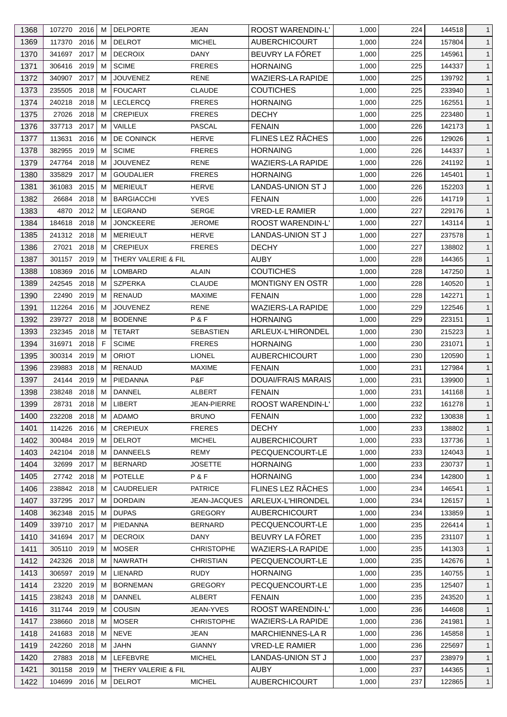| 1368 | 107270 2016  |           | м | <b>DELPORTE</b>     | JEAN              | <b>ROOST WARENDIN-L'</b>  | 1,000 | 224 | 144518 | $\mathbf{1}$ |
|------|--------------|-----------|---|---------------------|-------------------|---------------------------|-------|-----|--------|--------------|
| 1369 | 117370 2016  |           | м | <b>DELROT</b>       | <b>MICHEL</b>     | <b>AUBERCHICOURT</b>      | 1,000 | 224 | 157804 | $\mathbf{1}$ |
| 1370 | 341697 2017  |           | м | <b>DECROIX</b>      | DANY              | BEUVRY LA FÔRET           | 1,000 | 225 | 145961 | $\mathbf{1}$ |
| 1371 | 306416 2019  |           | м | <b>SCIME</b>        | <b>FRERES</b>     | <b>HORNAING</b>           | 1,000 | 225 | 144337 | $\mathbf{1}$ |
| 1372 | 340907 2017  |           | м | <b>JOUVENEZ</b>     | <b>RENE</b>       | <b>WAZIERS-LA RAPIDE</b>  | 1,000 | 225 | 139792 | $\mathbf{1}$ |
| 1373 | 235505       | 2018      | м | <b>FOUCART</b>      | <b>CLAUDE</b>     | <b>COUTICHES</b>          | 1,000 | 225 | 233940 | $\mathbf{1}$ |
| 1374 | 240218 2018  |           | м | <b>LECLERCQ</b>     | <b>FRERES</b>     | <b>HORNAING</b>           | 1,000 | 225 | 162551 | $\mathbf{1}$ |
| 1375 | 27026        | 2018      | м | <b>CREPIEUX</b>     | <b>FRERES</b>     | <b>DECHY</b>              | 1,000 | 225 | 223480 | $\mathbf{1}$ |
| 1376 | 337713 2017  |           | M | VAILLE              | PASCAL            | <b>FENAIN</b>             | 1,000 | 226 | 142173 | $\mathbf{1}$ |
| 1377 | 113631       | 2016      | м | DE CONINCK          | <b>HERVE</b>      | FLINES LEZ RÂCHES         | 1,000 | 226 | 129026 | $\mathbf{1}$ |
| 1378 | 382955       | 2019      | м | <b>SCIME</b>        | <b>FRERES</b>     | <b>HORNAING</b>           | 1,000 | 226 | 144337 | $\mathbf{1}$ |
| 1379 | 247764 2018  |           | м | <b>JOUVENEZ</b>     | <b>RENE</b>       | <b>WAZIERS-LA RAPIDE</b>  | 1,000 | 226 | 241192 | $\mathbf{1}$ |
| 1380 | 335829       | 2017      | м | <b>GOUDALIER</b>    | <b>FRERES</b>     | <b>HORNAING</b>           | 1,000 | 226 | 145401 | $\mathbf{1}$ |
| 1381 | 361083       | 2015      | м | <b>MERIEULT</b>     | <b>HERVE</b>      | LANDAS-UNION ST J         | 1,000 | 226 | 152203 | $\mathbf{1}$ |
| 1382 | 26684        | 2018      | м | <b>BARGIACCHI</b>   | <b>YVES</b>       | <b>FENAIN</b>             | 1,000 | 226 | 141719 | $\mathbf{1}$ |
| 1383 |              | 4870 2012 | м | <b>LEGRAND</b>      | <b>SERGE</b>      | <b>VRED-LE RAMIER</b>     | 1,000 | 227 | 229176 | $\mathbf{1}$ |
| 1384 | 184618       | 2018      | м | <b>JONCKEERE</b>    | <b>JEROME</b>     | <b>ROOST WARENDIN-L'</b>  | 1,000 | 227 | 143114 | $\mathbf{1}$ |
| 1385 | 241312 2018  |           | м | <b>MERIEULT</b>     | <b>HERVE</b>      | LANDAS-UNION ST J         | 1,000 | 227 | 237578 | $\mathbf{1}$ |
|      |              |           |   |                     |                   | <b>DECHY</b>              |       |     |        |              |
| 1386 | 27021        | 2018      | м | <b>CREPIEUX</b>     | <b>FRERES</b>     |                           | 1,000 | 227 | 138802 | $\mathbf{1}$ |
| 1387 | 301157       | 2019      | M | THERY VALERIE & FIL |                   | <b>AUBY</b>               | 1,000 | 228 | 144365 | $\mathbf{1}$ |
| 1388 | 108369       | 2016      | м | LOMBARD             | <b>ALAIN</b>      | <b>COUTICHES</b>          | 1,000 | 228 | 147250 | $\mathbf{1}$ |
| 1389 | 242545       | 2018      | м | <b>SZPERKA</b>      | <b>CLAUDE</b>     | <b>MONTIGNY EN OSTR</b>   | 1,000 | 228 | 140520 | $\mathbf{1}$ |
| 1390 | 22490 2019   |           | м | <b>RENAUD</b>       | <b>MAXIME</b>     | <b>FENAIN</b>             | 1,000 | 228 | 142271 | $\mathbf{1}$ |
| 1391 | 112264 2016  |           | м | <b>JOUVENEZ</b>     | <b>RENE</b>       | <b>WAZIERS-LA RAPIDE</b>  | 1,000 | 229 | 122546 | $\mathbf{1}$ |
| 1392 | 239727       | 2018      | м | <b>BODENNE</b>      | P&F               | <b>HORNAING</b>           | 1,000 | 229 | 223151 | $\mathbf{1}$ |
| 1393 | 232345 2018  |           | м | <b>TETART</b>       | <b>SEBASTIEN</b>  | ARLEUX-L'HIRONDEL         | 1,000 | 230 | 215223 | $\mathbf{1}$ |
| 1394 | 316971       | 2018      | F | <b>SCIME</b>        | <b>FRERES</b>     | <b>HORNAING</b>           | 1,000 | 230 | 231071 | $\mathbf{1}$ |
| 1395 | 300314 2019  |           | м | <b>ORIOT</b>        | <b>LIONEL</b>     | <b>AUBERCHICOURT</b>      | 1,000 | 230 | 120590 | $\mathbf{1}$ |
| 1396 | 239883       | 2018      | м | RENAUD              | <b>MAXIME</b>     | <b>FENAIN</b>             | 1,000 | 231 | 127984 | $\mathbf{1}$ |
| 1397 | 24144 2019   |           | м | PIEDANNA            | P&F               | <b>DOUAI/FRAIS MARAIS</b> | 1,000 | 231 | 139900 | $\mathbf{1}$ |
| 1398 | 238248       | 2018      | M | DANNEL              | <b>ALBERT</b>     | <b>FENAIN</b>             | 1,000 | 231 | 141168 | $\mathbf{1}$ |
| 1399 | 28731 2018 M |           |   | LIBERT              | JEAN-PIERRE       | ROOST WARENDIN-L'         | 1,000 | 232 | 161278 | $\mathbf{1}$ |
| 1400 | 232208 2018  |           | М | ADAMO               | <b>BRUNO</b>      | <b>FENAIN</b>             | 1,000 | 232 | 130838 | $\mathbf{1}$ |
| 1401 | 114226       | 2016      | м | <b>CREPIEUX</b>     | <b>FRERES</b>     | <b>DECHY</b>              | 1,000 | 233 | 138802 | $\mathbf{1}$ |
| 1402 | 300484       | 2019      | м | <b>DELROT</b>       | <b>MICHEL</b>     | <b>AUBERCHICOURT</b>      | 1,000 | 233 | 137736 | $\mathbf{1}$ |
| 1403 | 242104       | 2018      | м | <b>DANNEELS</b>     | <b>REMY</b>       | PECQUENCOURT-LE           | 1,000 | 233 | 124043 | $\mathbf{1}$ |
| 1404 | 32699 2017   |           | м | <b>BERNARD</b>      | <b>JOSETTE</b>    | <b>HORNAING</b>           | 1,000 | 233 | 230737 | $\mathbf{1}$ |
|      |              |           |   | <b>POTELLE</b>      | P&F               | <b>HORNAING</b>           |       |     |        |              |
| 1405 | 27742 2018   |           | м |                     |                   |                           | 1,000 | 234 | 142800 | $\mathbf{1}$ |
| 1406 | 238842 2018  |           | M | <b>CAUDRELIER</b>   | <b>PATRICE</b>    | FLINES LEZ RÂCHES         | 1,000 | 234 | 146541 | $\mathbf{1}$ |
| 1407 | 337295       | 2017      | м | <b>DORDAIN</b>      | JEAN-JACQUES      | ARLEUX-L'HIRONDEL         | 1,000 | 234 | 126157 | $\mathbf{1}$ |
| 1408 | 362348       | 2015      | м | <b>DUPAS</b>        | <b>GREGORY</b>    | <b>AUBERCHICOURT</b>      | 1,000 | 234 | 133859 | $\mathbf{1}$ |
| 1409 | 339710 2017  |           | м | PIEDANNA            | <b>BERNARD</b>    | PECQUENCOURT-LE           | 1,000 | 235 | 226414 | $\mathbf{1}$ |
| 1410 | 341694 2017  |           | м | <b>DECROIX</b>      | DANY              | BEUVRY LA FÖRET           | 1,000 | 235 | 231107 | $\mathbf{1}$ |
| 1411 | 305110       | 2019      | м | <b>MOSER</b>        | <b>CHRISTOPHE</b> | <b>WAZIERS-LA RAPIDE</b>  | 1,000 | 235 | 141303 | $\mathbf{1}$ |
| 1412 | 242326       | 2018      | м | <b>NAWRATH</b>      | <b>CHRISTIAN</b>  | PECQUENCOURT-LE           | 1,000 | 235 | 142676 | $\mathbf{1}$ |
| 1413 | 306597       | 2019      | м | LIENARD             | <b>RUDY</b>       | <b>HORNAING</b>           | 1,000 | 235 | 140755 | $\mathbf{1}$ |
| 1414 | 23220        | 2019      | м | <b>BORNEMAN</b>     | <b>GREGORY</b>    | PECQUENCOURT-LE           | 1,000 | 235 | 125407 | $\mathbf{1}$ |
| 1415 | 238243 2018  |           | м | <b>DANNEL</b>       | <b>ALBERT</b>     | <b>FENAIN</b>             | 1,000 | 235 | 243520 | $\mathbf{1}$ |
| 1416 | 311744 2019  |           | м | COUSIN              | JEAN-YVES         | <b>ROOST WARENDIN-L'</b>  | 1,000 | 236 | 144608 | $\mathbf{1}$ |
| 1417 | 238660       | 2018      | M | <b>MOSER</b>        | <b>CHRISTOPHE</b> | <b>WAZIERS-LA RAPIDE</b>  | 1,000 | 236 | 241981 | $\mathbf{1}$ |
| 1418 | 241683 2018  |           | м | <b>NEVE</b>         | JEAN              | <b>MARCHIENNES-LA R</b>   | 1,000 | 236 | 145858 | $\mathbf{1}$ |
| 1419 | 242260       | 2018      | м | JAHN                | <b>GIANNY</b>     | <b>VRED-LE RAMIER</b>     | 1,000 | 236 | 225697 | $\mathbf{1}$ |
| 1420 | 27883 2018   |           | м | LEFEBVRE            | <b>MICHEL</b>     | LANDAS-UNION ST J         | 1,000 | 237 | 238979 | $\mathbf{1}$ |
| 1421 | 301158 2019  |           | м | THERY VALERIE & FIL |                   | AUBY                      | 1,000 | 237 | 144365 | $\mathbf{1}$ |
| 1422 | 104699 2016  |           | M | <b>DELROT</b>       | <b>MICHEL</b>     | AUBERCHICOURT             | 1,000 | 237 | 122865 | $\mathbf{1}$ |
|      |              |           |   |                     |                   |                           |       |     |        |              |